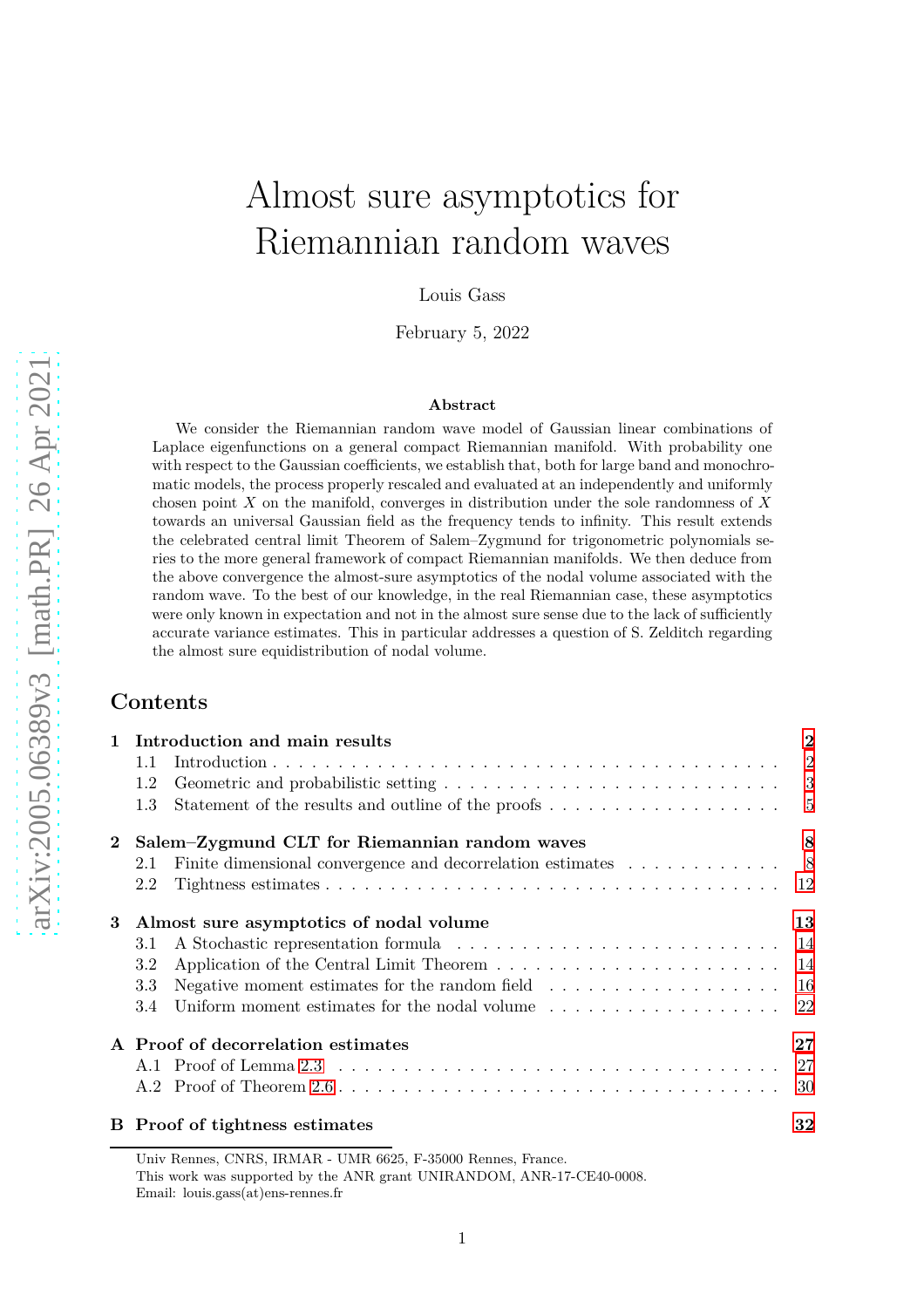# Almost sure asymptotics for Riemannian random waves

Louis Gass

February 5, 2022

#### **Abstract**

We consider the Riemannian random wave model of Gaussian linear combinations of Laplace eigenfunctions on a general compact Riemannian manifold. With probability one with respect to the Gaussian coefficients, we establish that, both for large band and monochromatic models, the process properly rescaled and evaluated at an independently and uniformly chosen point *X* on the manifold, converges in distribution under the sole randomness of *X* towards an universal Gaussian field as the frequency tends to infinity. This result extends the celebrated central limit Theorem of Salem–Zygmund for trigonometric polynomials series to the more general framework of compact Riemannian manifolds. We then deduce from the above convergence the almost-sure asymptotics of the nodal volume associated with the random wave. To the best of our knowledge, in the real Riemannian case, these asymptotics were only known in expectation and not in the almost sure sense due to the lack of sufficiently accurate variance estimates. This in particular addresses a question of S. Zelditch regarding the almost sure equidistribution of nodal volume.

## **Contents**

| $\mathbf{1}$ | Introduction and main results                                                                               |                |  |  |  |
|--------------|-------------------------------------------------------------------------------------------------------------|----------------|--|--|--|
|              | 1.1                                                                                                         | $\overline{2}$ |  |  |  |
|              | Geometric and probabilistic setting $\ldots \ldots \ldots \ldots \ldots \ldots \ldots \ldots \ldots$<br>1.2 |                |  |  |  |
|              | 1.3                                                                                                         |                |  |  |  |
| $\bf{2}$     | Salem-Zygmund CLT for Riemannian random waves                                                               |                |  |  |  |
|              | Finite dimensional convergence and decorrelation estimates 8<br>2.1                                         |                |  |  |  |
|              | 2.2                                                                                                         |                |  |  |  |
| 3            | Almost sure asymptotics of nodal volume                                                                     |                |  |  |  |
|              | 3.1                                                                                                         | -14            |  |  |  |
|              | 3.2                                                                                                         |                |  |  |  |
|              | Negative moment estimates for the random field $\dots \dots \dots \dots \dots \dots \dots$<br>3.3           |                |  |  |  |
|              | Uniform moment estimates for the nodal volume $\ldots \ldots \ldots \ldots \ldots \ldots$ 22<br>3.4         |                |  |  |  |
|              | A Proof of decorrelation estimates                                                                          | $27\,$         |  |  |  |
|              |                                                                                                             |                |  |  |  |
|              |                                                                                                             | 30             |  |  |  |
|              | <b>B</b> Proof of tightness estimates                                                                       | 32             |  |  |  |

Univ Rennes, CNRS, IRMAR - UMR 6625, F-35000 Rennes, France. This work was supported by the ANR grant UNIRANDOM, ANR-17-CE40-0008. Email: louis.gass(at)ens-rennes.fr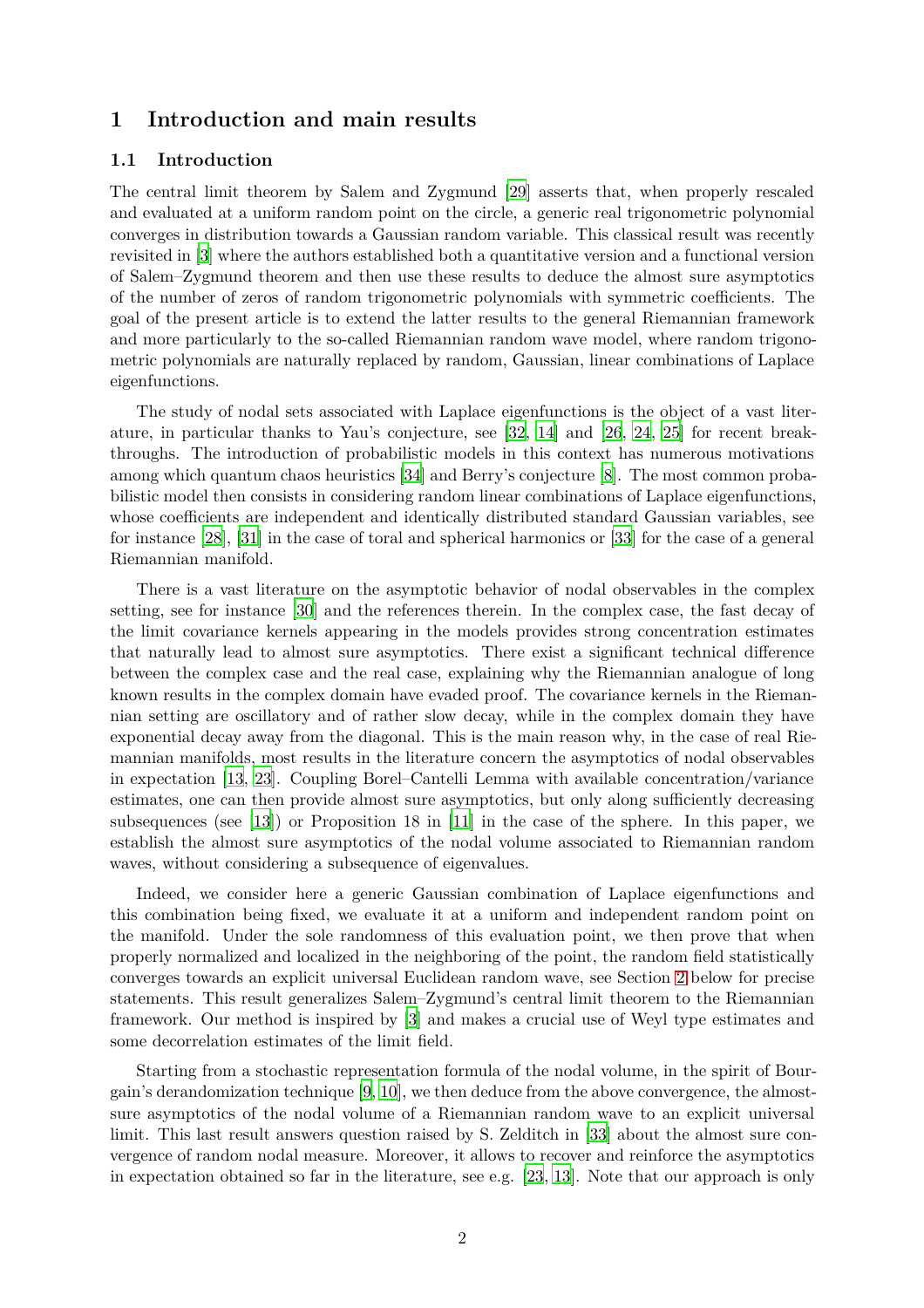# <span id="page-1-1"></span><span id="page-1-0"></span>**1 Introduction and main results**

## **1.1 Introduction**

The central limit theorem by Salem and Zygmund [\[29](#page-34-0)] asserts that, when properly rescaled and evaluated at a uniform random point on the circle, a generic real trigonometric polynomial converges in distribution towards a Gaussian random variable. This classical result was recently revisited in [\[3](#page-33-0)] where the authors established both a quantitative version and a functional version of Salem–Zygmund theorem and then use these results to deduce the almost sure asymptotics of the number of zeros of random trigonometric polynomials with symmetric coefficients. The goal of the present article is to extend the latter results to the general Riemannian framework and more particularly to the so-called Riemannian random wave model, where random trigonometric polynomials are naturally replaced by random, Gaussian, linear combinations of Laplace eigenfunctions.

The study of nodal sets associated with Laplace eigenfunctions is the object of a vast literature, in particular thanks to Yau's conjecture, see [\[32](#page-34-1), [14](#page-33-1)] and [\[26](#page-34-2), [24](#page-34-3), [25\]](#page-34-4) for recent breakthroughs. The introduction of probabilistic models in this context has numerous motivations among which quantum chaos heuristics [\[34](#page-35-0)] and Berry's conjecture [\[8](#page-33-2)]. The most common probabilistic model then consists in considering random linear combinations of Laplace eigenfunctions, whose coefficients are independent and identically distributed standard Gaussian variables, see for instance [\[28\]](#page-34-5), [\[31](#page-34-6)] in the case of toral and spherical harmonics or [\[33\]](#page-35-1) for the case of a general Riemannian manifold.

There is a vast literature on the asymptotic behavior of nodal observables in the complex setting, see for instance [\[30\]](#page-34-7) and the references therein. In the complex case, the fast decay of the limit covariance kernels appearing in the models provides strong concentration estimates that naturally lead to almost sure asymptotics. There exist a significant technical difference between the complex case and the real case, explaining why the Riemannian analogue of long known results in the complex domain have evaded proof. The covariance kernels in the Riemannian setting are oscillatory and of rather slow decay, while in the complex domain they have exponential decay away from the diagonal. This is the main reason why, in the case of real Riemannian manifolds, most results in the literature concern the asymptotics of nodal observables in expectation [\[13,](#page-33-3) [23\]](#page-34-8). Coupling Borel–Cantelli Lemma with available concentration/variance estimates, one can then provide almost sure asymptotics, but only along sufficiently decreasing subsequences (see [\[13](#page-33-3)]) or Proposition 18 in [\[11](#page-33-4)] in the case of the sphere. In this paper, we establish the almost sure asymptotics of the nodal volume associated to Riemannian random waves, without considering a subsequence of eigenvalues.

Indeed, we consider here a generic Gaussian combination of Laplace eigenfunctions and this combination being fixed, we evaluate it at a uniform and independent random point on the manifold. Under the sole randomness of this evaluation point, we then prove that when properly normalized and localized in the neighboring of the point, the random field statistically converges towards an explicit universal Euclidean random wave, see Section [2](#page-7-0) below for precise statements. This result generalizes Salem–Zygmund's central limit theorem to the Riemannian framework. Our method is inspired by [\[3](#page-33-0)] and makes a crucial use of Weyl type estimates and some decorrelation estimates of the limit field.

Starting from a stochastic representation formula of the nodal volume, in the spirit of Bourgain's derandomization technique [\[9](#page-33-5), [10\]](#page-33-6), we then deduce from the above convergence, the almostsure asymptotics of the nodal volume of a Riemannian random wave to an explicit universal limit. This last result answers question raised by S. Zelditch in [\[33\]](#page-35-1) about the almost sure convergence of random nodal measure. Moreover, it allows to recover and reinforce the asymptotics in expectation obtained so far in the literature, see e.g. [\[23](#page-34-8), [13](#page-33-3)]. Note that our approach is only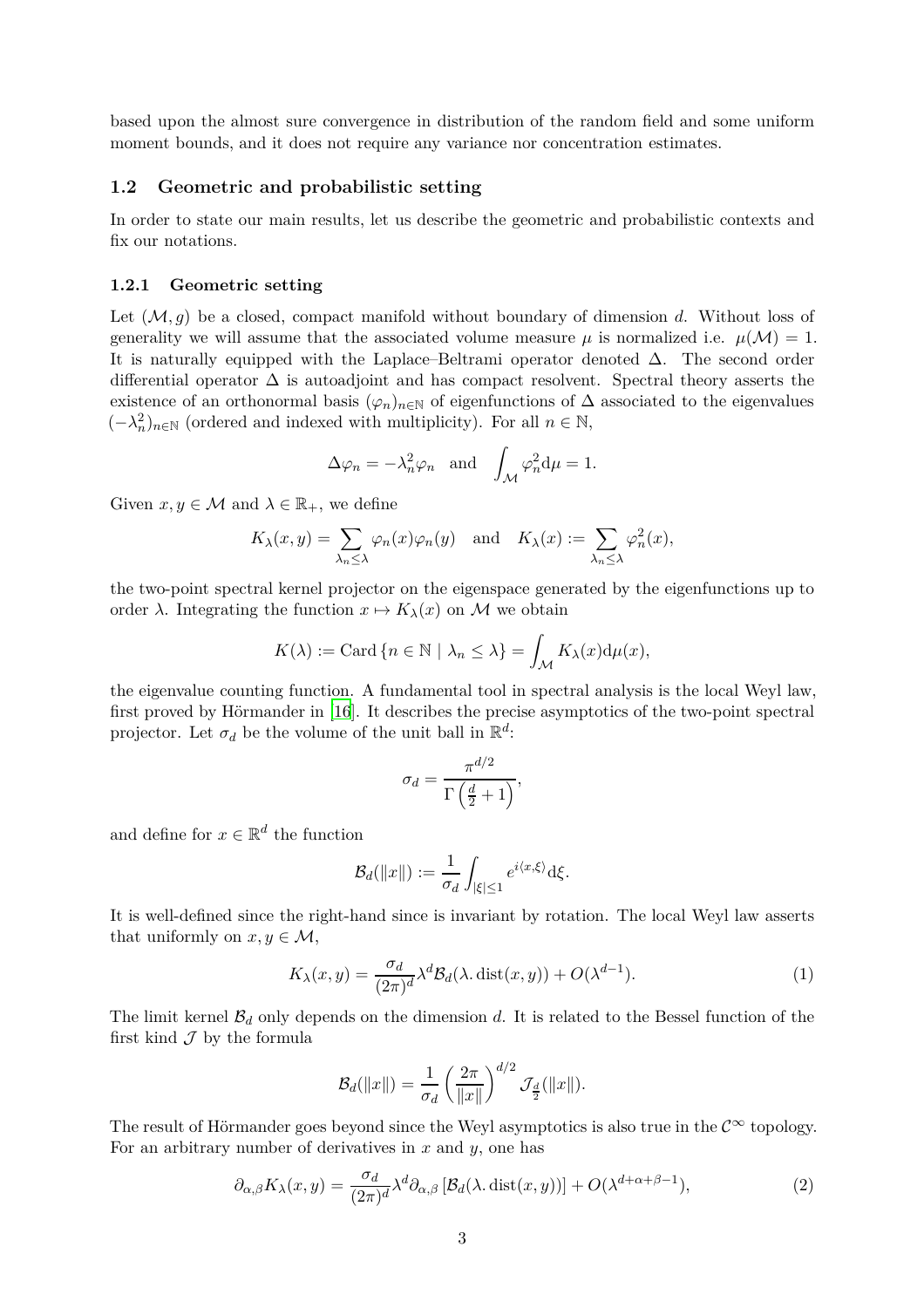based upon the almost sure convergence in distribution of the random field and some uniform moment bounds, and it does not require any variance nor concentration estimates.

## <span id="page-2-0"></span>**1.2 Geometric and probabilistic setting**

In order to state our main results, let us describe the geometric and probabilistic contexts and fix our notations.

## **1.2.1 Geometric setting**

Let (M*, g*) be a closed, compact manifold without boundary of dimension *d*. Without loss of generality we will assume that the associated volume measure  $\mu$  is normalized i.e.  $\mu(\mathcal{M}) = 1$ . It is naturally equipped with the Laplace–Beltrami operator denoted ∆. The second order differential operator ∆ is autoadjoint and has compact resolvent. Spectral theory asserts the existence of an orthonormal basis  $(\varphi_n)_{n\in\mathbb{N}}$  of eigenfunctions of  $\Delta$  associated to the eigenvalues  $(-\lambda_n^2)_{n \in \mathbb{N}}$  (ordered and indexed with multiplicity). For all *n* ∈ N,

$$
\Delta \varphi_n = -\lambda_n^2 \varphi_n \text{ and } \int_{\mathcal{M}} \varphi_n^2 \mathrm{d}\mu = 1.
$$

Given  $x, y \in \mathcal{M}$  and  $\lambda \in \mathbb{R}_+$ , we define

$$
K_{\lambda}(x, y) = \sum_{\lambda_n \leq \lambda} \varphi_n(x) \varphi_n(y)
$$
 and  $K_{\lambda}(x) := \sum_{\lambda_n \leq \lambda} \varphi_n^2(x)$ ,

the two-point spectral kernel projector on the eigenspace generated by the eigenfunctions up to order  $\lambda$ . Integrating the function  $x \mapsto K_{\lambda}(x)$  on M we obtain

$$
K(\lambda) := \text{Card}\left\{n \in \mathbb{N} \mid \lambda_n \leq \lambda\right\} = \int_{\mathcal{M}} K_{\lambda}(x) d\mu(x),
$$

the eigenvalue counting function. A fundamental tool in spectral analysis is the local Weyl law, first proved by Hörmander in [\[16](#page-33-7)]. It describes the precise asymptotics of the two-point spectral projector. Let  $\sigma_d$  be the volume of the unit ball in  $\mathbb{R}^d$ :

$$
\sigma_d = \frac{\pi^{d/2}}{\Gamma\left(\frac{d}{2} + 1\right)},
$$

and define for  $x \in \mathbb{R}^d$  the function

$$
\mathcal{B}_d(\|x\|) := \frac{1}{\sigma_d} \int_{|\xi| \le 1} e^{i\langle x, \xi \rangle} d\xi.
$$

It is well-defined since the right-hand since is invariant by rotation. The local Weyl law asserts that uniformly on  $x, y \in \mathcal{M}$ ,

$$
K_{\lambda}(x,y) = \frac{\sigma_d}{(2\pi)^d} \lambda^d \mathcal{B}_d(\lambda, \text{dist}(x,y)) + O(\lambda^{d-1}).
$$
\n(1)

The limit kernel  $\mathcal{B}_d$  only depends on the dimension  $d$ . It is related to the Bessel function of the first kind  $\mathcal J$  by the formula

$$
\mathcal{B}_d(||x||) = \frac{1}{\sigma_d} \left(\frac{2\pi}{||x||}\right)^{d/2} \mathcal{J}_{\frac{d}{2}}(||x||).
$$

The result of Hörmander goes beyond since the Weyl asymptotics is also true in the  $\mathcal{C}^{\infty}$  topology. For an arbitrary number of derivatives in *x* and *y*, one has

$$
\partial_{\alpha,\beta} K_{\lambda}(x,y) = \frac{\sigma_d}{(2\pi)^d} \lambda^d \partial_{\alpha,\beta} \left[ \mathcal{B}_d(\lambda, \text{dist}(x,y)) \right] + O(\lambda^{d+\alpha+\beta-1}), \tag{2}
$$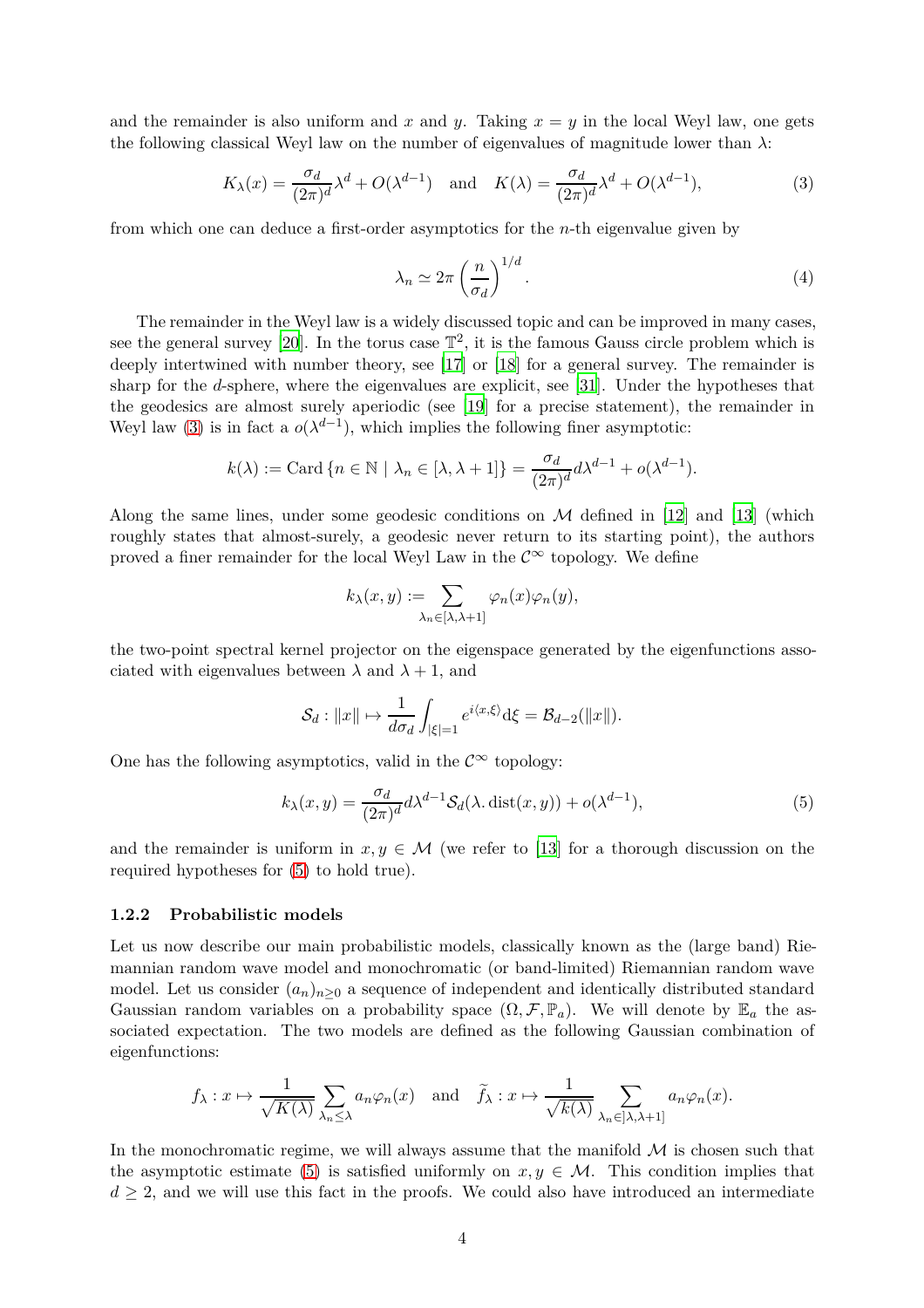and the remainder is also uniform and x and y. Taking  $x = y$  in the local Weyl law, one gets the following classical Weyl law on the number of eigenvalues of magnitude lower than *λ*:

$$
K_{\lambda}(x) = \frac{\sigma_d}{(2\pi)^d} \lambda^d + O(\lambda^{d-1}) \quad \text{and} \quad K(\lambda) = \frac{\sigma_d}{(2\pi)^d} \lambda^d + O(\lambda^{d-1}),\tag{3}
$$

from which one can deduce a first-order asymptotics for the *n*-th eigenvalue given by

<span id="page-3-2"></span><span id="page-3-0"></span>
$$
\lambda_n \simeq 2\pi \left(\frac{n}{\sigma_d}\right)^{1/d}.\tag{4}
$$

The remainder in the Weyl law is a widely discussed topic and can be improved in many cases, see the general survey [\[20\]](#page-34-9). In the torus case  $\mathbb{T}^2$ , it is the famous Gauss circle problem which is deeply intertwined with number theory, see [\[17](#page-34-10)] or [\[18](#page-34-11)] for a general survey. The remainder is sharp for the *d*-sphere, where the eigenvalues are explicit, see [\[31](#page-34-6)]. Under the hypotheses that the geodesics are almost surely aperiodic (see [\[19\]](#page-34-12) for a precise statement), the remainder in Weyl law [\(3\)](#page-3-0) is in fact a  $o(\lambda^{d-1})$ , which implies the following finer asymptotic:

$$
k(\lambda) := \text{Card}\left\{n \in \mathbb{N} \mid \lambda_n \in [\lambda, \lambda + 1]\right\} = \frac{\sigma_d}{(2\pi)^d} d\lambda^{d-1} + o(\lambda^{d-1}).
$$

Along the same lines, under some geodesic conditions on  $\mathcal M$  defined in [\[12](#page-33-8)] and [\[13\]](#page-33-3) (which roughly states that almost-surely, a geodesic never return to its starting point), the authors proved a finer remainder for the local Weyl Law in the  $\mathcal{C}^{\infty}$  topology. We define

<span id="page-3-1"></span>
$$
k_{\lambda}(x,y) := \sum_{\lambda_n \in [\lambda, \lambda+1]} \varphi_n(x) \varphi_n(y),
$$

the two-point spectral kernel projector on the eigenspace generated by the eigenfunctions associated with eigenvalues between  $\lambda$  and  $\lambda + 1$ , and

$$
\mathcal{S}_d: ||x|| \mapsto \frac{1}{d\sigma_d} \int_{|\xi|=1} e^{i\langle x,\xi \rangle} d\xi = \mathcal{B}_{d-2}(||x||).
$$

One has the following asymptotics, valid in the  $\mathcal{C}^{\infty}$  topology:

$$
k_{\lambda}(x,y) = \frac{\sigma_d}{(2\pi)^d} d\lambda^{d-1} \mathcal{S}_d(\lambda, \text{dist}(x,y)) + o(\lambda^{d-1}),
$$
\n(5)

and the remainder is uniform in  $x, y \in \mathcal{M}$  (we refer to [\[13](#page-33-3)] for a thorough discussion on the required hypotheses for [\(5\)](#page-3-1) to hold true).

#### **1.2.2 Probabilistic models**

Let us now describe our main probabilistic models, classically known as the (large band) Riemannian random wave model and monochromatic (or band-limited) Riemannian random wave model. Let us consider  $(a_n)_{n>0}$  a sequence of independent and identically distributed standard Gaussian random variables on a probability space  $(\Omega, \mathcal{F}, \mathbb{P}_a)$ . We will denote by  $\mathbb{E}_a$  the associated expectation. The two models are defined as the following Gaussian combination of eigenfunctions:

$$
f_{\lambda}: x \mapsto \frac{1}{\sqrt{K(\lambda)}} \sum_{\lambda_n \leq \lambda} a_n \varphi_n(x)
$$
 and  $\widetilde{f}_{\lambda}: x \mapsto \frac{1}{\sqrt{k(\lambda)}} \sum_{\lambda_n \in [\lambda, \lambda+1]} a_n \varphi_n(x)$ .

In the monochromatic regime, we will always assume that the manifold  $\mathcal M$  is chosen such that the asymptotic estimate [\(5\)](#page-3-1) is satisfied uniformly on  $x, y \in \mathcal{M}$ . This condition implies that  $d \geq 2$ , and we will use this fact in the proofs. We could also have introduced an intermediate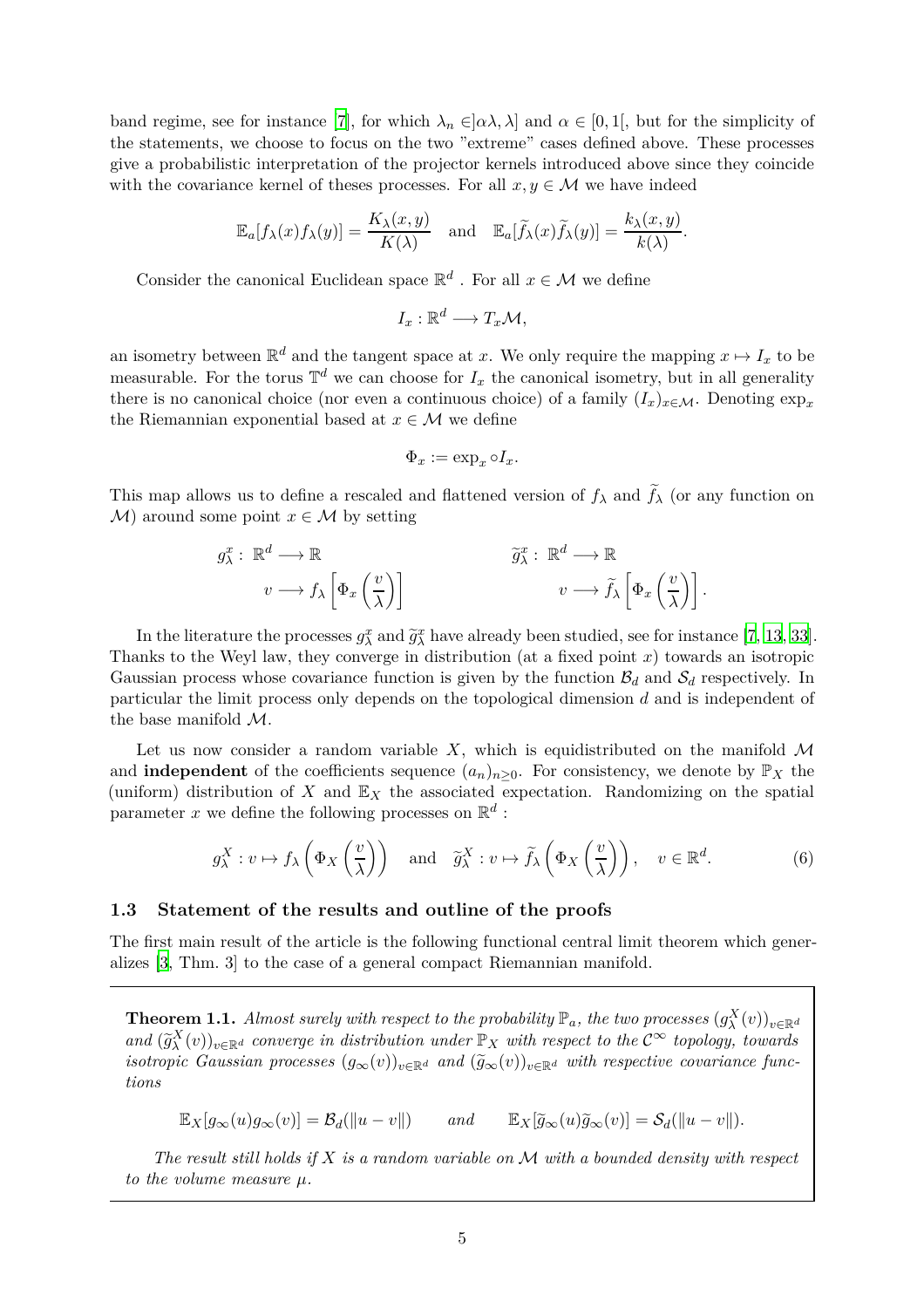band regime, see for instance [\[7\]](#page-33-9), for which  $\lambda_n \in ]\alpha\lambda, \lambda]$  and  $\alpha \in [0,1]$ , but for the simplicity of the statements, we choose to focus on the two "extreme" cases defined above. These processes give a probabilistic interpretation of the projector kernels introduced above since they coincide with the covariance kernel of theses processes. For all  $x, y \in M$  we have indeed

$$
\mathbb{E}_a[f_\lambda(x)f_\lambda(y)] = \frac{K_\lambda(x,y)}{K(\lambda)} \quad \text{and} \quad \mathbb{E}_a[\widetilde{f}_\lambda(x)\widetilde{f}_\lambda(y)] = \frac{k_\lambda(x,y)}{k(\lambda)}.
$$

Consider the canonical Euclidean space  $\mathbb{R}^d$  . For all  $x \in \mathcal{M}$  we define

$$
I_x:\mathbb{R}^d\longrightarrow T_x\mathcal{M},
$$

an isometry between  $\mathbb{R}^d$  and the tangent space at *x*. We only require the mapping  $x \mapsto I_x$  to be measurable. For the torus  $\mathbb{T}^d$  we can choose for  $I_x$  the canonical isometry, but in all generality there is no canonical choice (nor even a continuous choice) of a family  $(I_x)_{x\in\mathcal{M}}$ . Denoting  $\exp_x$ the Riemannian exponential based at  $x \in \mathcal{M}$  we define

<span id="page-4-2"></span>
$$
\Phi_x := \exp_x \circ I_x.
$$

This map allows us to define a rescaled and flattened version of  $f_{\lambda}$  and  $\tilde{f}_{\lambda}$  (or any function on  $\mathcal{M}$ ) around some point  $x \in \mathcal{M}$  by setting

$$
g_{\lambda}^{x} : \mathbb{R}^{d} \longrightarrow \mathbb{R}
$$
  

$$
v \longrightarrow f_{\lambda} \left[ \Phi_{x} \left( \frac{v}{\lambda} \right) \right]
$$

$$
\widetilde{g}_{\lambda}^{x} : \mathbb{R}^{d} \longrightarrow \mathbb{R}
$$
  

$$
v \longrightarrow \widetilde{f}_{\lambda} \left[ \Phi_{x} \left( \frac{v}{\lambda} \right) \right].
$$

In the literature the processes  $g_{\lambda}^{x}$  and  $\tilde{g}_{\lambda}^{x}$  have already been studied, see for instance [\[7,](#page-33-9) [13,](#page-33-3) [33](#page-35-1)]. Thanks to the Weyl law, they converge in distribution (at a fixed point *x*) towards an isotropic Gaussian process whose covariance function is given by the function  $\mathcal{B}_d$  and  $\mathcal{S}_d$  respectively. In particular the limit process only depends on the topological dimension *d* and is independent of the base manifold M.

Let us now consider a random variable  $X$ , which is equidistributed on the manifold  $\mathcal M$ and **independent** of the coefficients sequence  $(a_n)_{n>0}$ . For consistency, we denote by  $\mathbb{P}_X$  the (uniform) distribution of *X* and  $\mathbb{E}_X$  the associated expectation. Randomizing on the spatial parameter x we define the following processes on  $\mathbb{R}^d$ :

$$
g_{\lambda}^{X}: v \mapsto f_{\lambda}\left(\Phi_{X}\left(\frac{v}{\lambda}\right)\right) \quad \text{and} \quad \widetilde{g}_{\lambda}^{X}: v \mapsto \widetilde{f}_{\lambda}\left(\Phi_{X}\left(\frac{v}{\lambda}\right)\right), \quad v \in \mathbb{R}^{d}.
$$

### <span id="page-4-0"></span>**1.3 Statement of the results and outline of the proofs**

The first main result of the article is the following functional central limit theorem which generalizes [\[3](#page-33-0), Thm. 3] to the case of a general compact Riemannian manifold.

<span id="page-4-1"></span>**Theorem 1.1.** *Almost surely with respect to the probability*  $\mathbb{P}_a$ *, the two processes*  $(g_{\lambda}^X(v))_{v \in \mathbb{R}^d}$ *and*  $(\widetilde{g}_{\lambda}^{X}(v))_{v\in\mathbb{R}^{d}}$  *converge in distribution under*  $\mathbb{P}_{X}$  *with respect to the*  $C^{\infty}$  *topology, towards isotropic Gaussian processes*  $(g_{\infty}(v))_{v \in \mathbb{R}^d}$  *and*  $(\widetilde{g}_{\infty}(v))_{v \in \mathbb{R}^d}$  *with respective covariance functions*

 $\mathbb{E}_X[g_{\infty}(u)g_{\infty}(v)] = \mathcal{B}_d(\Vert u - v \Vert)$  *and*  $\mathbb{E}_X[\widetilde{g}_{\infty}(u)\widetilde{g}_{\infty}(v)] = \mathcal{S}_d(\Vert u - v \Vert).$ 

*The result still holds if X is a random variable on* M *with a bounded density with respect to the volume measure µ.*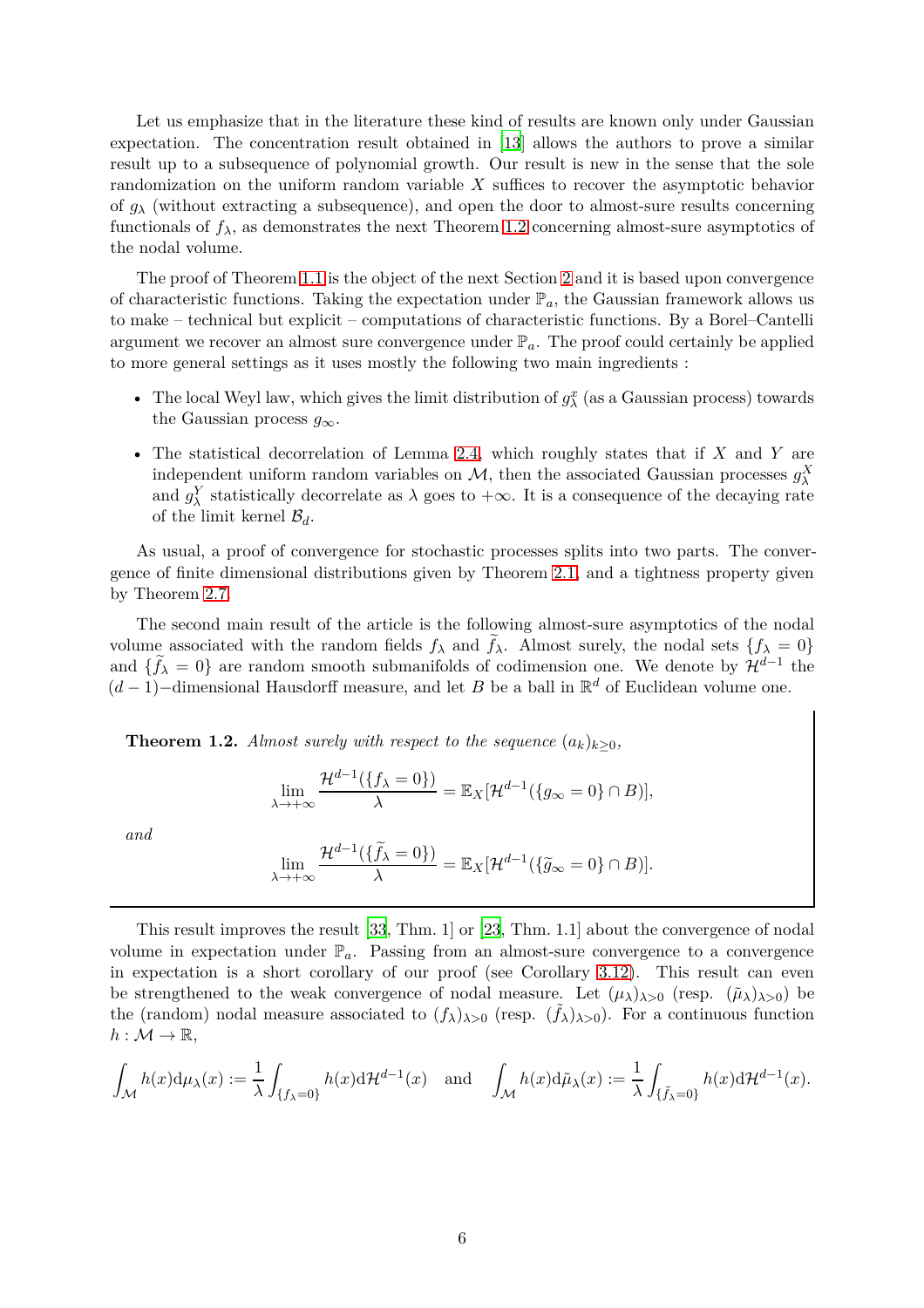Let us emphasize that in the literature these kind of results are known only under Gaussian expectation. The concentration result obtained in [\[13](#page-33-3)] allows the authors to prove a similar result up to a subsequence of polynomial growth. Our result is new in the sense that the sole randomization on the uniform random variable *X* suffices to recover the asymptotic behavior of  $g_{\lambda}$  (without extracting a subsequence), and open the door to almost-sure results concerning functionals of  $f_{\lambda}$ , as demonstrates the next Theorem [1.2](#page-5-0) concerning almost-sure asymptotics of the nodal volume.

The proof of Theorem [1.1](#page-4-1) is the object of the next Section [2](#page-7-0) and it is based upon convergence of characteristic functions. Taking the expectation under  $\mathbb{P}_a$ , the Gaussian framework allows us to make – technical but explicit – computations of characteristic functions. By a Borel–Cantelli argument we recover an almost sure convergence under  $\mathbb{P}_a$ . The proof could certainly be applied to more general settings as it uses mostly the following two main ingredients :

- The local Weyl law, which gives the limit distribution of  $g_{\lambda}^{x}$  (as a Gaussian process) towards the Gaussian process  $g_{\infty}$ .
- The statistical decorrelation of Lemma [2.4,](#page-9-1) which roughly states that if *X* and *Y* are independent uniform random variables on  $\mathcal{M}$ , then the associated Gaussian processes  $g_{\lambda}^{X}$ and  $g_{\lambda}^{Y}$  statistically decorrelate as  $\lambda$  goes to  $+\infty$ . It is a consequence of the decaying rate of the limit kernel  $\mathcal{B}_d$ .

As usual, a proof of convergence for stochastic processes splits into two parts. The convergence of finite dimensional distributions given by Theorem [2.1,](#page-7-2) and a tightness property given by Theorem [2.7.](#page-12-1)

The second main result of the article is the following almost-sure asymptotics of the nodal volume associated with the random fields  $f_{\lambda}$  and  $f_{\lambda}$ . Almost surely, the nodal sets  $\{f_{\lambda} = 0\}$ and  $\{\tilde{f}_{\lambda} = 0\}$  are random smooth submanifolds of codimension one. We denote by  $\mathcal{H}^{d-1}$  the  $(d-1)$ –dimensional Hausdorff measure, and let *B* be a ball in  $\mathbb{R}^d$  of Euclidean volume one.

<span id="page-5-0"></span>**Theorem 1.2.** *Almost surely with respect to the sequence*  $(a_k)_{k>0}$ *,* 

$$
\lim_{\lambda \to +\infty} \frac{\mathcal{H}^{d-1}(\{f_{\lambda} = 0\})}{\lambda} = \mathbb{E}_X[\mathcal{H}^{d-1}(\{g_{\infty} = 0\} \cap B)],
$$

*and*

$$
\lim_{\lambda \to +\infty} \frac{\mathcal{H}^{d-1}(\{\widetilde{f}_{\lambda} = 0\})}{\lambda} = \mathbb{E}_X[\mathcal{H}^{d-1}(\{\widetilde{g}_{\infty} = 0\} \cap B)].
$$

This result improves the result [\[33](#page-35-1), Thm. 1] or [\[23](#page-34-8), Thm. 1.1] about the convergence of nodal volume in expectation under  $\mathbb{P}_a$ . Passing from an almost-sure convergence to a convergence in expectation is a short corollary of our proof (see Corollary [3.12\)](#page-25-0). This result can even be strengthened to the weak convergence of nodal measure. Let  $(\mu_{\lambda})_{\lambda>0}$  (resp.  $(\tilde{\mu}_{\lambda})_{\lambda>0}$ ) be the (random) nodal measure associated to  $(f_{\lambda})_{\lambda>0}$  (resp.  $(\tilde{f}_{\lambda})_{\lambda>0}$ ). For a continuous function  $h: \mathcal{M} \to \mathbb{R},$ 

$$
\int_{\mathcal{M}} h(x) d\mu_{\lambda}(x) := \frac{1}{\lambda} \int_{\{f_{\lambda} = 0\}} h(x) d\mathcal{H}^{d-1}(x) \quad \text{and} \quad \int_{\mathcal{M}} h(x) d\tilde{\mu}_{\lambda}(x) := \frac{1}{\lambda} \int_{\{\tilde{f}_{\lambda} = 0\}} h(x) d\mathcal{H}^{d-1}(x).
$$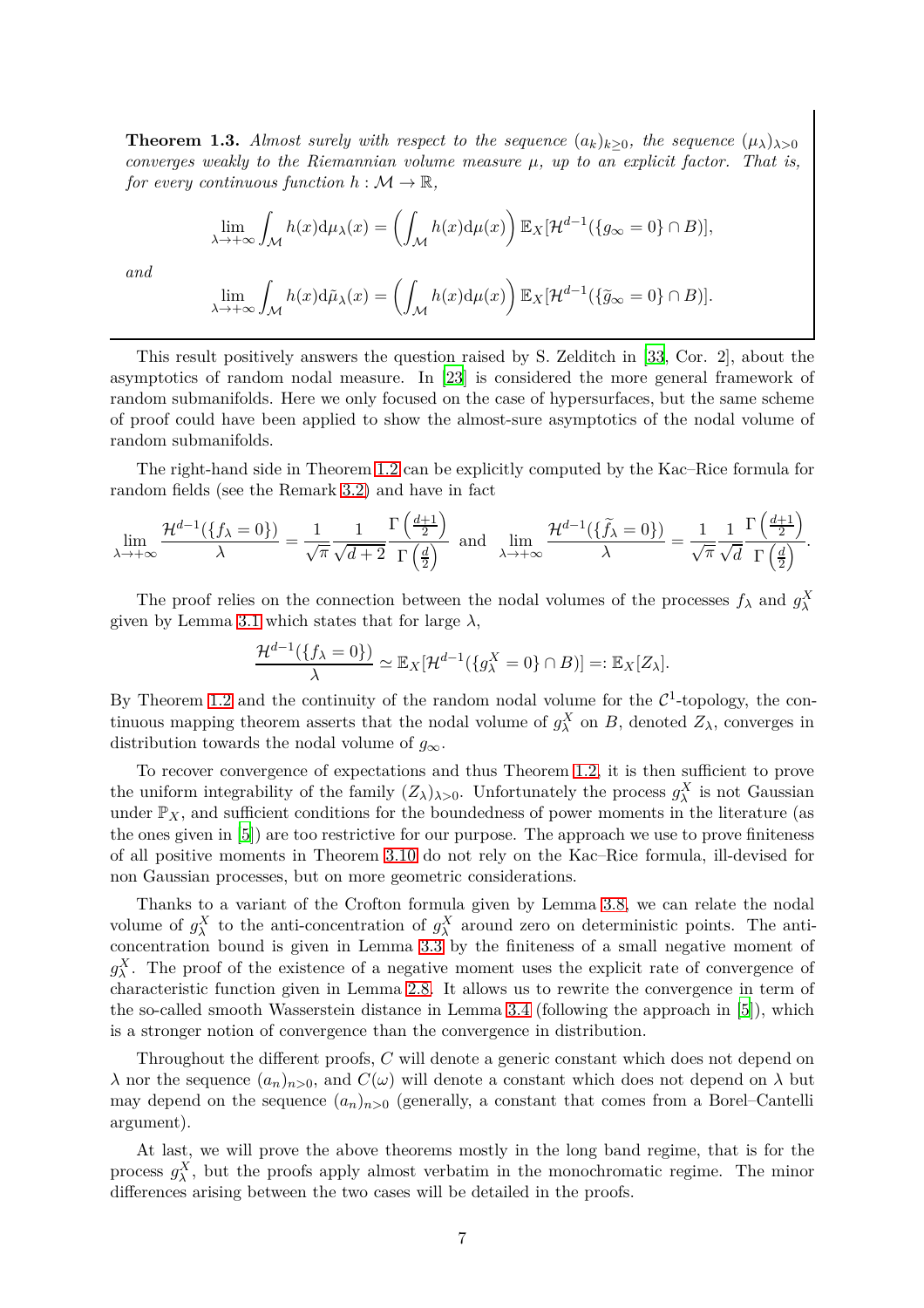<span id="page-6-0"></span>**Theorem 1.3.** *Almost surely with respect to the sequence*  $(a_k)_{k>0}$ *, the sequence*  $(\mu_{\lambda})_{\lambda>0}$ *converges weakly to the Riemannian volume measure µ, up to an explicit factor. That is, for every continuous function*  $h : \mathcal{M} \to \mathbb{R}$ *,* 

$$
\lim_{\lambda \to +\infty} \int_{\mathcal{M}} h(x) d\mu_{\lambda}(x) = \left( \int_{\mathcal{M}} h(x) d\mu(x) \right) \mathbb{E}_{X} [\mathcal{H}^{d-1}(\{g_{\infty} = 0\} \cap B)],
$$
  

$$
\lim_{\lambda \to +\infty} \int_{\mathcal{M}} h(x) d\tilde{\mu}_{\lambda}(x) = \left( \int_{\mathcal{M}} h(x) d\mu(x) \right) \mathbb{E}_{\lambda}[2d^{-1}(\{\tilde{\lambda} = 0\} \cap B)]
$$

*and*

$$
\lim_{\lambda \to +\infty} \int_{\mathcal{M}} h(x) d\tilde{\mu}_{\lambda}(x) = \left( \int_{\mathcal{M}} h(x) d\mu(x) \right) \mathbb{E}_{X} [\mathcal{H}^{d-1}(\{\tilde{g}_{\infty} = 0\} \cap B)].
$$

This result positively answers the question raised by S. Zelditch in [\[33,](#page-35-1) Cor. 2], about the asymptotics of random nodal measure. In [\[23](#page-34-8)] is considered the more general framework of random submanifolds. Here we only focused on the case of hypersurfaces, but the same scheme of proof could have been applied to show the almost-sure asymptotics of the nodal volume of random submanifolds.

The right-hand side in Theorem [1.2](#page-5-0) can be explicitly computed by the Kac–Rice formula for random fields (see the Remark [3.2\)](#page-15-1) and have in fact

$$
\lim_{\lambda \to +\infty} \frac{\mathcal{H}^{d-1}(\{f_{\lambda} = 0\})}{\lambda} = \frac{1}{\sqrt{\pi}} \frac{1}{\sqrt{d+2}} \frac{\Gamma\left(\frac{d+1}{2}\right)}{\Gamma\left(\frac{d}{2}\right)} \text{ and } \lim_{\lambda \to +\infty} \frac{\mathcal{H}^{d-1}(\{\widetilde{f}_{\lambda} = 0\})}{\lambda} = \frac{1}{\sqrt{\pi}} \frac{1}{\sqrt{d}} \frac{\Gamma\left(\frac{d+1}{2}\right)}{\Gamma\left(\frac{d}{2}\right)}.
$$

The proof relies on the connection between the nodal volumes of the processes  $f_{\lambda}$  and  $g_{\lambda}^X$ given by Lemma [3.1](#page-13-2) which states that for large  $\lambda$ ,

$$
\frac{\mathcal{H}^{d-1}(\{f_{\lambda}=0\})}{\lambda}\simeq \mathbb{E}_X[\mathcal{H}^{d-1}(\{g_{\lambda}^X=0\}\cap B)]=:\mathbb{E}_X[Z_{\lambda}].
$$

By Theorem [1.2](#page-5-0) and the continuity of the random nodal volume for the  $\mathcal{C}^1$ -topology, the continuous mapping theorem asserts that the nodal volume of  $g_{\lambda}^X$  on *B*, denoted  $Z_{\lambda}$ , converges in distribution towards the nodal volume of  $g_{\infty}$ .

To recover convergence of expectations and thus Theorem [1.2,](#page-5-0) it is then sufficient to prove the uniform integrability of the family  $(Z_\lambda)_{\lambda>0}$ . Unfortunately the process  $g_\lambda^X$  is not Gaussian under  $\mathbb{P}_X$ , and sufficient conditions for the boundedness of power moments in the literature (as the ones given in [\[5](#page-33-10)]) are too restrictive for our purpose. The approach we use to prove finiteness of all positive moments in Theorem [3.10](#page-23-0) do not rely on the Kac–Rice formula, ill-devised for non Gaussian processes, but on more geometric considerations.

Thanks to a variant of the Crofton formula given by Lemma [3.8,](#page-21-1) we can relate the nodal volume of  $g_{\lambda}^X$  to the anti-concentration of  $g_{\lambda}^X$  around zero on deterministic points. The anticoncentration bound is given in Lemma [3.3](#page-16-0) by the finiteness of a small negative moment of  $g_{\lambda}^X$ . The proof of the existence of a negative moment uses the explicit rate of convergence of characteristic function given in Lemma [2.8.](#page-12-2) It allows us to rewrite the convergence in term of the so-called smooth Wasserstein distance in Lemma [3.4](#page-16-1) (following the approach in [\[5\]](#page-33-10)), which is a stronger notion of convergence than the convergence in distribution.

Throughout the different proofs, *C* will denote a generic constant which does not depend on *λ* nor the sequence  $(a_n)_{n>0}$ , and  $C(\omega)$  will denote a constant which does not depend on *λ* but may depend on the sequence  $(a_n)_{n>0}$  (generally, a constant that comes from a Borel–Cantelli argument).

At last, we will prove the above theorems mostly in the long band regime, that is for the process  $g_{\lambda}^{X}$ , but the proofs apply almost verbatim in the monochromatic regime. The minor differences arising between the two cases will be detailed in the proofs.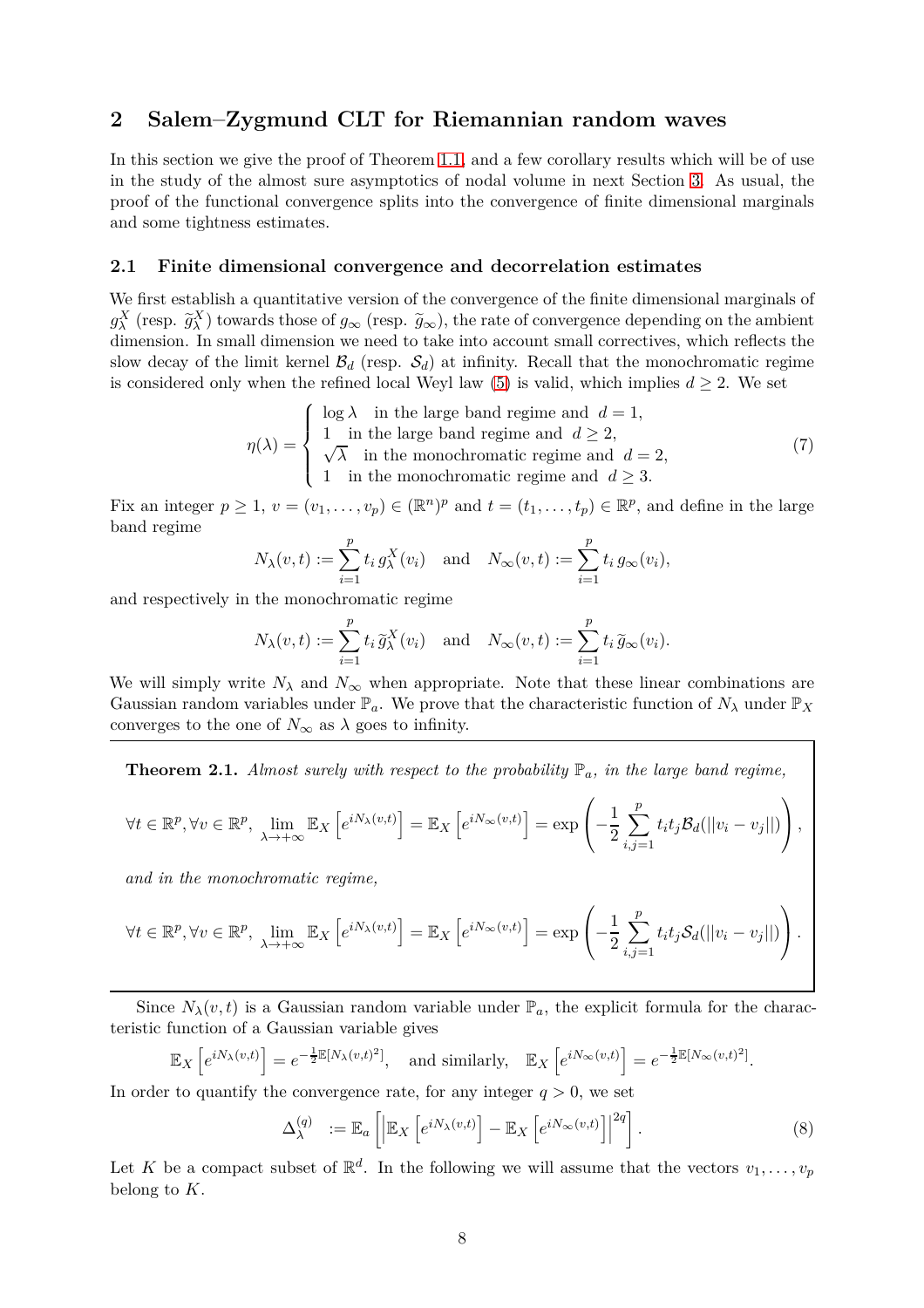# <span id="page-7-0"></span>**2 Salem–Zygmund CLT for Riemannian random waves**

In this section we give the proof of Theorem [1.1,](#page-4-1) and a few corollary results which will be of use in the study of the almost sure asymptotics of nodal volume in next Section [3.](#page-12-0) As usual, the proof of the functional convergence splits into the convergence of finite dimensional marginals and some tightness estimates.

#### <span id="page-7-1"></span>**2.1 Finite dimensional convergence and decorrelation estimates**

We first establish a quantitative version of the convergence of the finite dimensional marginals of  $g_{\lambda}^{X}$  (resp.  $\tilde{g}_{\lambda}^{X}$ ) towards those of  $g_{\infty}$  (resp.  $\tilde{g}_{\infty}$ ), the rate of convergence depending on the ambient dimension. In small dimension we need to take into account small correctives, which reflects the slow decay of the limit kernel  $\mathcal{B}_d$  (resp.  $\mathcal{S}_d$ ) at infinity. Recall that the monochromatic regime is considered only when the refined local Weyl law [\(5\)](#page-3-1) is valid, which implies  $d \geq 2$ . We set

$$
\eta(\lambda) = \begin{cases}\n\log \lambda & \text{in the large band regime and } d = 1, \\
1 & \text{in the large band regime and } d \ge 2, \\
\sqrt{\lambda} & \text{in the monochromatic regime and } d = 2, \\
1 & \text{in the monochromatic regime and } d \ge 3.\n\end{cases}
$$
\n(7)

Fix an integer  $p \ge 1$ ,  $v = (v_1, \ldots, v_p) \in (\mathbb{R}^n)^p$  and  $t = (t_1, \ldots, t_p) \in \mathbb{R}^p$ , and define in the large band regime

<span id="page-7-3"></span>
$$
N_{\lambda}(v,t) := \sum_{i=1}^{p} t_i g_{\lambda}^{X}(v_i) \text{ and } N_{\infty}(v,t) := \sum_{i=1}^{p} t_i g_{\infty}(v_i),
$$

and respectively in the monochromatic regime

$$
N_{\lambda}(v, t) := \sum_{i=1}^{p} t_i \tilde{g}_{\lambda}^{X}(v_i)
$$
 and  $N_{\infty}(v, t) := \sum_{i=1}^{p} t_i \tilde{g}_{\infty}(v_i)$ .

We will simply write  $N_\lambda$  and  $N_\infty$  when appropriate. Note that these linear combinations are Gaussian random variables under  $\mathbb{P}_a$ . We prove that the characteristic function of  $N_\lambda$  under  $\mathbb{P}_X$ converges to the one of  $N_{\infty}$  as  $\lambda$  goes to infinity.

<span id="page-7-2"></span>**Theorem 2.1.** *Almost surely with respect to the probability* P*a, in the large band regime,*

$$
\forall t \in \mathbb{R}^p, \forall v \in \mathbb{R}^p, \lim_{\lambda \to +\infty} \mathbb{E}_X \left[ e^{i N_\lambda(v,t)} \right] = \mathbb{E}_X \left[ e^{i N_\infty(v,t)} \right] = \exp \left( -\frac{1}{2} \sum_{i,j=1}^p t_i t_j \mathcal{B}_d(||v_i - v_j||) \right),
$$

*and in the monochromatic regime,*

$$
\forall t \in \mathbb{R}^p, \forall v \in \mathbb{R}^p, \lim_{\lambda \to +\infty} \mathbb{E}_X \left[ e^{iN_\lambda(v,t)} \right] = \mathbb{E}_X \left[ e^{iN_\infty(v,t)} \right] = \exp \left( -\frac{1}{2} \sum_{i,j=1}^p t_i t_j S_d(||v_i - v_j||) \right).
$$

Since  $N_{\lambda}(v, t)$  is a Gaussian random variable under  $\mathbb{P}_a$ , the explicit formula for the characteristic function of a Gaussian variable gives

$$
\mathbb{E}_X\left[e^{iN_\lambda(v,t)}\right] = e^{-\frac{1}{2}\mathbb{E}[N_\lambda(v,t)^2]}, \text{ and similarly, } \mathbb{E}_X\left[e^{iN_\infty(v,t)}\right] = e^{-\frac{1}{2}\mathbb{E}[N_\infty(v,t)^2]}.
$$

In order to quantify the convergence rate, for any integer  $q > 0$ , we set

$$
\Delta_{\lambda}^{(q)} := \mathbb{E}_a \left[ \left| \mathbb{E}_X \left[ e^{i N_{\lambda}(v,t)} \right] - \mathbb{E}_X \left[ e^{i N_{\infty}(v,t)} \right] \right|^{2q} \right]. \tag{8}
$$

Let K be a compact subset of  $\mathbb{R}^d$ . In the following we will assume that the vectors  $v_1, \ldots, v_p$ belong to *K*.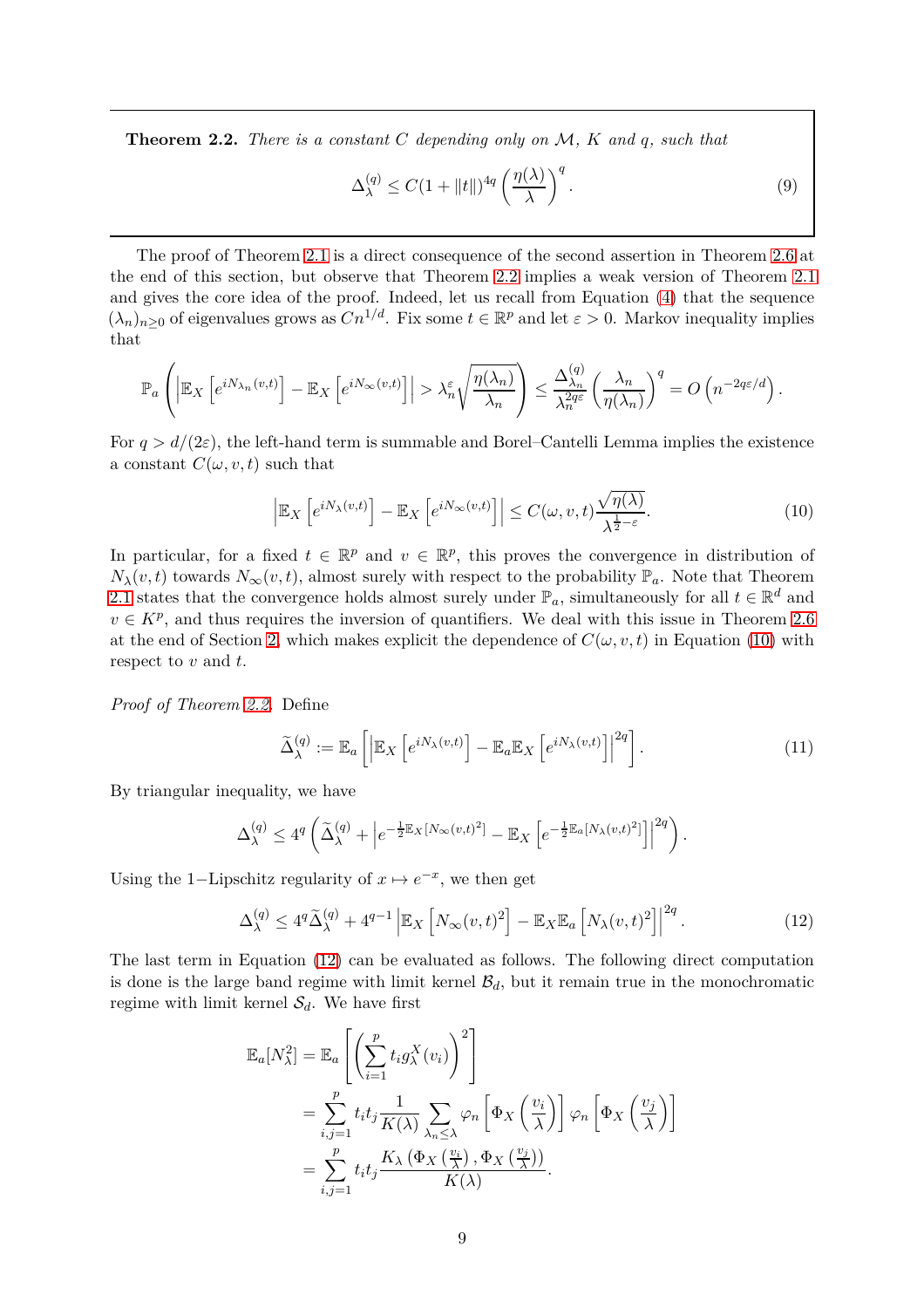<span id="page-8-0"></span>**Theorem 2.2.** *There is a constant C depending only on* M*, K and q, such that*

$$
\Delta_{\lambda}^{(q)} \le C(1 + ||t||)^{4q} \left(\frac{\eta(\lambda)}{\lambda}\right)^{q}.
$$
\n(9)

The proof of Theorem [2.1](#page-7-2) is a direct consequence of the second assertion in Theorem [2.6](#page-11-1) at the end of this section, but observe that Theorem [2.2](#page-8-0) implies a weak version of Theorem [2.1](#page-7-2) and gives the core idea of the proof. Indeed, let us recall from Equation [\(4\)](#page-3-2) that the sequence  $(\lambda_n)_{n\geq 0}$  of eigenvalues grows as  $Cn^{1/d}$ . Fix some  $t \in \mathbb{R}^p$  and let  $\varepsilon > 0$ . Markov inequality implies that

$$
\mathbb{P}_a\left(\left|\mathbb{E}_X\left[e^{iN_{\lambda_n}(v,t)}\right]-\mathbb{E}_X\left[e^{iN_\infty(v,t)}\right]\right|>\lambda_n^\varepsilon\sqrt{\frac{\eta(\lambda_n)}{\lambda_n}}\right)\leq \frac{\Delta_{\lambda_n}^{(q)}}{\lambda_n^{2q\varepsilon}}\left(\frac{\lambda_n}{\eta(\lambda_n)}\right)^q=O\left(n^{-2q\varepsilon/d}\right).
$$

For  $q > d/(2\varepsilon)$ , the left-hand term is summable and Borel–Cantelli Lemma implies the existence a constant  $C(\omega, v, t)$  such that

<span id="page-8-1"></span>
$$
\left| \mathbb{E}_X \left[ e^{i N_\lambda(v,t)} \right] - \mathbb{E}_X \left[ e^{i N_\infty(v,t)} \right] \right| \le C(\omega, v, t) \frac{\sqrt{\eta(\lambda)}}{\lambda^{\frac{1}{2} - \varepsilon}}.
$$
\n(10)

In particular, for a fixed  $t \in \mathbb{R}^p$  and  $v \in \mathbb{R}^p$ , this proves the convergence in distribution of  $N_{\lambda}(v, t)$  towards  $N_{\infty}(v, t)$ , almost surely with respect to the probability  $\mathbb{P}_a$ . Note that Theorem [2.1](#page-7-2) states that the convergence holds almost surely under  $\mathbb{P}_a$ , simultaneously for all  $t \in \mathbb{R}^d$  and  $v \in K^p$ , and thus requires the inversion of quantifiers. We deal with this issue in Theorem [2.6](#page-11-1) at the end of Section [2,](#page-7-0) which makes explicit the dependence of  $C(\omega, v, t)$  in Equation [\(10\)](#page-8-1) with respect to *v* and *t*.

*Proof of Theorem [2.2.](#page-8-0)* Define

<span id="page-8-2"></span>
$$
\widetilde{\Delta}_{\lambda}^{(q)} := \mathbb{E}_a \left[ \left| \mathbb{E}_X \left[ e^{i N_{\lambda}(v,t)} \right] - \mathbb{E}_a \mathbb{E}_X \left[ e^{i N_{\lambda}(v,t)} \right] \right|^{2q} \right]. \tag{11}
$$

By triangular inequality, we have

$$
\Delta_\lambda^{(q)} \le 4^q \left( \tilde{\Delta}_\lambda^{(q)} + \left| e^{-\frac{1}{2} \mathbb{E}_X \left[ N_\infty(v,t)^2 \right]} - \mathbb{E}_X \left[ e^{-\frac{1}{2} \mathbb{E}_a \left[ N_\lambda(v,t)^2 \right]} \right] \right|^{2q} \right).
$$

Using the 1–Lipschitz regularity of  $x \mapsto e^{-x}$ , we then get

$$
\Delta_{\lambda}^{(q)} \le 4^q \widetilde{\Delta}_{\lambda}^{(q)} + 4^{q-1} \left| \mathbb{E}_X \left[ N_{\infty}(v, t)^2 \right] - \mathbb{E}_X \mathbb{E}_a \left[ N_{\lambda}(v, t)^2 \right] \right|^{2q} . \tag{12}
$$

The last term in Equation [\(12\)](#page-8-2) can be evaluated as follows. The following direct computation is done is the large band regime with limit kernel  $\mathcal{B}_d$ , but it remain true in the monochromatic regime with limit kernel  $S_d$ . We have first

$$
\mathbb{E}_{a}[N_{\lambda}^{2}] = \mathbb{E}_{a} \left[ \left( \sum_{i=1}^{p} t_{i} g_{\lambda}^{X}(v_{i}) \right)^{2} \right]
$$
  
\n
$$
= \sum_{i,j=1}^{p} t_{i} t_{j} \frac{1}{K(\lambda)} \sum_{\lambda_{n} \leq \lambda} \varphi_{n} \left[ \Phi_{X} \left( \frac{v_{i}}{\lambda} \right) \right] \varphi_{n} \left[ \Phi_{X} \left( \frac{v_{j}}{\lambda} \right) \right]
$$
  
\n
$$
= \sum_{i,j=1}^{p} t_{i} t_{j} \frac{K_{\lambda} \left( \Phi_{X} \left( \frac{v_{i}}{\lambda} \right), \Phi_{X} \left( \frac{v_{j}}{\lambda} \right) \right)}{K(\lambda)}.
$$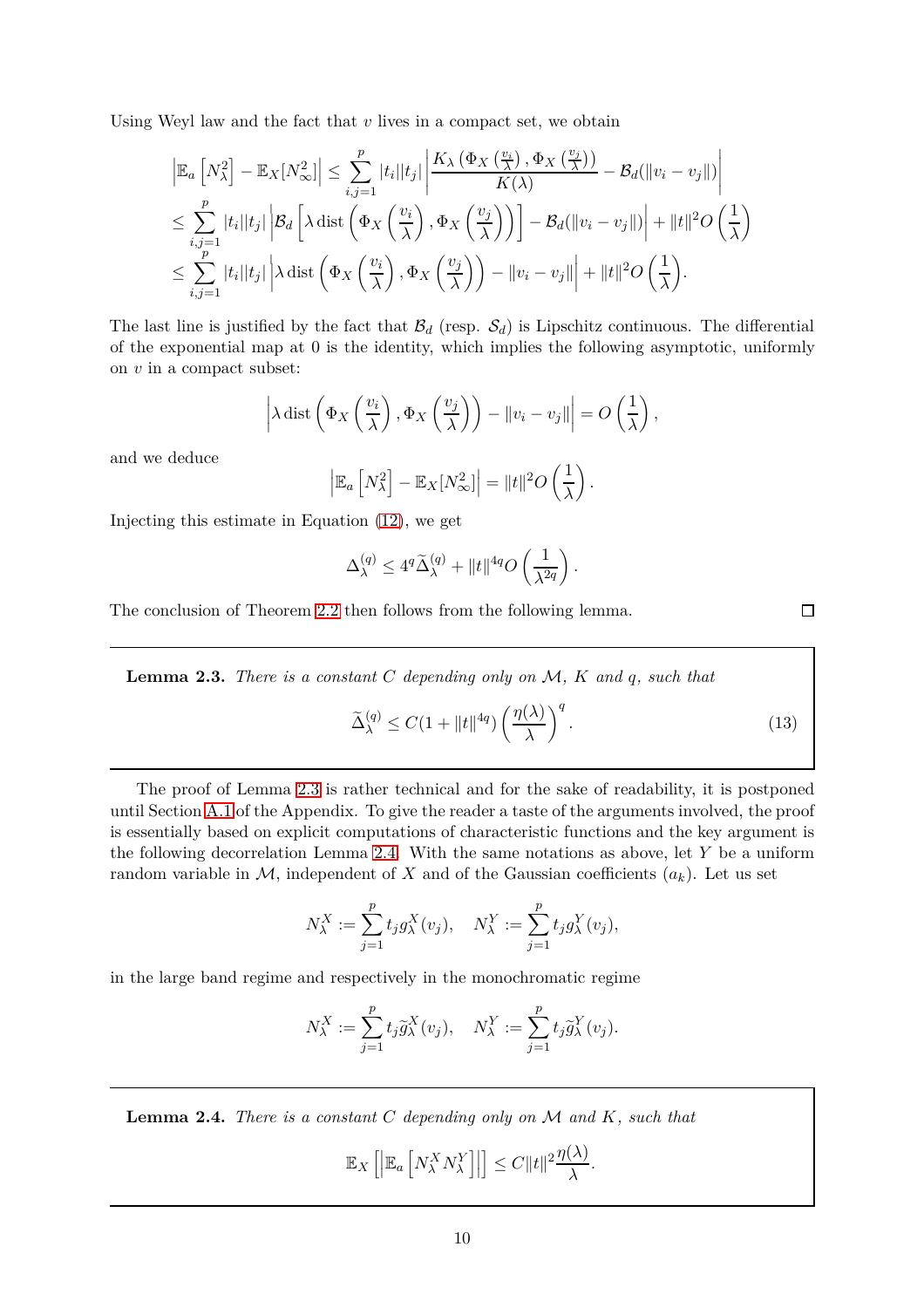Using Weyl law and the fact that *v* lives in a compact set, we obtain

$$
\left| \mathbb{E}_a \left[ N_{\lambda}^2 \right] - \mathbb{E}_X [N_{\infty}^2] \right| \leq \sum_{i,j=1}^p |t_i| |t_j| \left| \frac{K_{\lambda} \left( \Phi_X \left( \frac{v_i}{\lambda} \right), \Phi_X \left( \frac{v_j}{\lambda} \right) \right)}{K(\lambda)} - \mathcal{B}_d (\|v_i - v_j\|) \right|
$$
  
\n
$$
\leq \sum_{i,j=1}^p |t_i| |t_j| \left| \mathcal{B}_d \left[ \lambda \operatorname{dist} \left( \Phi_X \left( \frac{v_i}{\lambda} \right), \Phi_X \left( \frac{v_j}{\lambda} \right) \right) \right] - \mathcal{B}_d (\|v_i - v_j\|) \right| + \|t\|^2 O \left( \frac{1}{\lambda} \right)
$$
  
\n
$$
\leq \sum_{i,j=1}^p |t_i| |t_j| \left| \lambda \operatorname{dist} \left( \Phi_X \left( \frac{v_i}{\lambda} \right), \Phi_X \left( \frac{v_j}{\lambda} \right) \right) - \|v_i - v_j\| \right| + \|t\|^2 O \left( \frac{1}{\lambda} \right).
$$

The last line is justified by the fact that  $\mathcal{B}_d$  (resp.  $\mathcal{S}_d$ ) is Lipschitz continuous. The differential of the exponential map at 0 is the identity, which implies the following asymptotic, uniformly on *v* in a compact subset:

$$
\left|\lambda \operatorname{dist}\left(\Phi_X\left(\frac{v_i}{\lambda}\right), \Phi_X\left(\frac{v_j}{\lambda}\right)\right) - \|v_i - v_j\|\right| = O\left(\frac{1}{\lambda}\right),\right.
$$

and we deduce

$$
\left|\mathbb{E}_a\left[N_\lambda^2\right]-\mathbb{E}_X[N_\infty^2]\right| = \|t\|^2 O\left(\frac{1}{\lambda}\right).
$$

Injecting this estimate in Equation [\(12\)](#page-8-2), we get

$$
\Delta_\lambda^{(q)} \le 4^q \widetilde{\Delta}_\lambda^{(q)} + \|t\|^{4q} O\left(\frac{1}{\lambda^{2q}}\right)
$$

The conclusion of Theorem [2.2](#page-8-0) then follows from the following lemma.

<span id="page-9-0"></span>**Lemma 2.3.** *There is a constant C depending only on* M*, K and q, such that*

$$
\widetilde{\Delta}_{\lambda}^{(q)} \le C(1 + \|t\|^{4q}) \left(\frac{\eta(\lambda)}{\lambda}\right)^{q}.
$$
\n(13)

*.*

The proof of Lemma [2.3](#page-9-0) is rather technical and for the sake of readability, it is postponed until Section [A.1](#page-26-1) of the Appendix. To give the reader a taste of the arguments involved, the proof is essentially based on explicit computations of characteristic functions and the key argument is the following decorrelation Lemma [2.4.](#page-9-1) With the same notations as above, let *Y* be a uniform random variable in  $M$ , independent of X and of the Gaussian coefficients  $(a_k)$ . Let us set

$$
N_{\lambda}^{X} := \sum_{j=1}^{p} t_j g_{\lambda}^{X}(v_j), \quad N_{\lambda}^{Y} := \sum_{j=1}^{p} t_j g_{\lambda}^{Y}(v_j),
$$

in the large band regime and respectively in the monochromatic regime

$$
N_{\lambda}^{X} := \sum_{j=1}^{p} t_j \tilde{g}_{\lambda}^{X}(v_j), \quad N_{\lambda}^{Y} := \sum_{j=1}^{p} t_j \tilde{g}_{\lambda}^{Y}(v_j).
$$

<span id="page-9-1"></span>**Lemma 2.4.** *There is a constant C depending only on* M *and K, such that*

 $\mathbb{E}_X \left[ \left\| \mathbb{E}_a \left[ N_{\lambda}^X N_{\lambda}^Y \right. \right]$  $\mathcal{E}$  $\Big|\leq C\|t\|^2\frac{\eta(\lambda)}{\lambda}$  $\frac{\lambda}{\lambda}$ .  $\Box$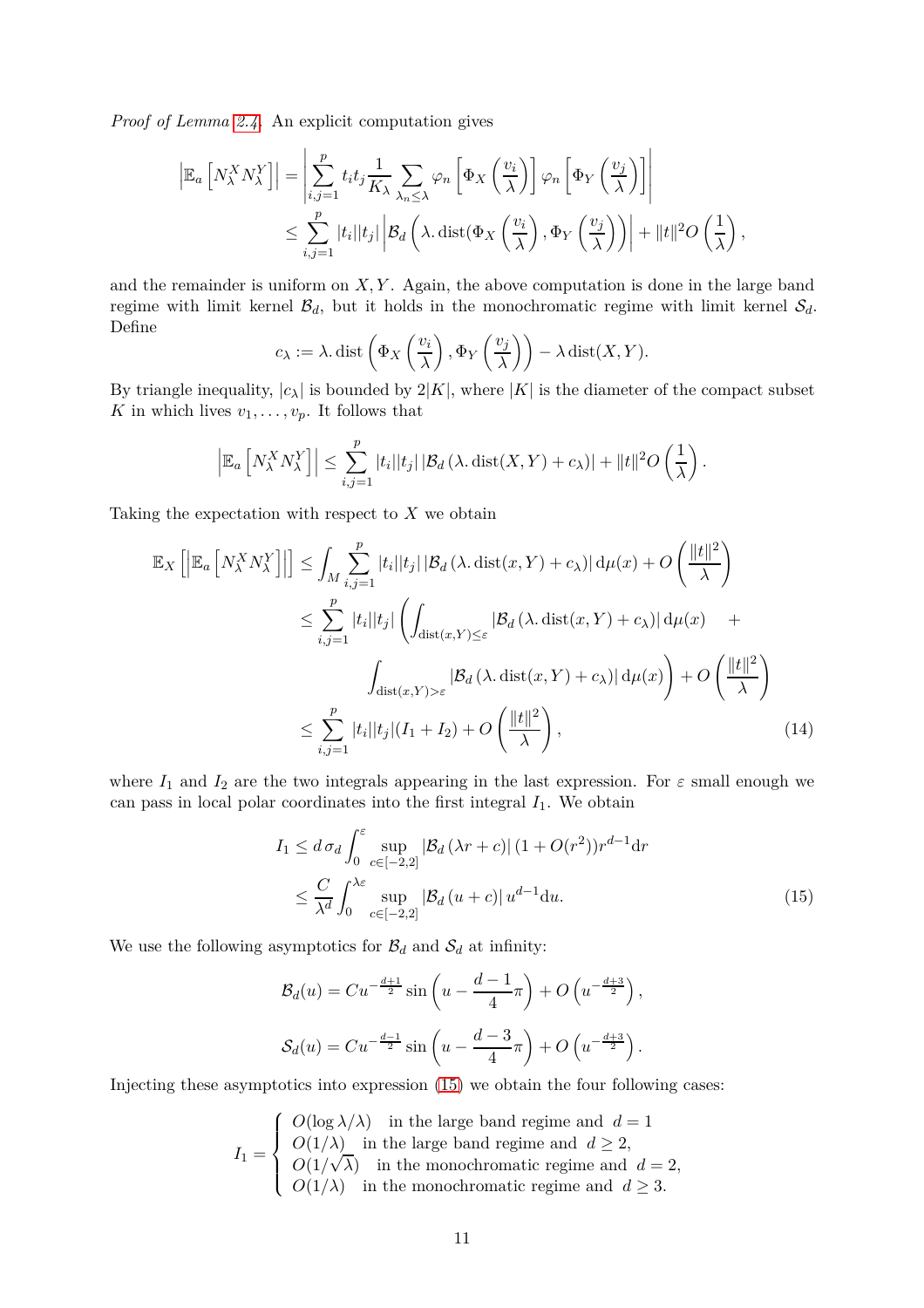*Proof of Lemma [2.4.](#page-9-1)* An explicit computation gives

$$
\left| \mathbb{E}_a \left[ N_\lambda^X N_\lambda^Y \right] \right| = \left| \sum_{i,j=1}^p t_i t_j \frac{1}{K_\lambda} \sum_{\lambda_n \leq \lambda} \varphi_n \left[ \Phi_X \left( \frac{v_i}{\lambda} \right) \right] \varphi_n \left[ \Phi_Y \left( \frac{v_j}{\lambda} \right) \right] \right|
$$
  

$$
\leq \sum_{i,j=1}^p |t_i| |t_j| \left| \mathcal{B}_d \left( \lambda \cdot \text{dist}(\Phi_X \left( \frac{v_i}{\lambda} \right), \Phi_Y \left( \frac{v_j}{\lambda} \right) \right) \right| + \|t\|^2 O \left( \frac{1}{\lambda} \right),
$$

and the remainder is uniform on *X, Y* . Again, the above computation is done in the large band regime with limit kernel  $\mathcal{B}_d$ , but it holds in the monochromatic regime with limit kernel  $\mathcal{S}_d$ . Define

$$
c_{\lambda} := \lambda \text{. dist}\left(\Phi_X\left(\frac{v_i}{\lambda}\right), \Phi_Y\left(\frac{v_j}{\lambda}\right)\right) - \lambda \text{ dist}(X, Y).
$$

By triangle inequality,  $|c_{\lambda}|$  is bounded by  $2|K|$ , where  $|K|$  is the diameter of the compact subset *K* in which lives  $v_1, \ldots, v_p$ . It follows that

$$
\left| \mathbb{E}_a \left[ N_\lambda^X N_\lambda^Y \right] \right| \leq \sum_{i,j=1}^p |t_i| |t_j| \left| \mathcal{B}_d \left( \lambda, \text{dist}(X, Y) + c_\lambda \right) \right| + \|t\|^2 O\left(\frac{1}{\lambda}\right).
$$

Taking the expectation with respect to *X* we obtain

$$
\mathbb{E}_{X}\left[\left|\mathbb{E}_{a}\left[N_{\lambda}^{X}N_{\lambda}^{Y}\right]\right|\right] \leq \int_{M} \sum_{i,j=1}^{p}|t_{i}||t_{j}||\mathcal{B}_{d}\left(\lambda,\mathrm{dist}(x,Y)+c_{\lambda}\right)|\,\mathrm{d}\mu(x)+O\left(\frac{\|t\|^{2}}{\lambda}\right)
$$
\n
$$
\leq \sum_{i,j=1}^{p}|t_{i}||t_{j}|\left(\int_{\mathrm{dist}(x,Y)\leq\varepsilon}|\mathcal{B}_{d}\left(\lambda,\mathrm{dist}(x,Y)+c_{\lambda}\right)|\,\mathrm{d}\mu(x)+\int_{\mathrm{dist}(x,Y)> \varepsilon}|\mathcal{B}_{d}\left(\lambda,\mathrm{dist}(x,Y)+c_{\lambda}\right)|\,\mathrm{d}\mu(x)\right)+O\left(\frac{\|t\|^{2}}{\lambda}\right)
$$
\n
$$
\leq \sum_{i,j=1}^{p}|t_{i}||t_{j}|(I_{1}+I_{2})+O\left(\frac{\|t\|^{2}}{\lambda}\right),\tag{14}
$$

where  $I_1$  and  $I_2$  are the two integrals appearing in the last expression. For  $\varepsilon$  small enough we can pass in local polar coordinates into the first integral  $I_1$ . We obtain

<span id="page-10-1"></span><span id="page-10-0"></span>
$$
I_1 \le d \sigma_d \int_0^{\varepsilon} \sup_{c \in [-2,2]} |\mathcal{B}_d(\lambda r + c)| (1 + O(r^2)) r^{d-1} dr
$$
  

$$
\le \frac{C}{\lambda^d} \int_0^{\lambda \varepsilon} \sup_{c \in [-2,2]} |\mathcal{B}_d(u+c)| u^{d-1} du.
$$
 (15)

We use the following asymptotics for  $\mathcal{B}_d$  and  $\mathcal{S}_d$  at infinity:

$$
\mathcal{B}_d(u) = Cu^{-\frac{d+1}{2}} \sin\left(u - \frac{d-1}{4}\pi\right) + O\left(u^{-\frac{d+3}{2}}\right),
$$
  

$$
\mathcal{S}_d(u) = Cu^{-\frac{d-1}{2}} \sin\left(u - \frac{d-3}{4}\pi\right) + O\left(u^{-\frac{d+3}{2}}\right).
$$

Injecting these asymptotics into expression [\(15\)](#page-10-0) we obtain the four following cases:

$$
I_1 = \begin{cases} O(\log \lambda/\lambda) & \text{in the large band regime and } d = 1 \\ O(1/\lambda) & \text{in the large band regime and } d \geq 2, \\ O(1/\sqrt{\lambda}) & \text{in the monochromatic regime and } d = 2, \\ O(1/\lambda) & \text{in the monochromatic regime and } d \geq 3. \end{cases}
$$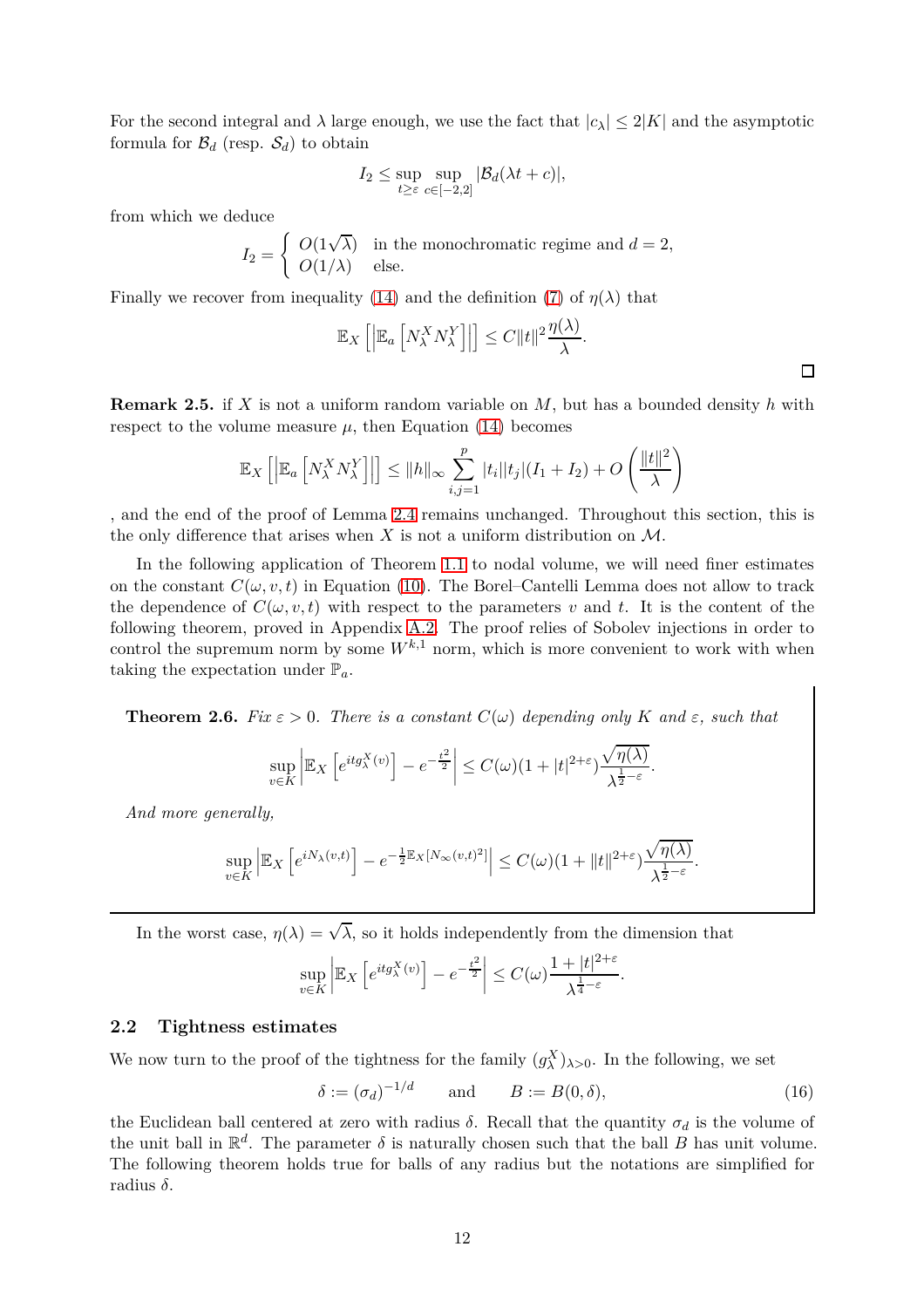For the second integral and  $\lambda$  large enough, we use the fact that  $|c_{\lambda}| \leq 2|K|$  and the asymptotic formula for  $\mathcal{B}_d$  (resp.  $\mathcal{S}_d$ ) to obtain

$$
I_2 \le \sup_{t \ge \varepsilon} \sup_{c \in [-2,2]} |\mathcal{B}_d(\lambda t + c)|,
$$

from which we deduce

$$
I_2 = \begin{cases} O(1\sqrt{\lambda}) & \text{in the monochromatic regime and } d = 2, \\ O(1/\lambda) & \text{else.} \end{cases}
$$

Finally we recover from inequality [\(14\)](#page-10-1) and the definition [\(7\)](#page-7-3) of  $\eta(\lambda)$  that

$$
\mathbb{E}_X\left[\left|\mathbb{E}_a\left[N_\lambda^X N_\lambda^Y\right]\right|\right] \leq C \|t\|^2 \frac{\eta(\lambda)}{\lambda}.
$$

<span id="page-11-3"></span>**Remark 2.5.** if *X* is not a uniform random variable on *M*, but has a bounded density *h* with respect to the volume measure  $\mu$ , then Equation [\(14\)](#page-10-1) becomes

$$
\mathbb{E}_X\left[\left|\mathbb{E}_a\left[N_{\lambda}^X N_{\lambda}^Y\right]\right|\right] \leq ||h||_{\infty} \sum_{i,j=1}^p |t_i||t_j|(I_1 + I_2) + O\left(\frac{||t||^2}{\lambda}\right)
$$

, and the end of the proof of Lemma [2.4](#page-9-1) remains unchanged. Throughout this section, this is the only difference that arises when  $X$  is not a uniform distribution on  $M$ .

In the following application of Theorem [1.1](#page-4-1) to nodal volume, we will need finer estimates on the constant  $C(\omega, v, t)$  in Equation [\(10\)](#page-8-1). The Borel–Cantelli Lemma does not allow to track the dependence of  $C(\omega, v, t)$  with respect to the parameters v and t. It is the content of the following theorem, proved in Appendix [A.2.](#page-29-0) The proof relies of Sobolev injections in order to control the supremum norm by some  $W^{k,1}$  norm, which is more convenient to work with when taking the expectation under  $\mathbb{P}_a$ .

<span id="page-11-1"></span>**Theorem 2.6.** *Fix*  $\varepsilon > 0$ *. There is a constant*  $C(\omega)$  *depending only*  $K$  *and*  $\varepsilon$ *, such that* 

$$
\sup_{v \in K} \left| \mathbb{E}_X \left[ e^{itg_\lambda^X(v)} \right] - e^{-\frac{t^2}{2}} \right| \le C(\omega)(1 + |t|^{2+\varepsilon}) \frac{\sqrt{\eta(\lambda)}}{\lambda^{\frac{1}{2}-\varepsilon}}
$$

*And more generally,*

$$
\sup_{v\in K} \left| \mathbb{E}_X \left[ e^{iN_\lambda(v,t)} \right] - e^{-\frac{1}{2} \mathbb{E}_X \left[ N_\infty(v,t)^2 \right]} \right| \le C(\omega)(1 + \|t\|^{2+\varepsilon}) \frac{\sqrt{\eta(\lambda)}}{\lambda^{\frac{1}{2}-\varepsilon}}.
$$

In the worst case,  $\eta(\lambda) = \sqrt{\lambda}$ , so it holds independently from the dimension that

$$
\sup_{v \in K} \left| \mathbb{E}_X \left[ e^{itg^{X}_\lambda(v)} \right] - e^{-\frac{t^2}{2}} \right| \leq C(\omega) \frac{1 + |t|^{2+\varepsilon}}{\lambda^{\frac{1}{4} - \varepsilon}}.
$$

### <span id="page-11-0"></span>**2.2 Tightness estimates**

We now turn to the proof of the tightness for the family  $(g_{\lambda}^X)_{\lambda>0}$ . In the following, we set

$$
\delta := (\sigma_d)^{-1/d} \qquad \text{and} \qquad B := B(0, \delta), \tag{16}
$$

<span id="page-11-2"></span>*.*

the Euclidean ball centered at zero with radius  $\delta$ . Recall that the quantity  $\sigma_d$  is the volume of the unit ball in  $\mathbb{R}^d$ . The parameter  $\delta$  is naturally chosen such that the ball *B* has unit volume. The following theorem holds true for balls of any radius but the notations are simplified for radius *δ*.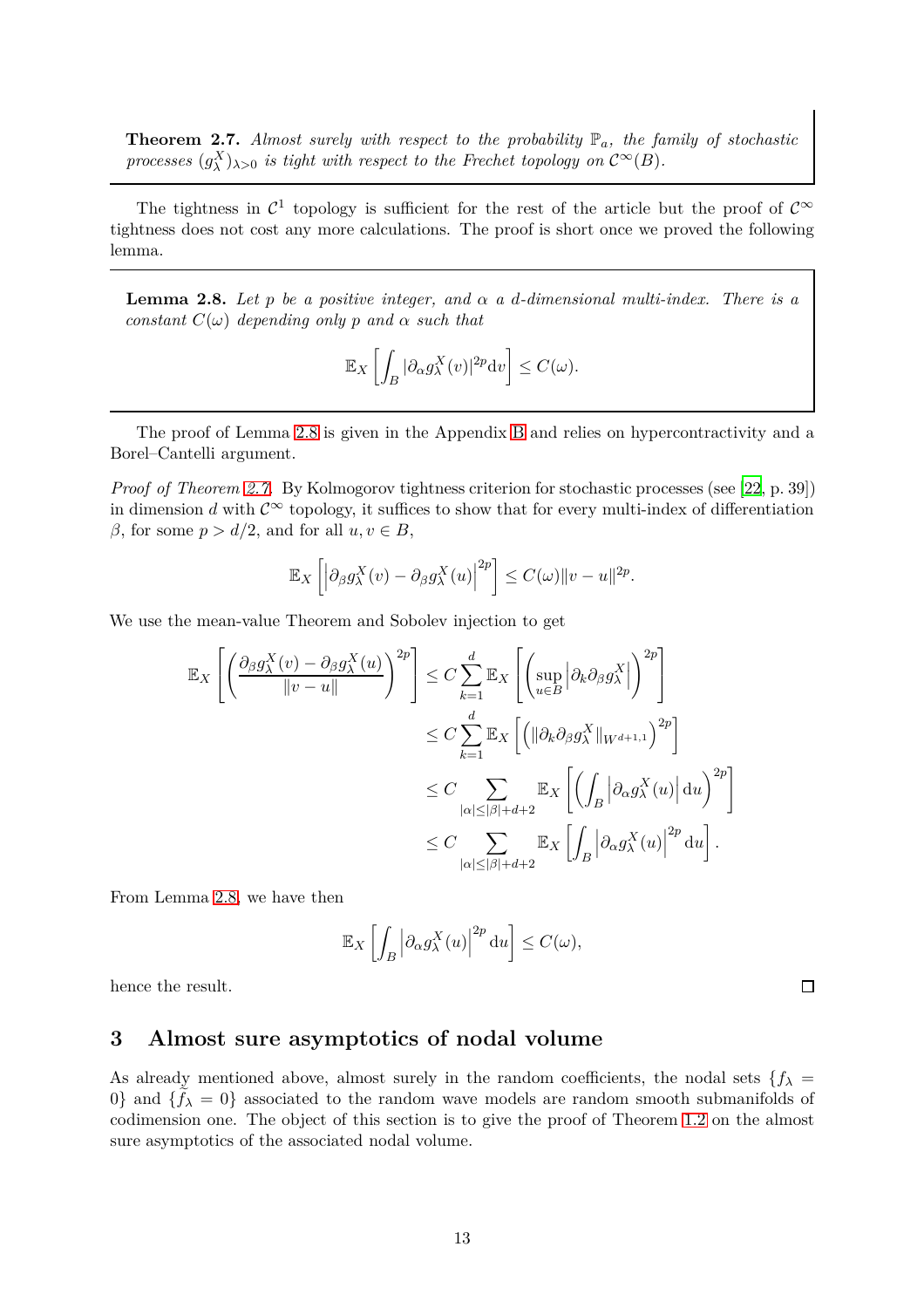<span id="page-12-1"></span>**Theorem 2.7.** *Almost surely with respect to the probability*  $\mathbb{P}_a$ *, the family of stochastic processes*  $(g_{\lambda}^{X})_{\lambda>0}$  *is tight with respect to the Frechet topology on*  $C^{\infty}(B)$ *.* 

The tightness in  $\mathcal{C}^1$  topology is sufficient for the rest of the article but the proof of  $\mathcal{C}^{\infty}$ tightness does not cost any more calculations. The proof is short once we proved the following lemma.

<span id="page-12-2"></span>**Lemma 2.8.** Let *p* be a positive integer, and  $\alpha$  a d-dimensional multi-index. There is a *constant*  $C(\omega)$  *depending only p and*  $\alpha$  *such that* 

$$
\mathbb{E}_X\left[\int_B |\partial_\alpha g_\lambda^X(v)|^{2p} \mathrm{d}v\right] \le C(\omega).
$$

The proof of Lemma [2.8](#page-12-2) is given in the Appendix [B](#page-31-0) and relies on hypercontractivity and a Borel–Cantelli argument.

*Proof of Theorem [2.7.](#page-12-1)* By Kolmogorov tightness criterion for stochastic processes (see [\[22](#page-34-13), p. 39]) in dimension *d* with  $C^{\infty}$  topology, it suffices to show that for every multi-index of differentiation *β*, for some *p* >  $d/2$ , and for all *u*, *v* ∈ *B*,

$$
\mathbb{E}_X\left[\left|\partial_\beta g_\lambda^X(v) - \partial_\beta g_\lambda^X(u)\right|^{2p}\right] \leq C(\omega) \|v - u\|^{2p}.
$$

We use the mean-value Theorem and Sobolev injection to get

$$
\mathbb{E}_{X}\left[\left(\frac{\partial_{\beta}g_{\lambda}^{X}(v) - \partial_{\beta}g_{\lambda}^{X}(u)}{\|v - u\|}\right)^{2p}\right] \leq C \sum_{k=1}^{d} \mathbb{E}_{X}\left[\left(\sup_{u \in B} \left|\partial_{k}\partial_{\beta}g_{\lambda}^{X}\right|\right)^{2p}\right] \n\leq C \sum_{k=1}^{d} \mathbb{E}_{X}\left[\left(\left|\left|\partial_{k}\partial_{\beta}g_{\lambda}^{X}\right|_{W^{d+1,1}}\right)^{2p}\right| \right] \n\leq C \sum_{|\alpha| \leq |\beta| + d+2} \mathbb{E}_{X}\left[\left(\int_{B} \left|\partial_{\alpha}g_{\lambda}^{X}(u)\right| \mathrm{d}u\right)^{2p}\right] \n\leq C \sum_{|\alpha| \leq |\beta| + d+2} \mathbb{E}_{X}\left[\int_{B} \left|\partial_{\alpha}g_{\lambda}^{X}(u)\right|^{2p} \mathrm{d}u\right].
$$

From Lemma [2.8,](#page-12-2) we have then

$$
\mathbb{E}_X\left[\int_B \left|\partial_\alpha g_\lambda^X(u)\right|^{2p} \mathrm{d}u\right] \le C(\omega),
$$

 $\Box$ 

<span id="page-12-0"></span>hence the result.

## **3 Almost sure asymptotics of nodal volume**

As already mentioned above, almost surely in the random coefficients, the nodal sets  ${f_{\lambda}}$  = 0} and  $\{f_{\lambda} = 0\}$  associated to the random wave models are random smooth submanifolds of codimension one. The object of this section is to give the proof of Theorem [1.2](#page-5-0) on the almost sure asymptotics of the associated nodal volume.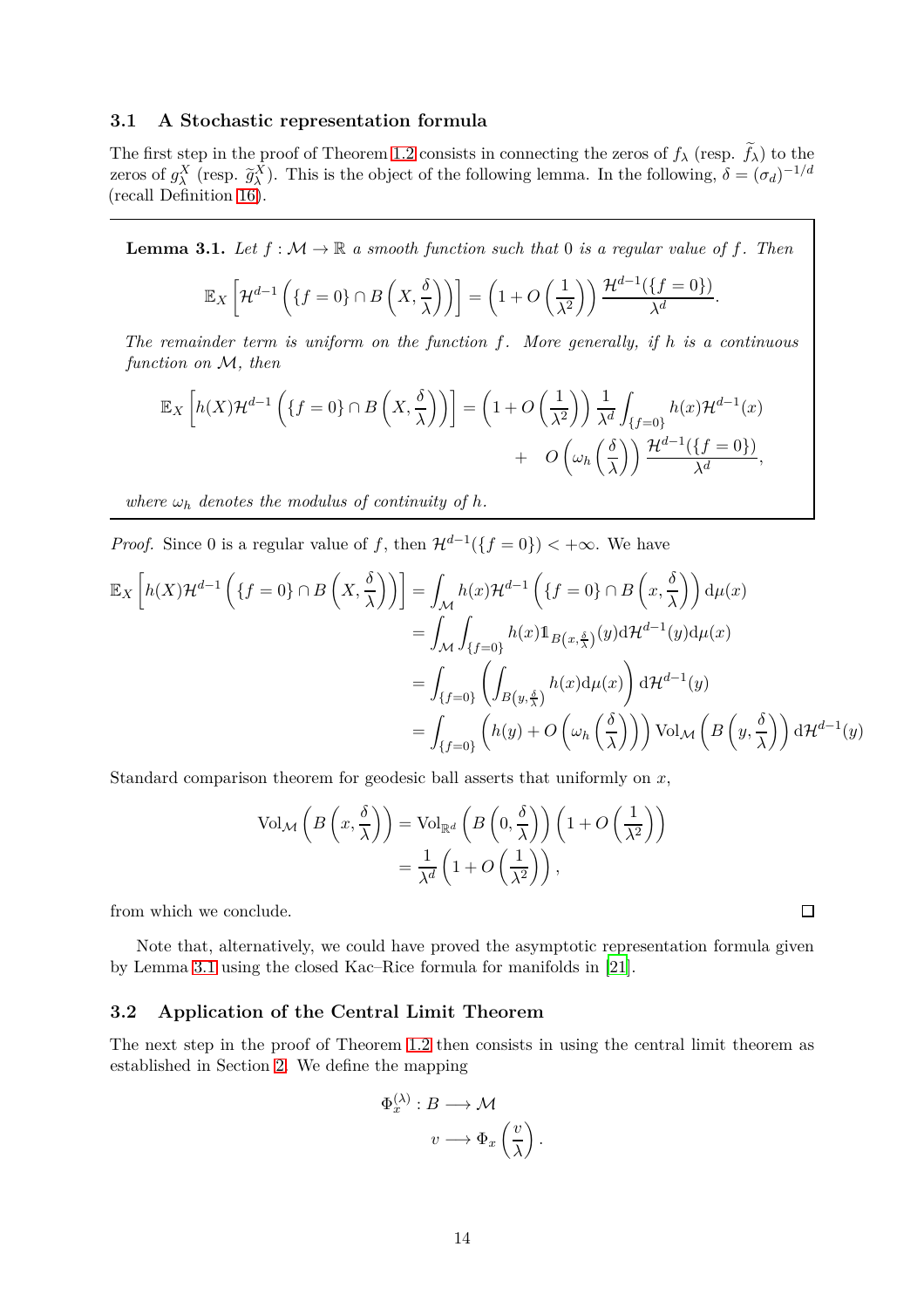## <span id="page-13-0"></span>**3.1 A Stochastic representation formula**

The first step in the proof of Theorem [1.2](#page-5-0) consists in connecting the zeros of  $f_\lambda$  (resp.  $f_\lambda$ ) to the zeros of  $g_{\lambda}^{X}$  (resp.  $\tilde{g}_{\lambda}^{X}$ ). This is the object of the following lemma. In the following,  $\delta = (\sigma_d)^{-1/d}$ (recall Definition [16\)](#page-11-2).

<span id="page-13-2"></span>**Lemma 3.1.** Let  $f : \mathcal{M} \to \mathbb{R}$  a smooth function such that 0 is a regular value of f. Then

$$
\mathbb{E}_X\left[\mathcal{H}^{d-1}\left(\left\{f=0\right\}\cap B\left(X,\frac{\delta}{\lambda}\right)\right)\right] = \left(1+O\left(\frac{1}{\lambda^2}\right)\right)\frac{\mathcal{H}^{d-1}(\left\{f=0\right\})}{\lambda^d}.
$$

*The remainder term is uniform on the function f. More generally, if h is a continuous function on* M*, then*

$$
\mathbb{E}_X\left[h(X)\mathcal{H}^{d-1}\left(\lbrace f=0\rbrace\cap B\left(X,\frac{\delta}{\lambda}\right)\right)\right] = \left(1+O\left(\frac{1}{\lambda^2}\right)\right)\frac{1}{\lambda^d}\int_{\lbrace f=0\rbrace}h(x)\mathcal{H}^{d-1}(x) + O\left(\omega_h\left(\frac{\delta}{\lambda}\right)\right)\frac{\mathcal{H}^{d-1}(\lbrace f=0\rbrace)}{\lambda^d},
$$

*where*  $\omega_h$  *denotes the modulus of continuity of h.* 

*Proof.* Since 0 is a regular value of *f*, then  $\mathcal{H}^{d-1}(\lbrace f=0 \rbrace) < +\infty$ . We have

$$
\mathbb{E}_X \left[ h(X) \mathcal{H}^{d-1} \left( \{ f = 0 \} \cap B \left( X, \frac{\delta}{\lambda} \right) \right) \right] = \int_{\mathcal{M}} h(x) \mathcal{H}^{d-1} \left( \{ f = 0 \} \cap B \left( x, \frac{\delta}{\lambda} \right) \right) d\mu(x)
$$
  
\n
$$
= \int_{\mathcal{M}} \int_{\{ f = 0 \}} h(x) 1_{B(x, \frac{\delta}{\lambda})}(y) d\mathcal{H}^{d-1}(y) d\mu(x)
$$
  
\n
$$
= \int_{\{ f = 0 \}} \left( \int_{B(y, \frac{\delta}{\lambda})} h(x) d\mu(x) \right) d\mathcal{H}^{d-1}(y)
$$
  
\n
$$
= \int_{\{ f = 0 \}} \left( h(y) + O \left( \omega_h \left( \frac{\delta}{\lambda} \right) \right) \right) \text{Vol}_{\mathcal{M}} \left( B \left( y, \frac{\delta}{\lambda} \right) \right) d\mathcal{H}^{d-1}(y)
$$

Standard comparison theorem for geodesic ball asserts that uniformly on *x*,

$$
\text{Vol}_{\mathcal{M}}\left(B\left(x,\frac{\delta}{\lambda}\right)\right) = \text{Vol}_{\mathbb{R}^d}\left(B\left(0,\frac{\delta}{\lambda}\right)\right)\left(1+O\left(\frac{1}{\lambda^2}\right)\right)
$$

$$
=\frac{1}{\lambda^d}\left(1+O\left(\frac{1}{\lambda^2}\right)\right),
$$

from which we conclude.

Note that, alternatively, we could have proved the asymptotic representation formula given by Lemma [3.1](#page-13-2) using the closed Kac–Rice formula for manifolds in [\[21](#page-34-14)].

## <span id="page-13-1"></span>**3.2 Application of the Central Limit Theorem**

The next step in the proof of Theorem [1.2](#page-5-0) then consists in using the central limit theorem as established in Section [2.](#page-7-0) We define the mapping

$$
\Phi_x^{(\lambda)} : B \longrightarrow \mathcal{M}
$$

$$
v \longrightarrow \Phi_x\left(\frac{v}{\lambda}\right)
$$

*.*

 $\Box$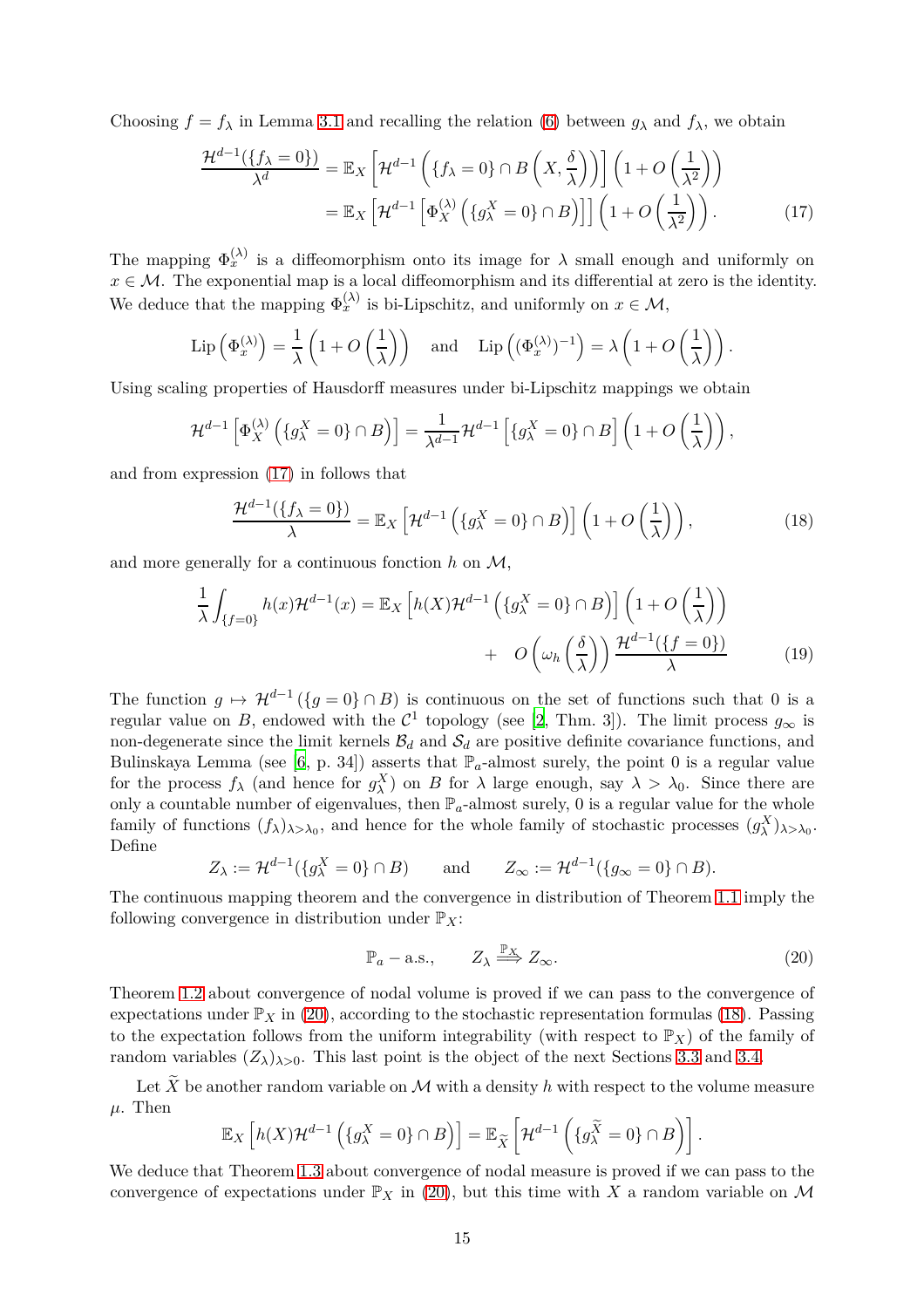Choosing  $f = f_\lambda$  in Lemma [3.1](#page-13-2) and recalling the relation [\(6\)](#page-4-2) between  $g_\lambda$  and  $f_\lambda$ , we obtain

<span id="page-14-0"></span>
$$
\frac{\mathcal{H}^{d-1}(\{f_{\lambda}=0\})}{\lambda^{d}} = \mathbb{E}_{X}\left[\mathcal{H}^{d-1}\left(\{f_{\lambda}=0\}\cap B\left(X,\frac{\delta}{\lambda}\right)\right)\right]\left(1+O\left(\frac{1}{\lambda^{2}}\right)\right)
$$

$$
= \mathbb{E}_{X}\left[\mathcal{H}^{d-1}\left[\Phi_{X}^{(\lambda)}\left(\{g_{\lambda}^{X}=0\}\cap B\right)\right]\right]\left(1+O\left(\frac{1}{\lambda^{2}}\right)\right).
$$
(17)

The mapping  $\Phi_x^{(\lambda)}$  is a diffeomorphism onto its image for  $\lambda$  small enough and uniformly on  $x \in \mathcal{M}$ . The exponential map is a local diffeomorphism and its differential at zero is the identity. We deduce that the mapping  $\Phi_x^{(\lambda)}$  is bi-Lipschitz, and uniformly on  $x \in \mathcal{M}$ ,

$$
\operatorname{Lip}\left(\Phi_x^{(\lambda)}\right) = \frac{1}{\lambda} \left(1 + O\left(\frac{1}{\lambda}\right)\right) \quad \text{and} \quad \operatorname{Lip}\left((\Phi_x^{(\lambda)})^{-1}\right) = \lambda \left(1 + O\left(\frac{1}{\lambda}\right)\right).
$$

Using scaling properties of Hausdorff measures under bi-Lipschitz mappings we obtain

$$
\mathcal{H}^{d-1}\left[\Phi_X^{(\lambda)}\left(\{g_\lambda^X=0\}\cap B\right)\right]=\frac{1}{\lambda^{d-1}}\mathcal{H}^{d-1}\left[\{g_\lambda^X=0\}\cap B\right]\left(1+O\left(\frac{1}{\lambda}\right)\right),\,
$$

and from expression [\(17\)](#page-14-0) in follows that

<span id="page-14-2"></span>
$$
\frac{\mathcal{H}^{d-1}(\{f_{\lambda}=0\})}{\lambda} = \mathbb{E}_X \left[ \mathcal{H}^{d-1} \left( \{g_{\lambda}^X=0\} \cap B \right) \right] \left( 1 + O\left(\frac{1}{\lambda}\right) \right),\tag{18}
$$

and more generally for a continuous fonction *h* on M,

$$
\frac{1}{\lambda} \int_{\{f=0\}} h(x) \mathcal{H}^{d-1}(x) = \mathbb{E}_X \left[ h(X) \mathcal{H}^{d-1} \left( \{ g_{\lambda}^X = 0 \} \cap B \right) \right] \left( 1 + O\left(\frac{1}{\lambda}\right) \right) + O\left(\omega_h \left(\frac{\delta}{\lambda}\right)\right) \frac{\mathcal{H}^{d-1}(\{ f=0 \})}{\lambda}
$$
\n(19)

The function  $g \mapsto \mathcal{H}^{d-1}(\{g=0\} \cap B)$  is continuous on the set of functions such that 0 is a regular value on *B*, endowed with the  $\mathcal{C}^1$  topology (see [\[2](#page-33-11), Thm. 3]). The limit process  $g_{\infty}$  is non-degenerate since the limit kernels  $\mathcal{B}_d$  and  $\mathcal{S}_d$  are positive definite covariance functions, and Bulinskaya Lemma (see [\[6,](#page-33-12) p. 34]) asserts that  $\mathbb{P}_a$ -almost surely, the point 0 is a regular value for the process  $f_{\lambda}$  (and hence for  $g_{\lambda}^X$ ) on *B* for  $\lambda$  large enough, say  $\lambda > \lambda_0$ . Since there are only a countable number of eigenvalues, then  $\mathbb{P}_a$ -almost surely, 0 is a regular value for the whole family of functions  $(f_\lambda)_{\lambda>\lambda_0}$ , and hence for the whole family of stochastic processes  $(g_\lambda^X)_{\lambda>\lambda_0}$ . Define

$$
Z_{\lambda} := \mathcal{H}^{d-1}(\lbrace g_{\lambda}^X = 0 \rbrace \cap B)
$$
 and  $Z_{\infty} := \mathcal{H}^{d-1}(\lbrace g_{\infty} = 0 \rbrace \cap B).$ 

The continuous mapping theorem and the convergence in distribution of Theorem [1.1](#page-4-1) imply the following convergence in distribution under  $\mathbb{P}_X$ :

<span id="page-14-1"></span>
$$
\mathbb{P}_a - \text{a.s.}, \qquad Z_\lambda \stackrel{\mathbb{P}_X}{\Longrightarrow} Z_\infty. \tag{20}
$$

Theorem [1.2](#page-5-0) about convergence of nodal volume is proved if we can pass to the convergence of expectations under  $\mathbb{P}_X$  in [\(20\)](#page-14-1), according to the stochastic representation formulas [\(18\)](#page-14-2). Passing to the expectation follows from the uniform integrability (with respect to  $\mathbb{P}_X$ ) of the family of random variables  $(Z_\lambda)_{\lambda>0}$ . This last point is the object of the next Sections [3.3](#page-15-0) and [3.4.](#page-21-0)

Let  $\widetilde{X}$  be another random variable on M with a density h with respect to the volume measure  $\mu$ . Then

$$
\mathbb{E}_X\left[h(X)\mathcal{H}^{d-1}\left(\{g_\lambda^X=0\}\cap B\right)\right]=\mathbb{E}_{\widetilde{X}}\left[\mathcal{H}^{d-1}\left(\{g_\lambda^{\widetilde{X}}=0\}\cap B\right)\right].
$$

We deduce that Theorem [1.3](#page-6-0) about convergence of nodal measure is proved if we can pass to the convergence of expectations under  $\mathbb{P}_X$  in [\(20\)](#page-14-1), but this time with X a random variable on M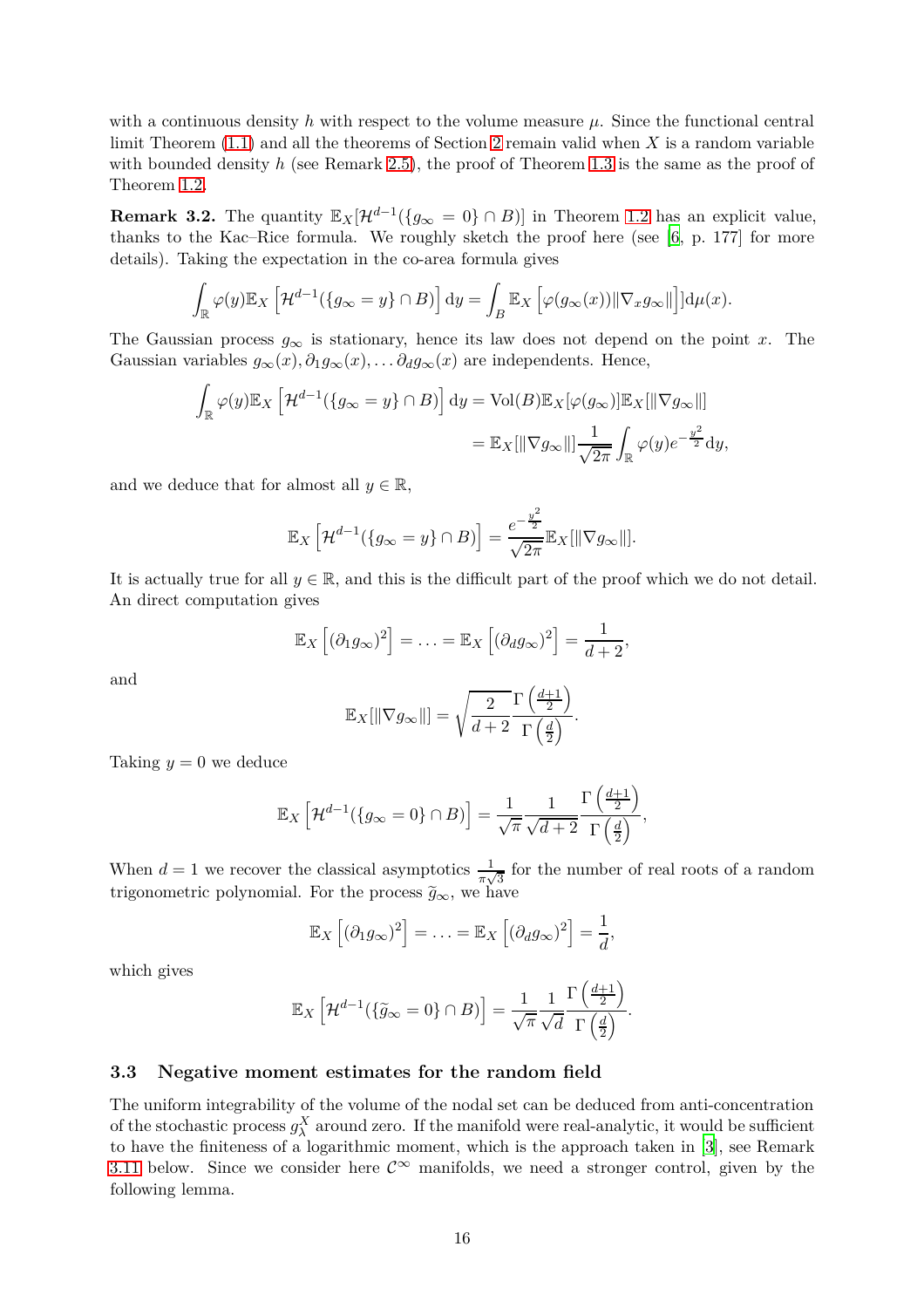with a continuous density  $h$  with respect to the volume measure  $\mu$ . Since the functional central limit Theorem [\(1.1\)](#page-4-1) and all the theorems of Section [2](#page-7-0) remain valid when *X* is a random variable with bounded density *h* (see Remark [2.5\)](#page-11-3), the proof of Theorem [1.3](#page-6-0) is the same as the proof of Theorem [1.2.](#page-5-0)

<span id="page-15-1"></span>**Remark 3.2.** The quantity  $\mathbb{E}_X[\mathcal{H}^{d-1}(\{g_\infty = 0\} \cap B)]$  in Theorem [1.2](#page-5-0) has an explicit value, thanks to the Kac–Rice formula. We roughly sketch the proof here (see [\[6,](#page-33-12) p. 177] for more details). Taking the expectation in the co-area formula gives

$$
\int_{\mathbb{R}} \varphi(y) \mathbb{E}_X \left[ \mathcal{H}^{d-1}(\{g_{\infty} = y\} \cap B) \right] dy = \int_B \mathbb{E}_X \left[ \varphi(g_{\infty}(x)) \|\nabla_x g_{\infty}\| \right] d\mu(x).
$$

The Gaussian process  $g_{\infty}$  is stationary, hence its law does not depend on the point *x*. The Gaussian variables  $g_{\infty}(x), \partial_1 g_{\infty}(x), \dots \partial_d g_{\infty}(x)$  are independents. Hence,

$$
\int_{\mathbb{R}} \varphi(y) \mathbb{E}_X \left[ \mathcal{H}^{d-1}(\{g_{\infty} = y\} \cap B) \right] dy = \text{Vol}(B) \mathbb{E}_X[\varphi(g_{\infty})] \mathbb{E}_X[\|\nabla g_{\infty}\|]
$$

$$
= \mathbb{E}_X[\|\nabla g_{\infty}\|] \frac{1}{\sqrt{2\pi}} \int_{\mathbb{R}} \varphi(y) e^{-\frac{y^2}{2}} dy,
$$

and we deduce that for almost all  $y \in \mathbb{R}$ ,

$$
\mathbb{E}_X\left[\mathcal{H}^{d-1}(\{g_\infty = y\} \cap B)\right] = \frac{e^{-\frac{y^2}{2}}}{\sqrt{2\pi}} \mathbb{E}_X[\|\nabla g_\infty\|].
$$

It is actually true for all  $y \in \mathbb{R}$ , and this is the difficult part of the proof which we do not detail. An direct computation gives

$$
\mathbb{E}_X\left[ (\partial_1 g_\infty)^2 \right] = \ldots = \mathbb{E}_X\left[ (\partial_d g_\infty)^2 \right] = \frac{1}{d+2},
$$

and

$$
\mathbb{E}_X[\|\nabla g_\infty\|] = \sqrt{\frac{2}{d+2}} \frac{\Gamma\left(\frac{d+1}{2}\right)}{\Gamma\left(\frac{d}{2}\right)}.
$$

Taking  $y = 0$  we deduce

$$
\mathbb{E}_X\left[\mathcal{H}^{d-1}(\{g_\infty=0\}\cap B)\right] = \frac{1}{\sqrt{\pi}}\frac{1}{\sqrt{d+2}}\frac{\Gamma\left(\frac{d+1}{2}\right)}{\Gamma\left(\frac{d}{2}\right)},
$$

When  $d = 1$  we recover the classical asymptotics  $\frac{1}{\pi\sqrt{3}}$  for the number of real roots of a random trigonometric polynomial. For the process  $\tilde{q}_{\infty}$ , we have

$$
\mathbb{E}_X\left[ (\partial_1 g_\infty)^2 \right] = \ldots = \mathbb{E}_X\left[ (\partial_d g_\infty)^2 \right] = \frac{1}{d},
$$

which gives

$$
\mathbb{E}_X\left[\mathcal{H}^{d-1}(\{\widetilde{g}_{\infty}=0\}\cap B)\right]=\frac{1}{\sqrt{\pi}}\frac{1}{\sqrt{d}}\frac{\Gamma\left(\frac{d+1}{2}\right)}{\Gamma\left(\frac{d}{2}\right)}.
$$

## <span id="page-15-0"></span>**3.3 Negative moment estimates for the random field**

The uniform integrability of the volume of the nodal set can be deduced from anti-concentration of the stochastic process  $g^X_\lambda$  around zero. If the manifold were real-analytic, it would be sufficient to have the finiteness of a logarithmic moment, which is the approach taken in [\[3\]](#page-33-0), see Remark [3.11](#page-25-1) below. Since we consider here  $\mathcal{C}^{\infty}$  manifolds, we need a stronger control, given by the following lemma.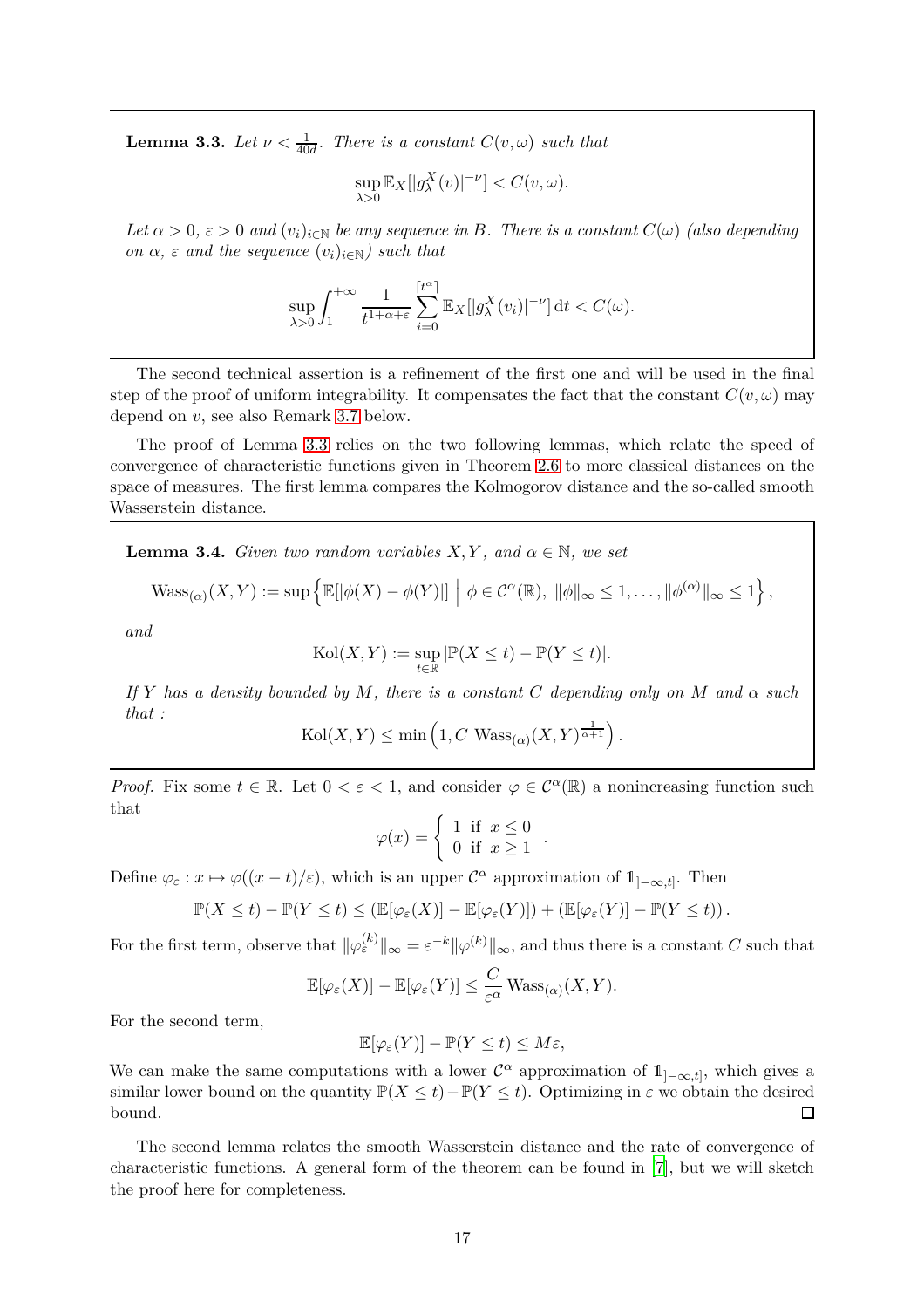<span id="page-16-0"></span>**Lemma 3.3.** *Let*  $\nu < \frac{1}{40d}$ *. There is a constant*  $C(v, \omega)$  *such that* 

$$
\sup_{\lambda>0} \mathbb{E}_X[|g^X_\lambda(v)|^{-\nu}] < C(v,\omega).
$$

*Let*  $\alpha > 0$ ,  $\varepsilon > 0$  *and*  $(v_i)_{i \in \mathbb{N}}$  *be any sequence in B. There is a constant*  $C(\omega)$  *(also depending on*  $\alpha$ *,*  $\varepsilon$  *and the sequence*  $(v_i)_{i \in \mathbb{N}}$ *) such that* 

$$
\sup_{\lambda>0}\int_1^{+\infty}\frac{1}{t^{1+\alpha+\varepsilon}}\sum_{i=0}^{[t^{\alpha}]} \mathbb{E}_X[|g_{\lambda}^X(v_i)|^{-\nu}]\,dt < C(\omega).
$$

The second technical assertion is a refinement of the first one and will be used in the final step of the proof of uniform integrability. It compensates the fact that the constant  $C(v, \omega)$  may depend on *v*, see also Remark [3.7](#page-20-0) below.

The proof of Lemma [3.3](#page-16-0) relies on the two following lemmas, which relate the speed of convergence of characteristic functions given in Theorem [2.6](#page-11-1) to more classical distances on the space of measures. The first lemma compares the Kolmogorov distance and the so-called smooth Wasserstein distance.

<span id="page-16-1"></span>**Lemma 3.4.** *Given two random variables*  $X, Y$ *, and*  $\alpha \in \mathbb{N}$ *, we set* 

$$
\text{Wass}_{(\alpha)}(X,Y) := \sup \left\{ \mathbb{E}[|\phi(X) - \phi(Y)|] \middle| \phi \in C^{\alpha}(\mathbb{R}), \ \|\phi\|_{\infty} \leq 1, \dots, \|\phi^{(\alpha)}\|_{\infty} \leq 1 \right\},\
$$

*and*

$$
Kol(X, Y) := \sup_{t \in \mathbb{R}} |\mathbb{P}(X \le t) - \mathbb{P}(Y \le t)|.
$$

*If Y has a density bounded by M, there is a constant C depending only on M and*  $\alpha$  *such that :*

$$
Kol(X, Y) \le \min\left(1, C \text{ Wass}_{(\alpha)}(X, Y)^{\frac{1}{\alpha+1}}\right).
$$

*Proof.* Fix some  $t \in \mathbb{R}$ . Let  $0 < \varepsilon < 1$ , and consider  $\varphi \in C^{\alpha}(\mathbb{R})$  a nonincreasing function such that

$$
\varphi(x) = \begin{cases} 1 & \text{if } x \le 0 \\ 0 & \text{if } x \ge 1 \end{cases}
$$

*.*

Define  $\varphi_{\varepsilon}: x \mapsto \varphi((x-t)/\varepsilon)$ , which is an upper  $\mathcal{C}^{\alpha}$  approximation of  $1]_{-\infty,t}$ . Then

$$
\mathbb{P}(X \leq t) - \mathbb{P}(Y \leq t) \leq (\mathbb{E}[\varphi_{\varepsilon}(X)] - \mathbb{E}[\varphi_{\varepsilon}(Y)]) + (\mathbb{E}[\varphi_{\varepsilon}(Y)] - \mathbb{P}(Y \leq t)).
$$

For the first term, observe that  $\|\varphi_{\varepsilon}^{(k)}\|_{\infty} = \varepsilon^{-k} \|\varphi^{(k)}\|_{\infty}$ , and thus there is a constant *C* such that

$$
\mathbb{E}[\varphi_{\varepsilon}(X)] - \mathbb{E}[\varphi_{\varepsilon}(Y)] \leq \frac{C}{\varepsilon^{\alpha}} \operatorname{Wass}_{(\alpha)}(X, Y).
$$

For the second term,

$$
\mathbb{E}[\varphi_{\varepsilon}(Y)] - \mathbb{P}(Y \le t) \le M\varepsilon,
$$

We can make the same computations with a lower  $\mathcal{C}^{\alpha}$  approximation of  $1_{]-\infty,t}$ , which gives a similar lower bound on the quantity  $\mathbb{P}(X \le t) - \mathbb{P}(Y \le t)$ . Optimizing in  $\varepsilon$  we obtain the desired bound. bound.

The second lemma relates the smooth Wasserstein distance and the rate of convergence of characteristic functions. A general form of the theorem can be found in [\[7\]](#page-33-9), but we will sketch the proof here for completeness.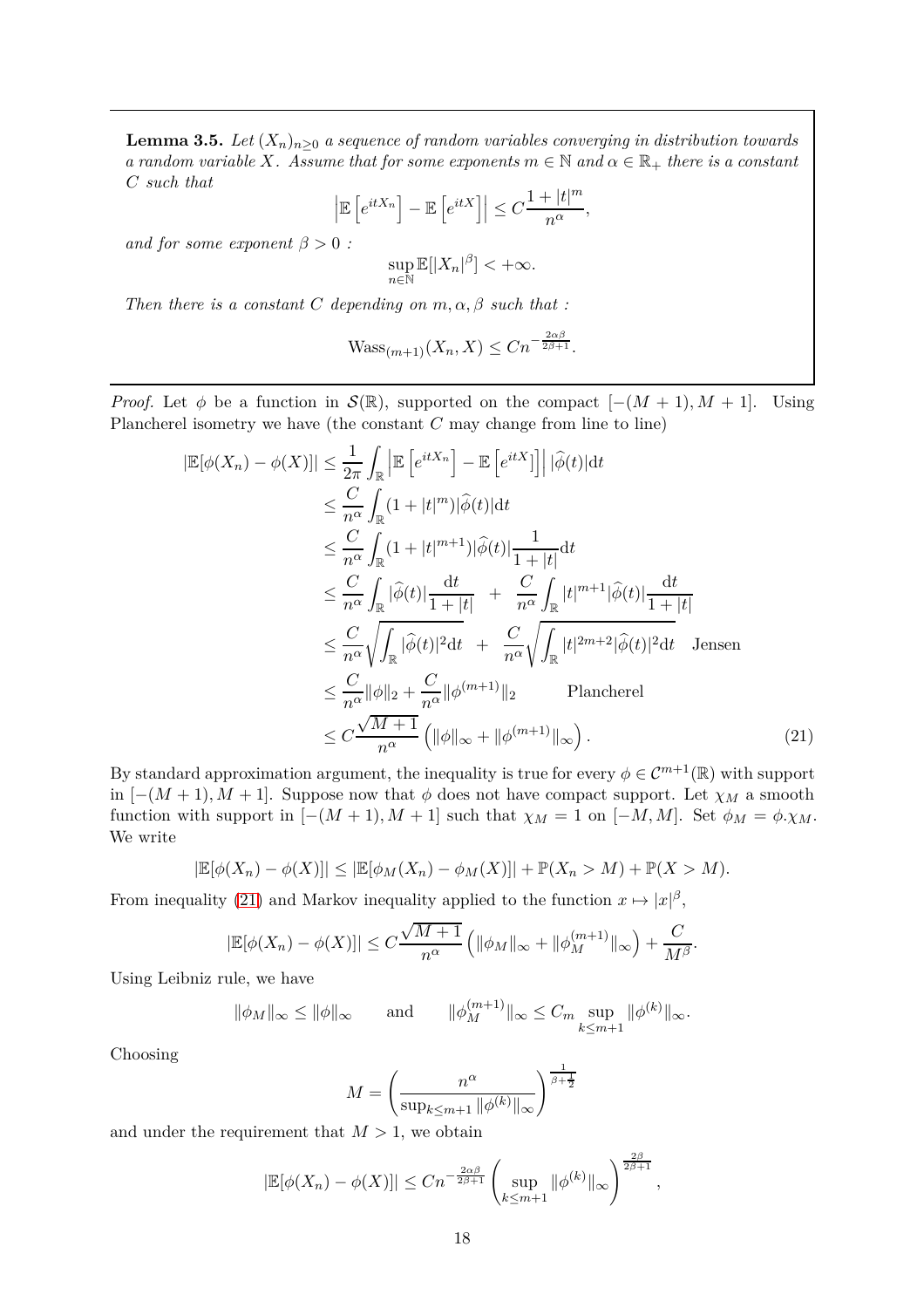<span id="page-17-1"></span>**Lemma 3.5.** *Let*  $(X_n)_{n>0}$  *a sequence of random variables converging in distribution towards a random variable X.* Assume that for some exponents  $m \in \mathbb{N}$  *and*  $\alpha \in \mathbb{R}_+$  *there is a constant C such that*

$$
\left| \mathbb{E}\left[e^{itX_n}\right] - \mathbb{E}\left[e^{itX}\right] \right| \leq C \frac{1 + |t|^m}{n^{\alpha}},
$$

*and for some exponent*  $\beta > 0$  *:* 

$$
\sup_{n\in\mathbb{N}}\mathbb{E}[|X_n|^{\beta}]<+\infty.
$$

*Then there is a constant C depending on*  $m, \alpha, \beta$  *such that :* 

$$
\text{Wass}_{(m+1)}(X_n, X) \le Cn^{-\frac{2\alpha\beta}{2\beta+1}}.
$$

*Proof.* Let  $\phi$  be a function in  $\mathcal{S}(\mathbb{R})$ , supported on the compact  $[-(M + 1), M + 1]$ . Using Plancherel isometry we have (the constant *C* may change from line to line)

$$
\begin{split}\n|\mathbb{E}[\phi(X_n) - \phi(X)]| &\leq \frac{1}{2\pi} \int_{\mathbb{R}} \left| \mathbb{E} \left[ e^{itX_n} \right] - \mathbb{E} \left[ e^{itX} \right] \right| \left| \widehat{\phi}(t) \right| dt \\
&\leq \frac{C}{n^{\alpha}} \int_{\mathbb{R}} (1 + |t|^m) |\widehat{\phi}(t)| dt \\
&\leq \frac{C}{n^{\alpha}} \int_{\mathbb{R}} (1 + |t|^{m+1}) |\widehat{\phi}(t)| \frac{1}{1 + |t|} dt \\
&\leq \frac{C}{n^{\alpha}} \int_{\mathbb{R}} |\widehat{\phi}(t)| \frac{dt}{1 + |t|} + \frac{C}{n^{\alpha}} \int_{\mathbb{R}} |t|^{m+1} |\widehat{\phi}(t)| \frac{dt}{1 + |t|} \\
&\leq \frac{C}{n^{\alpha}} \sqrt{\int_{\mathbb{R}} |\widehat{\phi}(t)|^2 dt} + \frac{C}{n^{\alpha}} \sqrt{\int_{\mathbb{R}} |t|^{2m+2} |\widehat{\phi}(t)|^2 dt} \quad \text{Jensen} \\
&\leq \frac{C}{n^{\alpha}} \|\phi\|_2 + \frac{C}{n^{\alpha}} \|\phi^{(m+1)}\|_2 \quad \text{Plancherel} \\
&\leq C \frac{\sqrt{M+1}}{n^{\alpha}} \left( \|\phi\|_{\infty} + \|\phi^{(m+1)}\|_{\infty} \right). \n\end{split} \tag{21}
$$

By standard approximation argument, the inequality is true for every  $\phi \in C^{m+1}(\mathbb{R})$  with support in  $[-(M + 1), M + 1]$ . Suppose now that  $\phi$  does not have compact support. Let  $\chi_M$  a smooth function with support in  $[-(M + 1), M + 1]$  such that  $\chi_M = 1$  on  $[-M, M]$ . Set  $\phi_M = \phi \cdot \chi_M$ . We write

$$
|\mathbb{E}[\phi(X_n) - \phi(X)]| \leq |\mathbb{E}[\phi_M(X_n) - \phi_M(X)]| + \mathbb{P}(X_n > M) + \mathbb{P}(X > M).
$$

From inequality [\(21\)](#page-17-0) and Markov inequality applied to the function  $x \mapsto |x|^{\beta}$ ,

$$
|\mathbb{E}[\phi(X_n) - \phi(X)]| \le C \frac{\sqrt{M+1}}{n^{\alpha}} \left( \|\phi_M\|_{\infty} + \|\phi_M^{(m+1)}\|_{\infty} \right) + \frac{C}{M^{\beta}}.
$$

Using Leibniz rule, we have

$$
\|\phi_M\|_{\infty} \le \|\phi\|_{\infty} \quad \text{and} \quad \|\phi_M^{(m+1)}\|_{\infty} \le C_m \sup_{k \le m+1} \|\phi^{(k)}\|_{\infty}.
$$

Choosing

<span id="page-17-0"></span>
$$
M = \left(\frac{n^{\alpha}}{\sup_{k \le m+1} ||\phi^{(k)}||_{\infty}}\right)^{\frac{1}{\beta + \frac{1}{2}}}
$$

and under the requirement that  $M > 1$ , we obtain

$$
|\mathbb{E}[\phi(X_n) - \phi(X)]| \le Cn^{-\frac{2\alpha\beta}{2\beta+1}} \left(\sup_{k \le m+1} \|\phi^{(k)}\|_{\infty}\right)^{\frac{2\beta}{2\beta+1}},
$$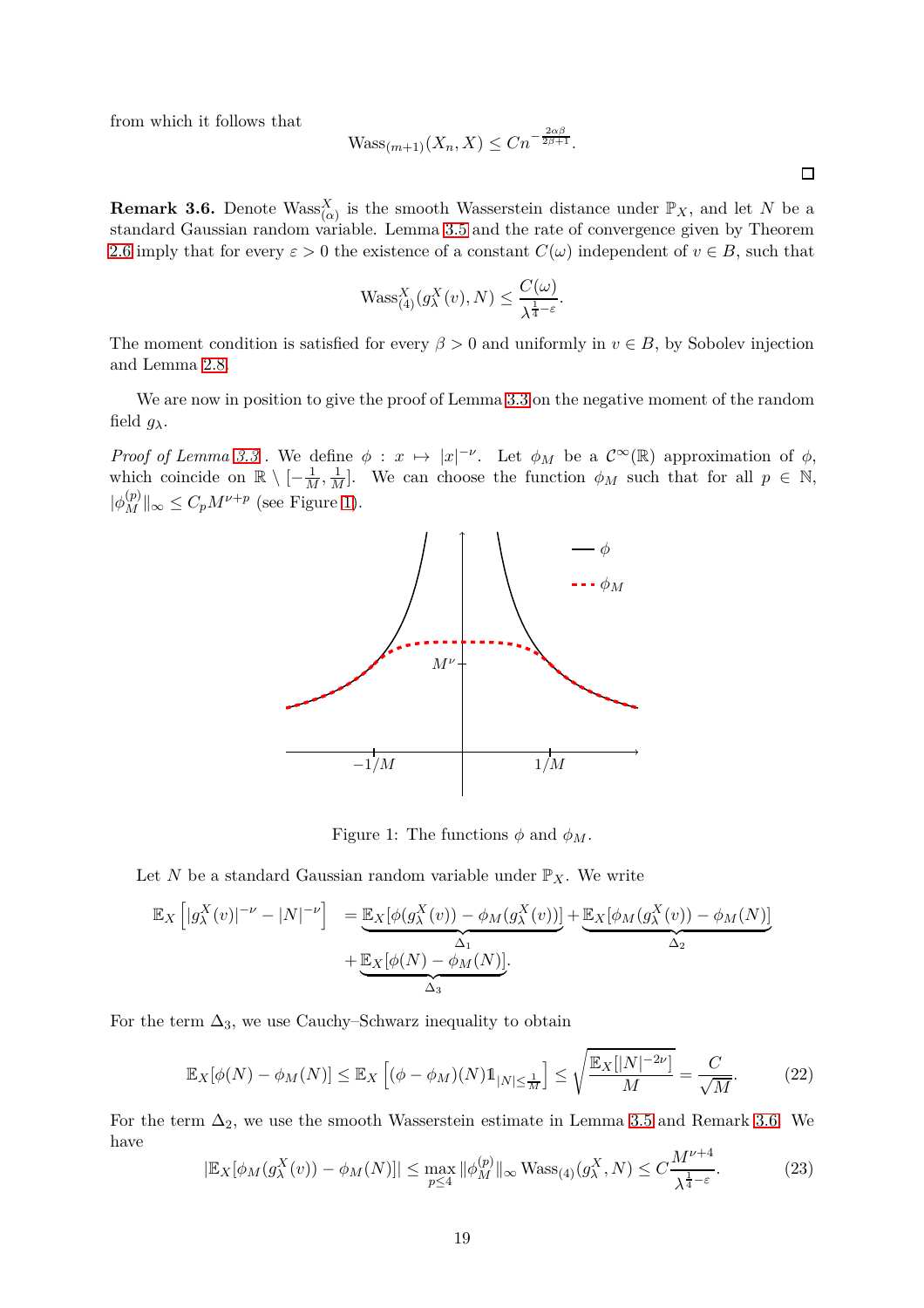from which it follows that

$$
\text{Wass}_{(m+1)}(X_n, X) \le Cn^{-\frac{2\alpha\beta}{2\beta+1}}.
$$

<span id="page-18-1"></span>**Remark 3.6.** Denote  $Wass_{(\alpha)}^X$  is the smooth Wasserstein distance under  $\mathbb{P}_X$ , and let *N* be a standard Gaussian random variable. Lemma [3.5](#page-17-1) and the rate of convergence given by Theorem [2.6](#page-11-1) imply that for every  $\varepsilon > 0$  the existence of a constant  $C(\omega)$  independent of  $v \in B$ , such that

$$
\text{Wass}_{(4)}^X(g_{\lambda}^X(v), N) \le \frac{C(\omega)}{\lambda^{\frac{1}{4} - \varepsilon}}.
$$

The moment condition is satisfied for every  $\beta > 0$  and uniformly in  $v \in B$ , by Sobolev injection and Lemma [2.8.](#page-12-2)

We are now in position to give the proof of Lemma [3.3](#page-16-0) on the negative moment of the random field  $g_{\lambda}$ .

<span id="page-18-0"></span>*Proof of Lemma* [3.3](#page-16-0). We define  $\phi : x \mapsto |x|^{-\nu}$ . Let  $\phi_M$  be a  $C^{\infty}(\mathbb{R})$  approximation of  $\phi$ , which coincide on  $\mathbb{R} \setminus [-\frac{1}{M}, \frac{1}{M}]$ . We can choose the function  $\phi_M$  such that for all  $p \in \mathbb{N}$ ,  $|\phi_M^{(p)}|_{\infty} \le C_p M^{\nu+p}$  (see Figure [1\)](#page-18-0).



<span id="page-18-3"></span><span id="page-18-2"></span>Figure 1: The functions  $\phi$  and  $\phi_M$ .

Let *N* be a standard Gaussian random variable under  $\mathbb{P}_X$ . We write

$$
\mathbb{E}_X \left[ |g_\lambda^X(v)|^{-\nu} - |N|^{-\nu} \right] = \underbrace{\mathbb{E}_X [\phi(g_\lambda^X(v)) - \phi_M(g_\lambda^X(v))]}_{\Delta_1} + \underbrace{\mathbb{E}_X [\phi_M(g_\lambda^X(v)) - \phi_M(N)]}_{\Delta_3} + \underbrace{\mathbb{E}_X [\phi(N) - \phi_M(N)]}_{\Delta_3}.
$$

For the term  $\Delta_3$ , we use Cauchy–Schwarz inequality to obtain

$$
\mathbb{E}_X[\phi(N) - \phi_M(N)] \le \mathbb{E}_X\left[ (\phi - \phi_M)(N) \mathbb{1}_{|N| \le \frac{1}{M}} \right] \le \sqrt{\frac{\mathbb{E}_X[|N|^{-2\nu}]}{M}} = \frac{C}{\sqrt{M}}.
$$
 (22)

For the term  $\Delta_2$ , we use the smooth Wasserstein estimate in Lemma [3.5](#page-17-1) and Remark [3.6.](#page-18-1) We have *Mν*+4

$$
|\mathbb{E}_X[\phi_M(g_\lambda^X(v)) - \phi_M(N)]| \le \max_{p \le 4} \|\phi_M^{(p)}\|_{\infty} \operatorname{Wass}_{(4)}(g_\lambda^X, N) \le C \frac{M^{\nu+4}}{\lambda^{\frac{1}{4}-\varepsilon}}.
$$
 (23)

 $\Box$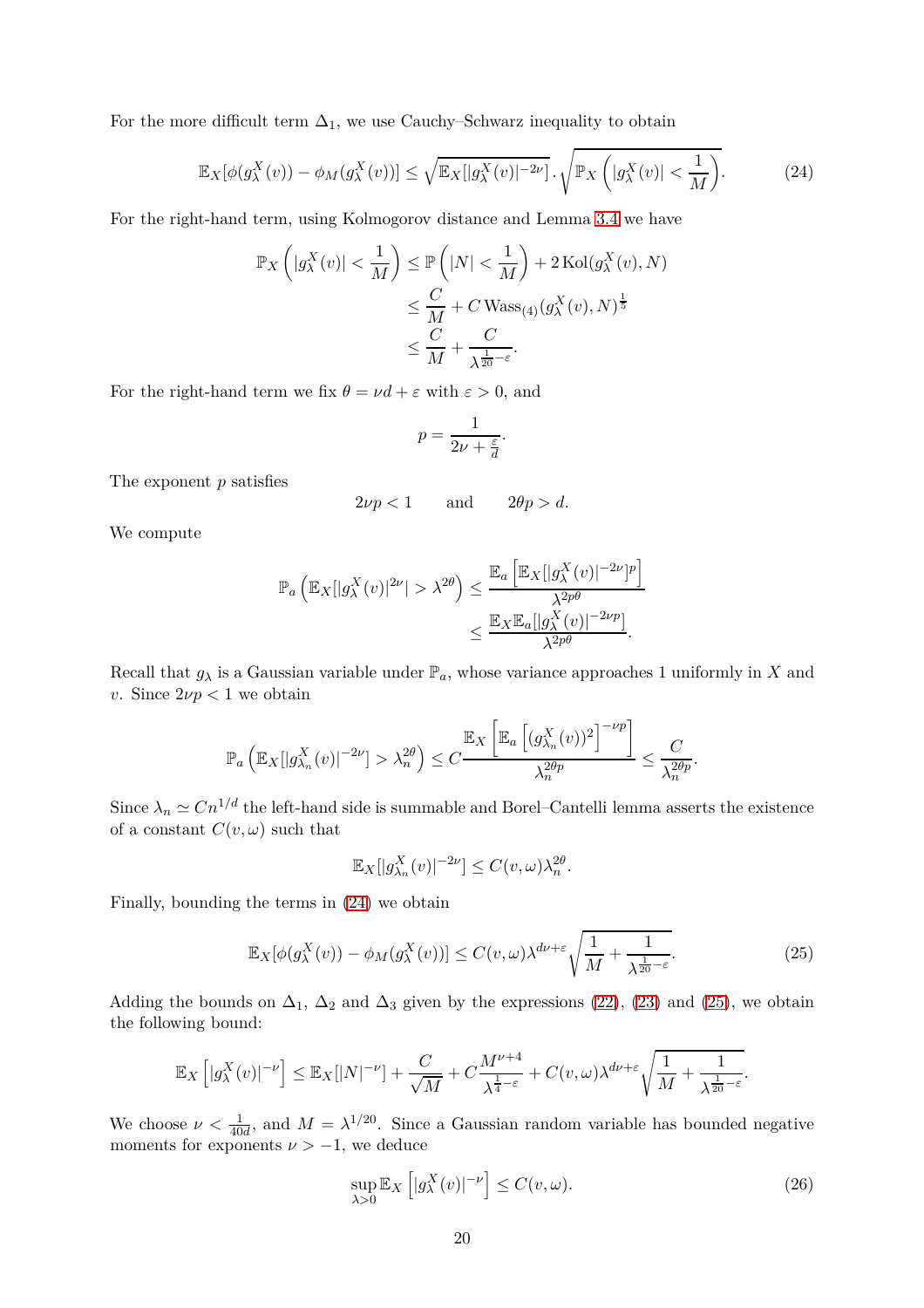For the more difficult term  $\Delta_1$ , we use Cauchy–Schwarz inequality to obtain

$$
\mathbb{E}_X[\phi(g_\lambda^X(v)) - \phi_M(g_\lambda^X(v))] \le \sqrt{\mathbb{E}_X[|g_\lambda^X(v)|^{-2\nu}]} \cdot \sqrt{\mathbb{P}_X\left(|g_\lambda^X(v)| < \frac{1}{M}\right)}.\tag{24}
$$

For the right-hand term, using Kolmogorov distance and Lemma [3.4](#page-16-1) we have

$$
\mathbb{P}_X\left(|g_\lambda^X(v)| < \frac{1}{M}\right) \le \mathbb{P}\left(|N| < \frac{1}{M}\right) + 2\operatorname{Kol}(g_\lambda^X(v), N) \\
\le \frac{C}{M} + C \operatorname{Wass}_{(4)}(g_\lambda^X(v), N)^{\frac{1}{5}} \\
\le \frac{C}{M} + \frac{C}{\lambda^{\frac{1}{20} - \varepsilon}}.
$$

For the right-hand term we fix  $\theta = \nu d + \varepsilon$  with  $\varepsilon > 0$ , and

<span id="page-19-0"></span>
$$
p = \frac{1}{2\nu + \frac{\varepsilon}{d}}.
$$

The exponent *p* satisfies

$$
2\nu p < 1 \qquad \text{and} \qquad 2\theta p > d.
$$

We compute

$$
\mathbb{P}_a\left(\mathbb{E}_X[|g^X_\lambda(v)|^{2\nu}| > \lambda^{2\theta}\right) \le \frac{\mathbb{E}_a\left[\mathbb{E}_X[|g^X_\lambda(v)|^{-2\nu}]^p\right]}{\lambda^{2p\theta}} \le \frac{\mathbb{E}_X\mathbb{E}_a[|g^X_\lambda(v)|^{-2\nu p}]}{\lambda^{2p\theta}}.
$$

Recall that  $g_{\lambda}$  is a Gaussian variable under  $\mathbb{P}_a$ , whose variance approaches 1 uniformly in *X* and *v*. Since  $2\nu p < 1$  we obtain

$$
\mathbb{P}_a\left(\mathbb{E}_X[|g_{\lambda_n}^X(v)|^{-2\nu}]>\lambda_n^{2\theta}\right)\leq C\frac{\mathbb{E}_X\left[\mathbb{E}_a\left[(g_{\lambda_n}^X(v))^2\right]^{-\nu p}\right]}{\lambda_n^{2\theta p}}\leq \frac{C}{\lambda_n^{2\theta p}}.
$$

Since  $\lambda_n \simeq C n^{1/d}$  the left-hand side is summable and Borel–Cantelli lemma asserts the existence of a constant  $C(v, \omega)$  such that

<span id="page-19-1"></span>
$$
\mathbb{E}_X[|g_{\lambda_n}^X(v)|^{-2\nu}]\leq C(v,\omega)\lambda_n^{2\theta}.
$$

Finally, bounding the terms in [\(24\)](#page-19-0) we obtain

$$
\mathbb{E}_X[\phi(g_\lambda^X(v)) - \phi_M(g_\lambda^X(v))] \le C(v,\omega)\lambda^{d\nu + \varepsilon} \sqrt{\frac{1}{M} + \frac{1}{\lambda^{\frac{1}{20} - \varepsilon}}}.
$$
 (25)

Adding the bounds on  $\Delta_1$ ,  $\Delta_2$  and  $\Delta_3$  given by the expressions [\(22\)](#page-18-2), [\(23\)](#page-18-3) and [\(25\)](#page-19-1), we obtain the following bound:

$$
\mathbb{E}_X\left[|g^X_\lambda(v)|^{-\nu}\right] \leq \mathbb{E}_X[|N|^{-\nu}] + \frac{C}{\sqrt{M}} + C\frac{M^{\nu+4}}{\lambda^{\frac{1}{4}-\varepsilon}} + C(v,\omega)\lambda^{d\nu+\varepsilon}\sqrt{\frac{1}{M} + \frac{1}{\lambda^{\frac{1}{20}-\varepsilon}}}.
$$

We choose  $\nu < \frac{1}{40d}$ , and  $M = \lambda^{1/20}$ . Since a Gaussian random variable has bounded negative moments for exponents  $\nu > -1$ , we deduce

<span id="page-19-2"></span>
$$
\sup_{\lambda>0} \mathbb{E}_X \left[ |g_{\lambda}^X(v)|^{-\nu} \right] \le C(v,\omega). \tag{26}
$$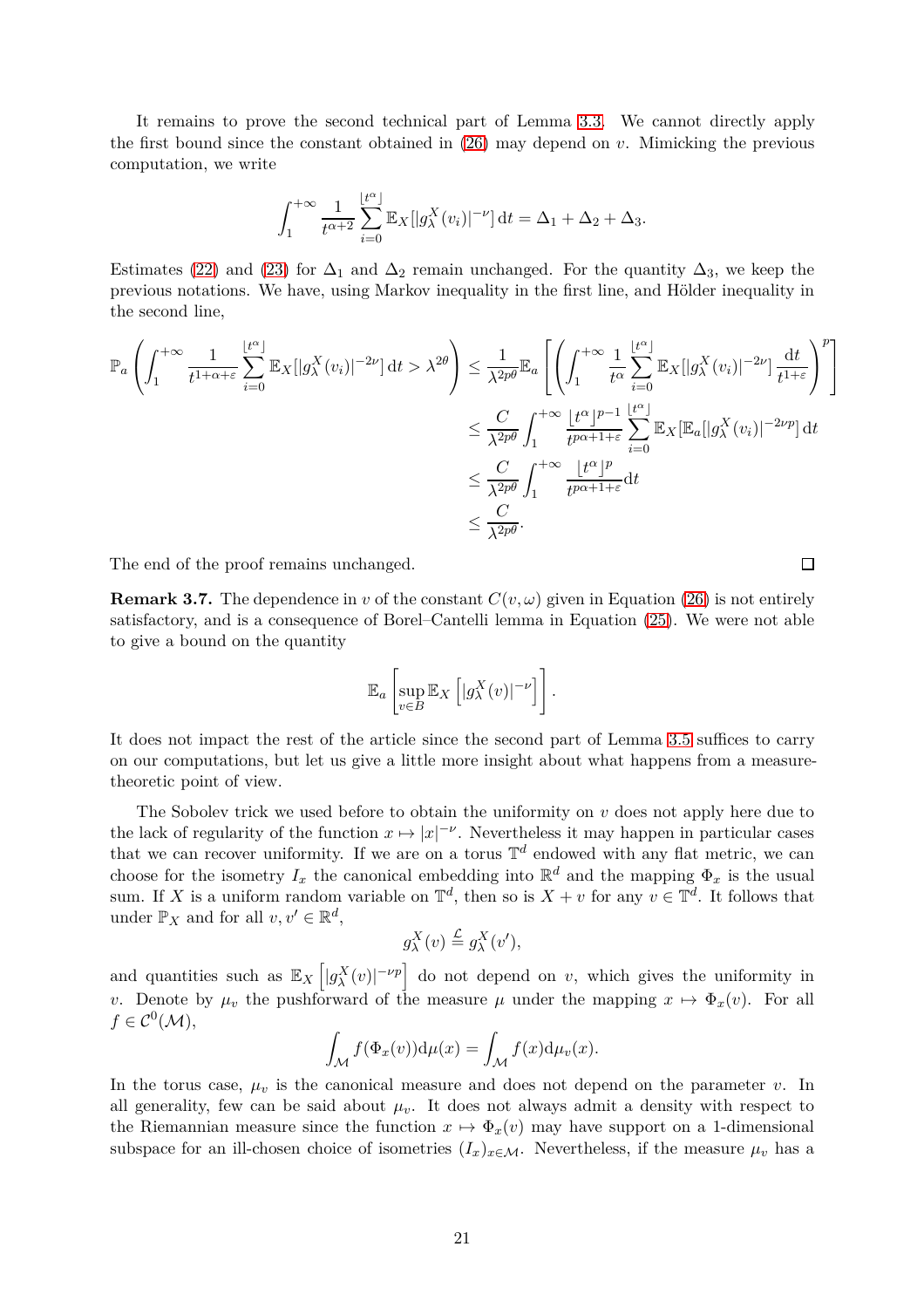It remains to prove the second technical part of Lemma [3.3.](#page-16-0) We cannot directly apply the first bound since the constant obtained in [\(26\)](#page-19-2) may depend on *v*. Mimicking the previous computation, we write

$$
\int_1^{+\infty} \frac{1}{t^{\alpha+2}} \sum_{i=0}^{\lfloor t^{\alpha} \rfloor} \mathbb{E}_X[|g_{\lambda}^X(v_i)|^{-\nu}] dt = \Delta_1 + \Delta_2 + \Delta_3.
$$

Estimates [\(22\)](#page-18-2) and [\(23\)](#page-18-3) for  $\Delta_1$  and  $\Delta_2$  remain unchanged. For the quantity  $\Delta_3$ , we keep the previous notations. We have, using Markov inequality in the first line, and Hölder inequality in the second line,

$$
\mathbb{P}_{a}\left(\int_{1}^{+\infty} \frac{1}{t^{1+\alpha+\varepsilon}} \sum_{i=0}^{\lfloor t^{\alpha}\rfloor} \mathbb{E}_{X}[|g_{\lambda}^{X}(v_{i})|^{-2\nu}] dt > \lambda^{2\theta}\right) \leq \frac{1}{\lambda^{2p\theta}} \mathbb{E}_{a}\left[\left(\int_{1}^{+\infty} \frac{1}{t^{\alpha}} \sum_{i=0}^{\lfloor t^{\alpha}\rfloor} \mathbb{E}_{X}[|g_{\lambda}^{X}(v_{i})|^{-2\nu}] \frac{dt}{t^{1+\varepsilon}}\right)^{p}\right]
$$
  

$$
\leq \frac{C}{\lambda^{2p\theta}} \int_{1}^{+\infty} \frac{\lfloor t^{\alpha}\rfloor^{p-1}}{t^{p\alpha+1+\varepsilon}} \sum_{i=0}^{\lfloor t^{\alpha}\rfloor} \mathbb{E}_{X}[\mathbb{E}_{a}[|g_{\lambda}^{X}(v_{i})|^{-2\nu p}] dt
$$
  

$$
\leq \frac{C}{\lambda^{2p\theta}} \int_{1}^{+\infty} \frac{\lfloor t^{\alpha}\rfloor^{p}}{t^{p\alpha+1+\varepsilon}} dt
$$
  

$$
\leq \frac{C}{\lambda^{2p\theta}}.
$$

The end of the proof remains unchanged.

<span id="page-20-0"></span>**Remark 3.7.** The dependence in *v* of the constant  $C(v, \omega)$  given in Equation [\(26\)](#page-19-2) is not entirely satisfactory, and is a consequence of Borel–Cantelli lemma in Equation [\(25\)](#page-19-1). We were not able to give a bound on the quantity

$$
\mathbb{E}_a\left[\sup_{v\in B}\mathbb{E}_X\left[|g_\lambda^X(v)|^{-\nu}\right]\right].
$$

It does not impact the rest of the article since the second part of Lemma [3.5](#page-17-1) suffices to carry on our computations, but let us give a little more insight about what happens from a measuretheoretic point of view.

The Sobolev trick we used before to obtain the uniformity on *v* does not apply here due to the lack of regularity of the function  $x \mapsto |x|^{-\nu}$ . Nevertheless it may happen in particular cases that we can recover uniformity. If we are on a torus  $\mathbb{T}^d$  endowed with any flat metric, we can choose for the isometry  $I_x$  the canonical embedding into  $\mathbb{R}^d$  and the mapping  $\Phi_x$  is the usual sum. If *X* is a uniform random variable on  $\mathbb{T}^d$ , then so is  $X + v$  for any  $v \in \mathbb{T}^d$ . It follows that under  $\mathbb{P}_X$  and for all  $v, v' \in \mathbb{R}^d$ ,

$$
g_{\lambda}^{X}(v) \stackrel{\mathcal{L}}{=} g_{\lambda}^{X}(v'),
$$

and quantities such as  $\mathbb{E}_X [g_\lambda^X(v)|^{-\nu p}]$  do not depend on *v*, which gives the uniformity in *v*. Denote by  $\mu_v$  the pushforward of the measure  $\mu$  under the mapping  $x \mapsto \Phi_x(v)$ . For all  $f \in C^0(\mathcal{M}),$ 

$$
\int_{\mathcal{M}} f(\Phi_x(v)) \mathrm{d}\mu(x) = \int_{\mathcal{M}} f(x) \mathrm{d}\mu_v(x).
$$

In the torus case,  $\mu_v$  is the canonical measure and does not depend on the parameter *v*. In all generality, few can be said about  $\mu_v$ . It does not always admit a density with respect to the Riemannian measure since the function  $x \mapsto \Phi_x(v)$  may have support on a 1-dimensional subspace for an ill-chosen choice of isometries  $(I_x)_{x \in \mathcal{M}}$ . Nevertheless, if the measure  $\mu_v$  has a

 $\Box$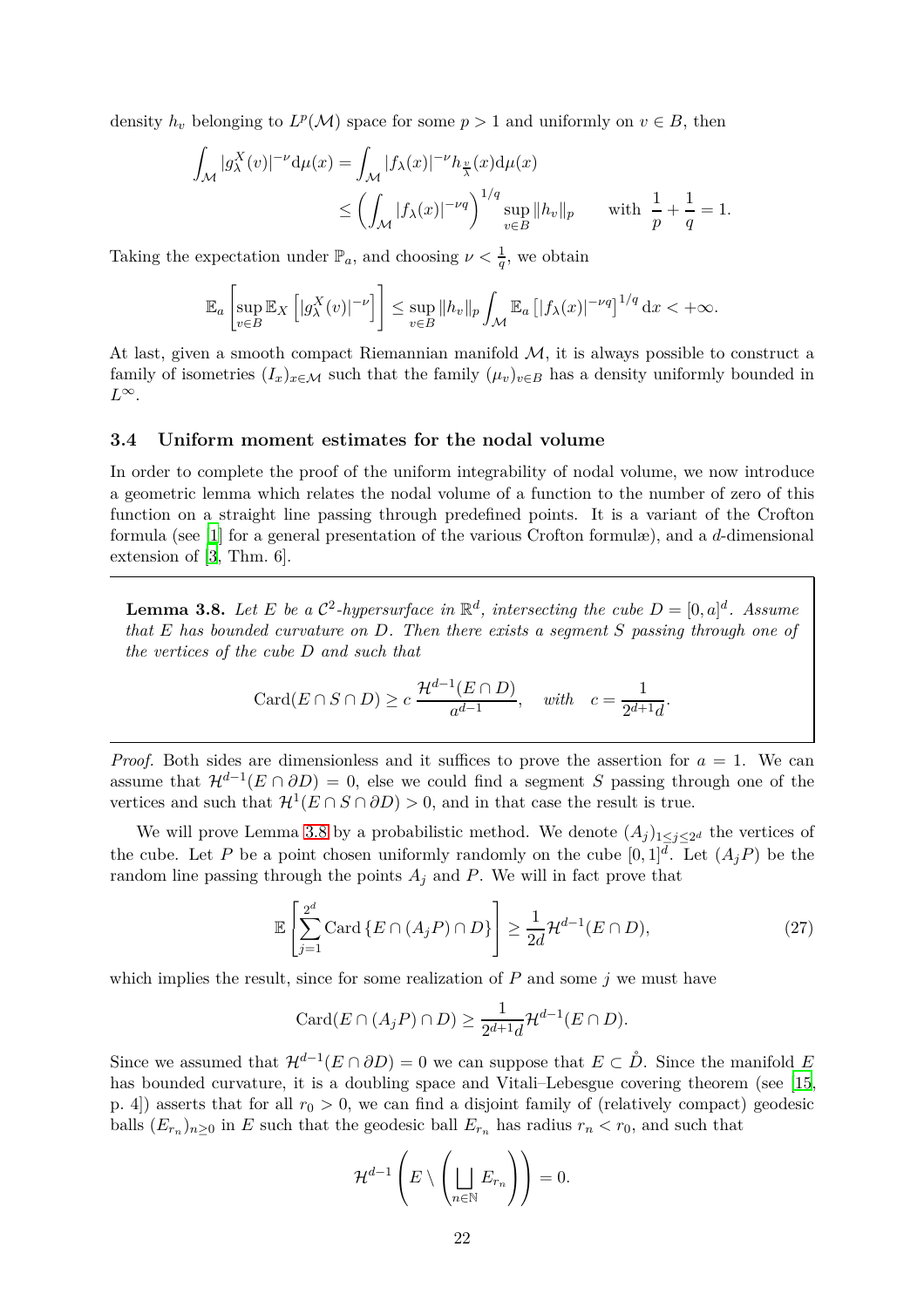density  $h_v$  belonging to  $L^p(\mathcal{M})$  space for some  $p > 1$  and uniformly on  $v \in B$ , then

$$
\int_{\mathcal{M}} |g_{\lambda}^{X}(v)|^{-\nu} d\mu(x) = \int_{\mathcal{M}} |f_{\lambda}(x)|^{-\nu} h_{\frac{v}{\lambda}}(x) d\mu(x)
$$
\n
$$
\leq \left( \int_{\mathcal{M}} |f_{\lambda}(x)|^{-\nu q} \right)^{1/q} \sup_{v \in B} ||h_{v}||_{p} \quad \text{with } \frac{1}{p} + \frac{1}{q} = 1.
$$

Taking the expectation under  $\mathbb{P}_a$ , and choosing  $\nu < \frac{1}{q}$ , we obtain

$$
\mathbb{E}_a\left[\sup_{v\in B}\mathbb{E}_X\left[|g^X_\lambda(v)|^{-\nu}\right]\right] \le \sup_{v\in B}\|h_v\|_p \int_{\mathcal{M}} \mathbb{E}_a\left[|f_\lambda(x)|^{-\nu q}\right]^{1/q} \mathrm{d}x < +\infty.
$$

At last, given a smooth compact Riemannian manifold  $M$ , it is always possible to construct a family of isometries  $(I_x)_{x \in \mathcal{M}}$  such that the family  $(\mu_v)_{v \in B}$  has a density uniformly bounded in *L*∞.

## <span id="page-21-0"></span>**3.4 Uniform moment estimates for the nodal volume**

In order to complete the proof of the uniform integrability of nodal volume, we now introduce a geometric lemma which relates the nodal volume of a function to the number of zero of this function on a straight line passing through predefined points. It is a variant of the Crofton formula (see [\[1\]](#page-33-13) for a general presentation of the various Crofton formulæ), and a *d*-dimensional extension of [\[3](#page-33-0), Thm. 6].

<span id="page-21-1"></span>**Lemma 3.8.** Let E be a  $\mathcal{C}^2$ -hypersurface in  $\mathbb{R}^d$ , intersecting the cube  $D = [0, a]^d$ . Assume *that E has bounded curvature on D. Then there exists a segment S passing through one of the vertices of the cube D and such that*

$$
Card(E \cap S \cap D) \ge c \frac{\mathcal{H}^{d-1}(E \cap D)}{a^{d-1}}, \quad with \quad c = \frac{1}{2^{d+1}d}.
$$

*Proof.* Both sides are dimensionless and it suffices to prove the assertion for  $a = 1$ . We can assume that  $\mathcal{H}^{d-1}(E \cap \partial D) = 0$ , else we could find a segment *S* passing through one of the vertices and such that  $\mathcal{H}^1(E \cap S \cap \partial D) > 0$ , and in that case the result is true.

We will prove Lemma [3.8](#page-21-1) by a probabilistic method. We denote  $(A_j)_{1 \leq j \leq 2^d}$  the vertices of the cube. Let *P* be a point chosen uniformly randomly on the cube  $[0,1]^d$ . Let  $(A_jP)$  be the random line passing through the points  $A_j$  and  $P$ . We will in fact prove that

$$
\mathbb{E}\left[\sum_{j=1}^{2^d} \text{Card}\left\{E \cap (A_j P) \cap D\right\}\right] \ge \frac{1}{2d} \mathcal{H}^{d-1}(E \cap D),\tag{27}
$$

which implies the result, since for some realization of  $P$  and some  $j$  we must have

$$
Card(E\cap (A_jP)\cap D)\geq \frac{1}{2^{d+1}d}\mathcal{H}^{d-1}(E\cap D).
$$

Since we assumed that  $\mathcal{H}^{d-1}(E \cap \partial D) = 0$  we can suppose that  $E \subset \mathring{D}$ . Since the manifold *E* has bounded curvature, it is a doubling space and Vitali–Lebesgue covering theorem (see [\[15,](#page-33-14) p. 4) asserts that for all  $r_0 > 0$ , we can find a disjoint family of (relatively compact) geodesic balls  $(E_{r_n})_{n\geq 0}$  in *E* such that the geodesic ball  $E_{r_n}$  has radius  $r_n < r_0$ , and such that

<span id="page-21-2"></span>
$$
\mathcal{H}^{d-1}\left(E\setminus\left(\bigsqcup_{n\in\mathbb{N}}E_{r_n}\right)\right)=0.
$$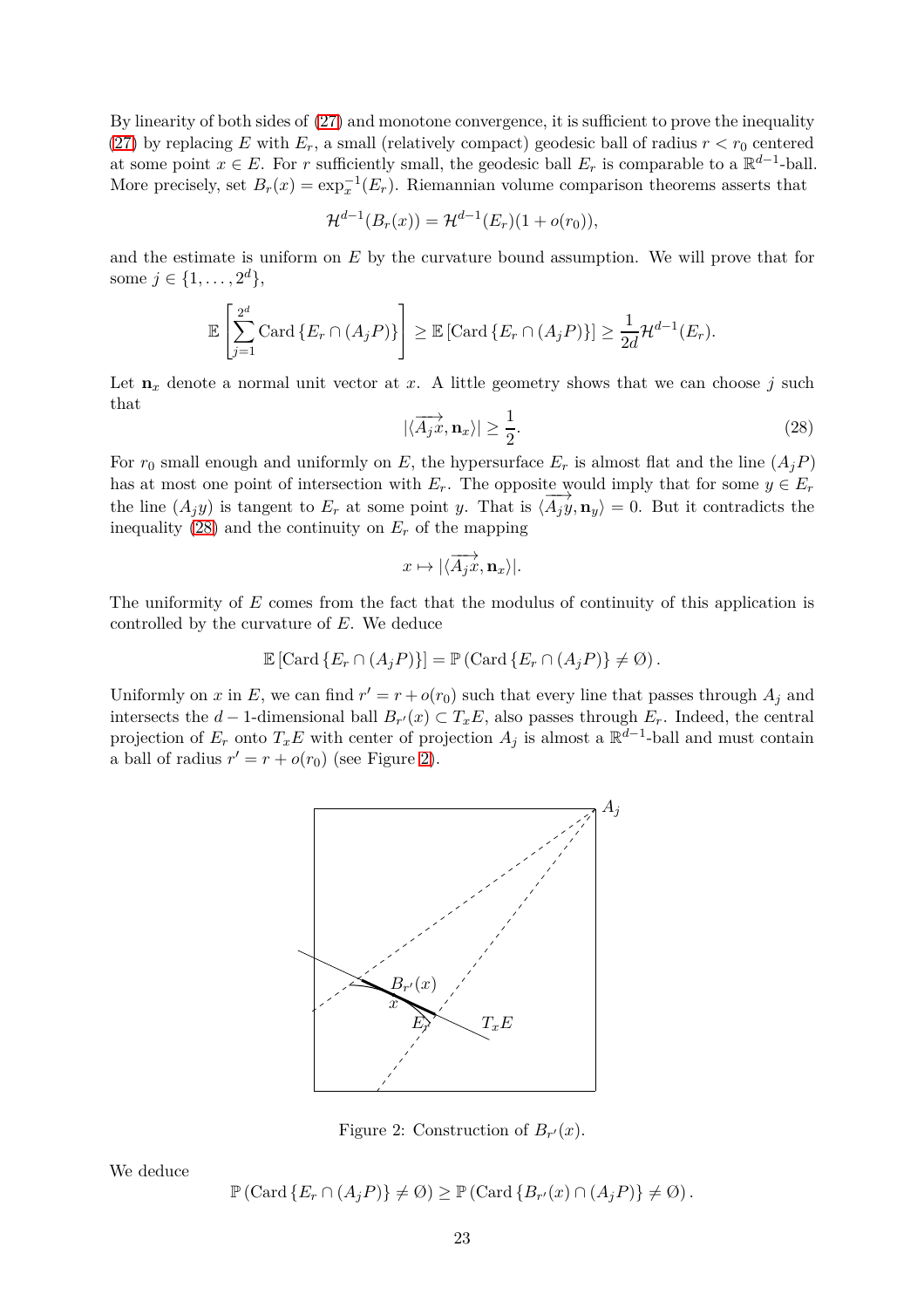By linearity of both sides of [\(27\)](#page-21-2) and monotone convergence, it is sufficient to prove the inequality [\(27\)](#page-21-2) by replacing *E* with  $E_r$ , a small (relatively compact) geodesic ball of radius  $r < r_0$  centered at some point  $x \in E$ . For *r* sufficiently small, the geodesic ball  $E_r$  is comparable to a  $\mathbb{R}^{d-1}$ -ball. More precisely, set  $B_r(x) = \exp_x^{-1}(E_r)$ . Riemannian volume comparison theorems asserts that

$$
\mathcal{H}^{d-1}(B_r(x)) = \mathcal{H}^{d-1}(E_r)(1 + o(r_0)),
$$

and the estimate is uniform on *E* by the curvature bound assumption. We will prove that for some  $j \in \{1, ..., 2^d\},\$ 

$$
\mathbb{E}\left[\sum_{j=1}^{2^d} \mathrm{Card}\left\{E_r \cap (A_j P)\right\}\right] \geq \mathbb{E}\left[\mathrm{Card}\left\{E_r \cap (A_j P)\right\}\right] \geq \frac{1}{2d} \mathcal{H}^{d-1}(E_r).
$$

Let  $\mathbf{n}_x$  denote a normal unit vector at  $x$ . A little geometry shows that we can choose  $j$  such that

<span id="page-22-0"></span>
$$
|\langle \overrightarrow{A_jx}, \mathbf{n}_x \rangle| \ge \frac{1}{2}.\tag{28}
$$

For  $r_0$  small enough and uniformly on *E*, the hypersurface  $E_r$  is almost flat and the line  $(A_i P)$ has at most one point of intersection with  $E_r$ . The opposite would imply that for some  $y \in E_r$ the line  $(A_j y)$  is tangent to  $E_r$  at some point *y*. That is  $\langle \overrightarrow{A_j y}, \mathbf{n}_y \rangle = 0$ . But it contradicts the inequality  $(28)$  and the continuity on  $E_r$  of the mapping

$$
x\mapsto |\langle \overrightarrow{A_jx}, \mathbf{n}_x\rangle|.
$$

The uniformity of *E* comes from the fact that the modulus of continuity of this application is controlled by the curvature of *E*. We deduce

$$
\mathbb{E}\left[\mathrm{Card}\left\{E_r \cap (A_j P)\right\}\right] = \mathbb{P}\left(\mathrm{Card}\left\{E_r \cap (A_j P)\right\} \neq \emptyset\right).
$$

<span id="page-22-1"></span>Uniformly on *x* in *E*, we can find  $r' = r + o(r_0)$  such that every line that passes through  $A_j$  and intersects the *d* − 1-dimensional ball  $B_{r'}(x) \subset T_xE$ , also passes through  $E_r$ . Indeed, the central projection of  $E_r$  onto  $T_x E$  with center of projection  $A_j$  is almost a  $\mathbb{R}^{d-1}$ -ball and must contain a ball of radius  $r' = r + o(r_0)$  (see Figure [2\)](#page-22-1).



Figure 2: Construction of  $B_{r'}(x)$ .

We deduce

$$
\mathbb{P}\left(\mathrm{Card}\left\{E_r \cap (A_j P)\right\} \neq \emptyset\right) \geq \mathbb{P}\left(\mathrm{Card}\left\{B_{r'}(x) \cap (A_j P)\right\} \neq \emptyset\right).
$$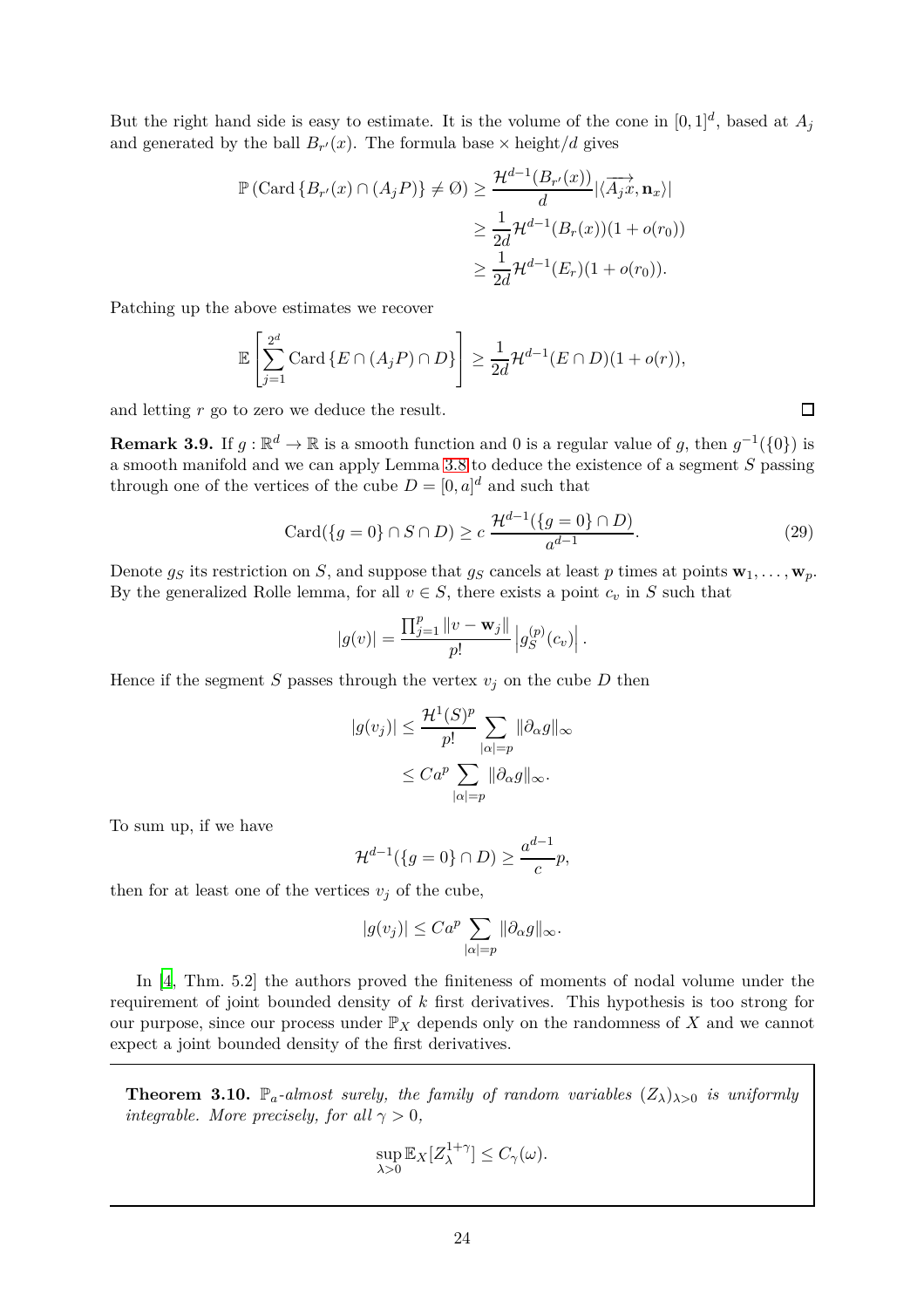But the right hand side is easy to estimate. It is the volume of the cone in  $[0,1]^d$ , based at  $A_j$ and generated by the ball  $B_{r'}(x)$ . The formula base  $\times$  height/*d* gives

$$
\mathbb{P}\left(\text{Card}\left\{B_{r'}(x)\cap (A_j P)\right\} \neq \emptyset\right) \ge \frac{\mathcal{H}^{d-1}(B_{r'}(x))}{d}|\langle \overrightarrow{A_j x}, \mathbf{n}_x \rangle|
$$
  

$$
\ge \frac{1}{2d} \mathcal{H}^{d-1}(B_r(x))(1+o(r_0))
$$
  

$$
\ge \frac{1}{2d} \mathcal{H}^{d-1}(E_r)(1+o(r_0)).
$$

Patching up the above estimates we recover

$$
\mathbb{E}\left[\sum_{j=1}^{2^d} \mathrm{Card}\left\{E \cap (A_j P) \cap D\right\}\right] \ge \frac{1}{2d} \mathcal{H}^{d-1}(E \cap D)(1+o(r)),
$$

and letting *r* go to zero we deduce the result.

<span id="page-23-1"></span>**Remark 3.9.** If  $g : \mathbb{R}^d \to \mathbb{R}$  is a smooth function and 0 is a regular value of *g*, then  $g^{-1}(\{0\})$  is a smooth manifold and we can apply Lemma [3.8](#page-21-1) to deduce the existence of a segment *S* passing through one of the vertices of the cube  $D = [0, a]^d$  and such that

$$
Card({g = 0} \cap S \cap D) \ge c \frac{\mathcal{H}^{d-1}({g = 0} \cap D)}{a^{d-1}}.
$$
\n(29)

Denote  $g_S$  its restriction on *S*, and suppose that  $g_S$  cancels at least *p* times at points  $\mathbf{w}_1, \ldots, \mathbf{w}_p$ . By the generalized Rolle lemma, for all  $v \in S$ , there exists a point  $c_v$  in  $S$  such that

$$
|g(v)| = \frac{\prod_{j=1}^p ||v - \mathbf{w}_j||}{p!} |g_S^{(p)}(c_v)|.
$$

Hence if the segment *S* passes through the vertex  $v_j$  on the cube *D* then

$$
|g(v_j)| \le \frac{\mathcal{H}^1(S)^p}{p!} \sum_{|\alpha|=p} \|\partial_{\alpha}g\|_{\infty}
$$

$$
\le Ca^p \sum_{|\alpha|=p} \|\partial_{\alpha}g\|_{\infty}.
$$

To sum up, if we have

$$
\mathcal{H}^{d-1}(\lbrace g=0\rbrace \cap D) \ge \frac{a^{d-1}}{c}p,
$$

then for at least one of the vertices  $v_j$  of the cube,

$$
|g(v_j)| \leq Ca^p \sum_{|\alpha|=p} ||\partial_{\alpha}g||_{\infty}.
$$

In [\[4,](#page-33-15) Thm. 5.2] the authors proved the finiteness of moments of nodal volume under the requirement of joint bounded density of *k* first derivatives. This hypothesis is too strong for our purpose, since our process under  $\mathbb{P}_X$  depends only on the randomness of X and we cannot expect a joint bounded density of the first derivatives.

<span id="page-23-0"></span>**Theorem 3.10.**  $\mathbb{P}_a$ -almost surely, the family of random variables  $(Z_\lambda)_{\lambda>0}$  is uniformly *integrable. More precisely, for all*  $\gamma > 0$ *,* 

$$
\sup_{\lambda>0} \mathbb{E}_X[Z_{\lambda}^{1+\gamma}] \le C_{\gamma}(\omega).
$$

 $\Box$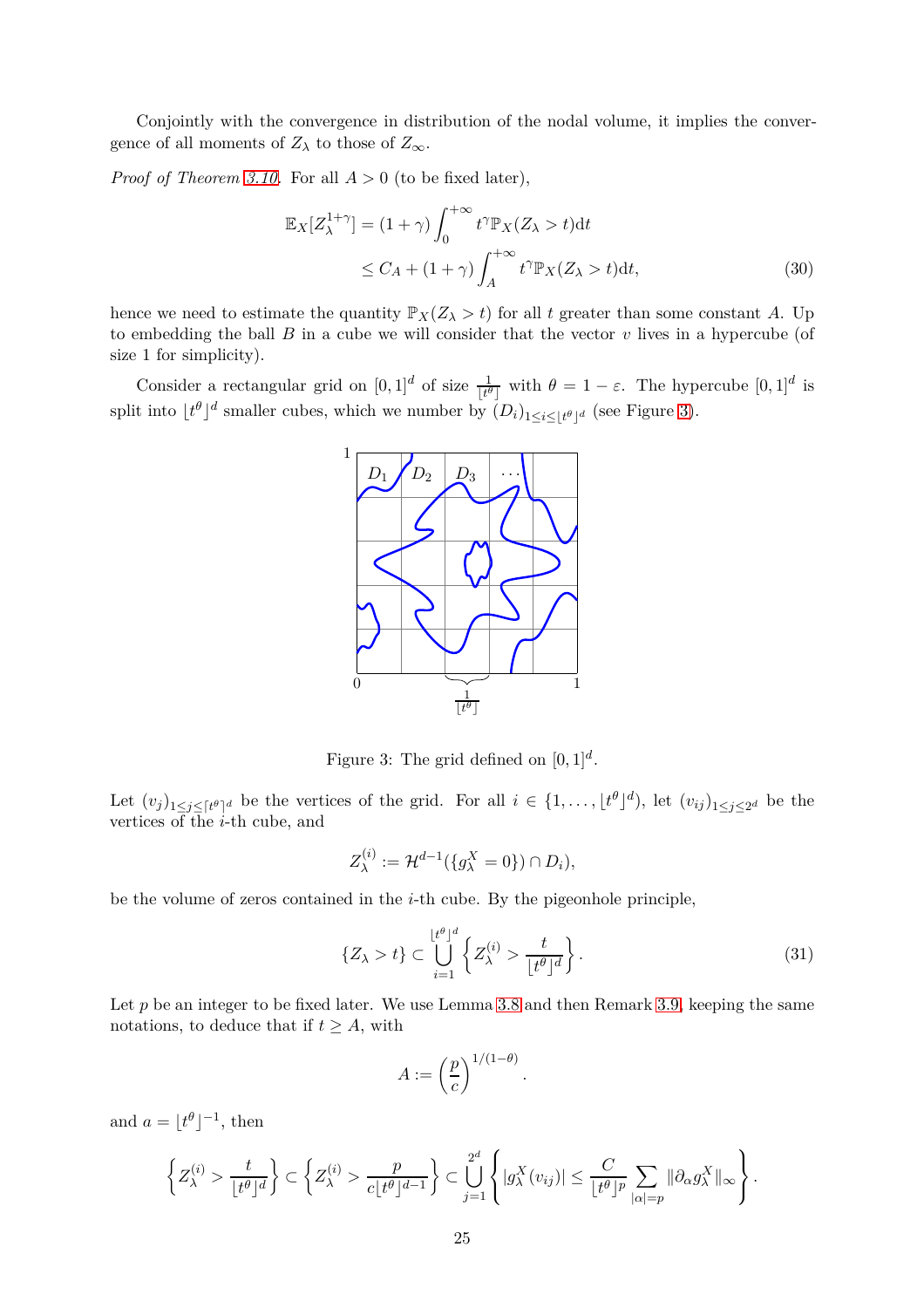Conjointly with the convergence in distribution of the nodal volume, it implies the convergence of all moments of  $Z_{\lambda}$  to those of  $Z_{\infty}$ .

*Proof of Theorem [3.10.](#page-23-0)* For all *A >* 0 (to be fixed later),

$$
\mathbb{E}_X[Z_\lambda^{1+\gamma}] = (1+\gamma) \int_0^{+\infty} t^\gamma \mathbb{P}_X(Z_\lambda > t) dt
$$
  
\n
$$
\leq C_A + (1+\gamma) \int_A^{+\infty} t^\gamma \mathbb{P}_X(Z_\lambda > t) dt,
$$
\n(30)

hence we need to estimate the quantity  $\mathbb{P}_X(Z_\lambda > t)$  for all *t* greater than some constant *A*. Up to embedding the ball  $B$  in a cube we will consider that the vector  $v$  lives in a hypercube (of size 1 for simplicity).

<span id="page-24-0"></span>Consider a rectangular grid on  $[0, 1]^d$  of size  $\frac{1}{\lfloor t^{\theta} \rfloor}$  with  $\theta = 1 - \varepsilon$ . The hypercube  $[0, 1]^d$  is split into  $\lfloor t^{\theta} \rfloor^d$  smaller cubes, which we number by  $(D_i)_{1 \leq i \leq \lfloor t^{\theta} \rfloor^d}$  (see Figure [3\)](#page-24-0).

<span id="page-24-2"></span>

Figure 3: The grid defined on  $[0, 1]^d$ .

Let  $(v_j)_{1 \leq j \leq [t^{\theta}]^d}$  be the vertices of the grid. For all  $i \in \{1, \ldots, \lfloor t^{\theta} \rfloor^d\}$ , let  $(v_{ij})_{1 \leq j \leq 2^d}$  be the vertices of the *i*-th cube, and

$$
Z_{\lambda}^{(i)} := \mathcal{H}^{d-1}(\{g_{\lambda}^X = 0\}) \cap D_i),
$$

be the volume of zeros contained in the *i*-th cube. By the pigeonhole principle,

$$
\{Z_{\lambda} > t\} \subset \bigcup_{i=1}^{\lfloor t^{\theta} \rfloor^{d}} \left\{ Z_{\lambda}^{(i)} > \frac{t}{\lfloor t^{\theta} \rfloor^{d}} \right\}.
$$
\n(31)

Let  $p$  be an integer to be fixed later. We use Lemma [3.8](#page-21-1) and then Remark [3.9,](#page-23-1) keeping the same notations, to deduce that if  $t \geq A$ , with

$$
A := \left(\frac{p}{c}\right)^{1/(1-\theta)}
$$

<span id="page-24-1"></span>*.*

and  $a = \lfloor t^{\theta} \rfloor^{-1}$ , then

$$
\left\{Z_\lambda^{(i)} > \frac{t}{\lfloor t^\theta \rfloor^d} \right\} \subset \left\{Z_\lambda^{(i)} > \frac{p}{c\lfloor t^\theta \rfloor^{d-1}}\right\} \subset \bigcup_{j=1}^{2^d} \left\{|g_\lambda^X(v_{ij})| \leq \frac{C}{\lfloor t^\theta \rfloor^p} \sum_{|\alpha|=p} \|\partial_\alpha g_\lambda^X\|_\infty \right\}.
$$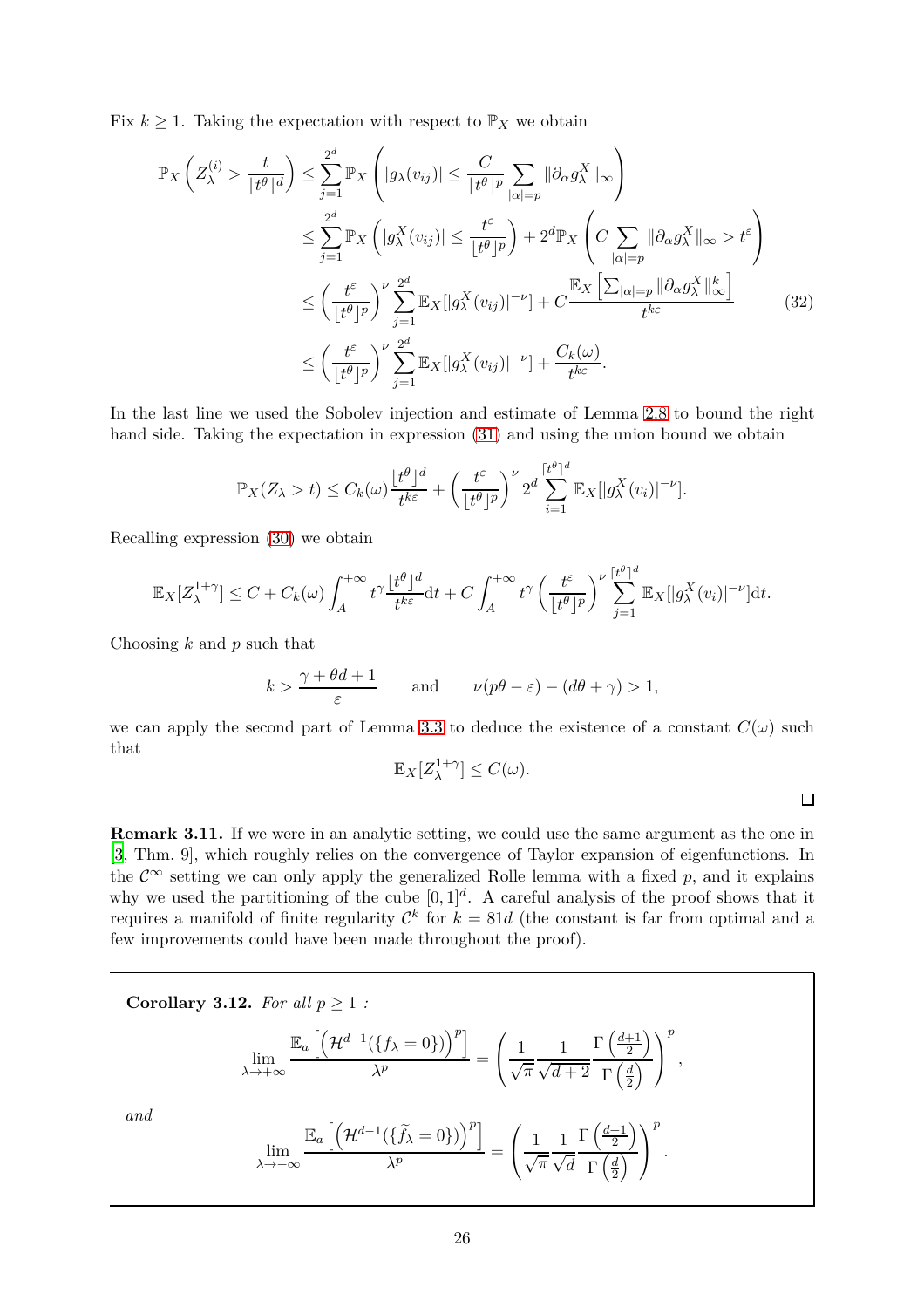Fix  $k \geq 1$ . Taking the expectation with respect to  $\mathbb{P}_X$  we obtain

$$
\mathbb{P}_{X}\left(Z_{\lambda}^{(i)} > \frac{t}{\lfloor t^{\theta}\rfloor^{d}}\right) \leq \sum_{j=1}^{2^{d}} \mathbb{P}_{X}\left(|g_{\lambda}(v_{ij})| \leq \frac{C}{\lfloor t^{\theta}\rfloor^{p}} \sum_{|\alpha|=p} ||\partial_{\alpha}g_{\lambda}^{X}||_{\infty}\right)
$$
  

$$
\leq \sum_{j=1}^{2^{d}} \mathbb{P}_{X}\left(|g_{\lambda}^{X}(v_{ij})| \leq \frac{t^{\varepsilon}}{\lfloor t^{\theta}\rfloor^{p}}\right) + 2^{d} \mathbb{P}_{X}\left(C \sum_{|\alpha|=p} ||\partial_{\alpha}g_{\lambda}^{X}||_{\infty} > t^{\varepsilon}\right)
$$
  

$$
\leq \left(\frac{t^{\varepsilon}}{\lfloor t^{\theta}\rfloor^{p}}\right)^{\nu} \sum_{j=1}^{2^{d}} \mathbb{E}_{X}[|g_{\lambda}^{X}(v_{ij})|^{-\nu}] + C \frac{\mathbb{E}_{X}\left[\sum_{|\alpha|=p} ||\partial_{\alpha}g_{\lambda}^{X}||_{\infty}^{k}\right]}{t^{k\varepsilon}}
$$
(32)  

$$
\leq \left(\frac{t^{\varepsilon}}{\lfloor t^{\theta}\rfloor^{p}}\right)^{\nu} \sum_{j=1}^{2^{d}} \mathbb{E}_{X}[|g_{\lambda}^{X}(v_{ij})|^{-\nu}] + \frac{C_{k}(\omega)}{t^{k\varepsilon}}.
$$

In the last line we used the Sobolev injection and estimate of Lemma [2.8](#page-12-2) to bound the right hand side. Taking the expectation in expression [\(31\)](#page-24-1) and using the union bound we obtain

$$
\mathbb{P}_X(Z_\lambda > t) \leq C_k(\omega) \frac{\lfloor t^\theta \rfloor^d}{t^{k\varepsilon}} + \left(\frac{t^\varepsilon}{\lfloor t^\theta \rfloor^p}\right)^{\nu} 2^d \sum_{i=1}^{\lceil t^\theta \rceil^d} \mathbb{E}_X[|g_\lambda^X(v_i)|^{-\nu}].
$$

Recalling expression [\(30\)](#page-24-2) we obtain

$$
\mathbb{E}_X[Z_\lambda^{1+\gamma}] \leq C + C_k(\omega) \int_A^{+\infty} t^\gamma \frac{\lfloor t^\theta \rfloor^d}{t^{k\varepsilon}} dt + C \int_A^{+\infty} t^\gamma \left( \frac{t^\varepsilon}{\lfloor t^\theta \rfloor^p} \right)^\nu \sum_{j=1}^{\lceil t^\theta \rceil^d} \mathbb{E}_X[|g_\lambda^X(v_i)|^{-\nu}] dt.
$$

Choosing *k* and *p* such that

$$
k > \frac{\gamma + \theta d + 1}{\varepsilon}
$$
 and  $\nu(p\theta - \varepsilon) - (d\theta + \gamma) > 1$ ,

we can apply the second part of Lemma [3.3](#page-16-0) to deduce the existence of a constant  $C(\omega)$  such that

$$
\mathbb{E}_X[Z_{\lambda}^{1+\gamma}] \le C(\omega).
$$

<span id="page-25-2"></span> $\Box$ 

<span id="page-25-1"></span>**Remark 3.11.** If we were in an analytic setting, we could use the same argument as the one in [\[3](#page-33-0), Thm. 9], which roughly relies on the convergence of Taylor expansion of eigenfunctions. In the  $\mathcal{C}^{\infty}$  setting we can only apply the generalized Rolle lemma with a fixed p, and it explains why we used the partitioning of the cube  $[0,1]^d$ . A careful analysis of the proof shows that it requires a manifold of finite regularity  $\mathcal{C}^k$  for  $k = 81d$  (the constant is far from optimal and a few improvements could have been made throughout the proof).

<span id="page-25-0"></span>Corollary 3.12. For all 
$$
p \ge 1
$$
:  
\n
$$
\lim_{\lambda \to +\infty} \frac{\mathbb{E}_a \left[ \left( \mathcal{H}^{d-1}(\{f_{\lambda} = 0\}) \right)^p \right]}{\lambda^p} = \left( \frac{1}{\sqrt{\pi}} \frac{1}{\sqrt{d+2}} \frac{\Gamma\left(\frac{d+1}{2}\right)}{\Gamma\left(\frac{d}{2}\right)} \right)^p,
$$
\nand\n
$$
\lim_{\lambda \to +\infty} \frac{\mathbb{E}_a \left[ \left( \mathcal{H}^{d-1}(\{\tilde{f}_{\lambda} = 0\}) \right)^p \right]}{\lambda^p} = \left( \frac{1}{\sqrt{\pi}} \frac{1}{\sqrt{d}} \frac{\Gamma\left(\frac{d+1}{2}\right)}{\Gamma\left(\frac{d}{2}\right)} \right)^p.
$$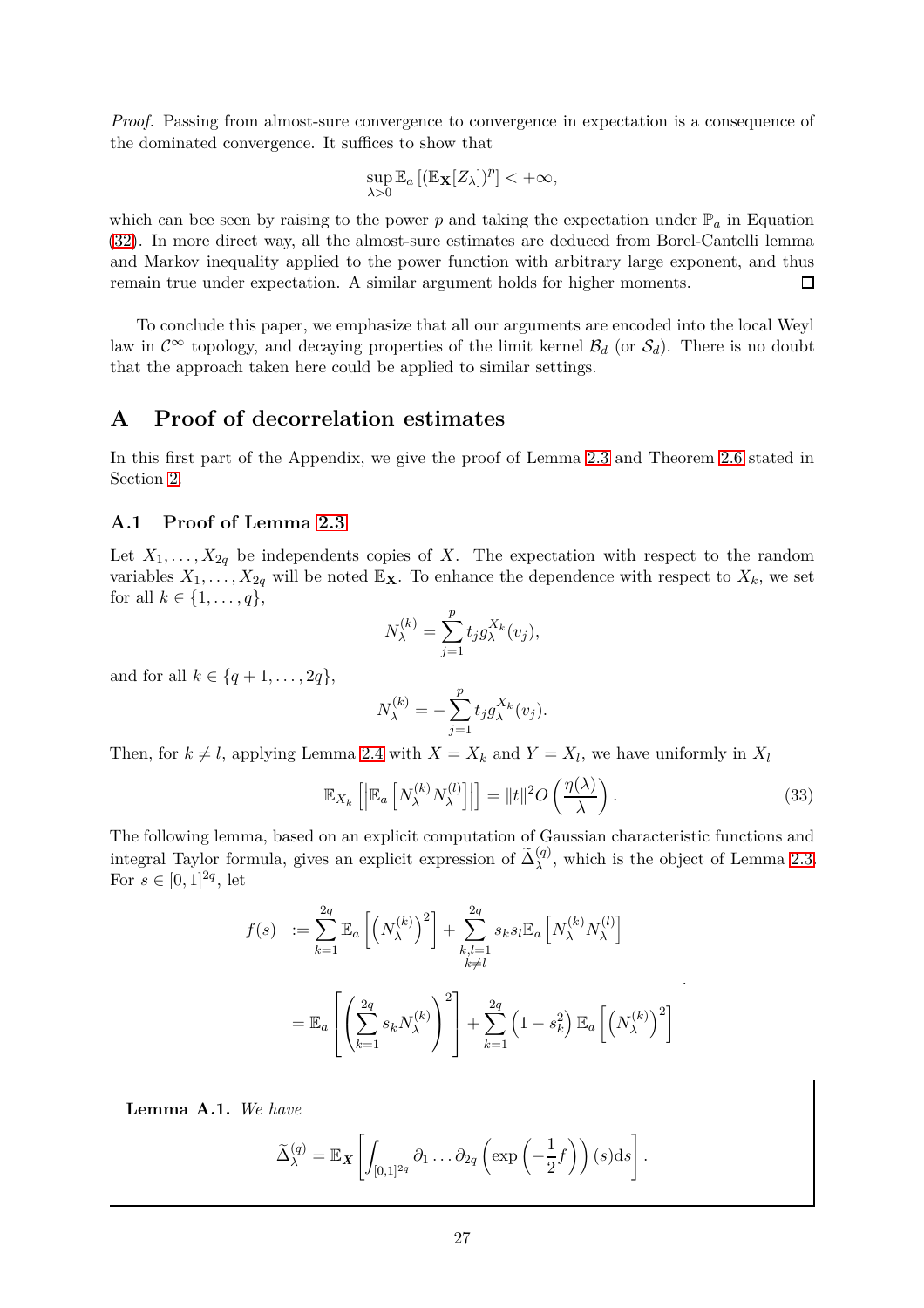*Proof.* Passing from almost-sure convergence to convergence in expectation is a consequence of the dominated convergence. It suffices to show that

$$
\sup_{\lambda>0}\mathbb{E}_a\left[ (\mathbb{E}_{\mathbf{X}}[Z_{\lambda}])^p \right] < +\infty,
$$

which can bee seen by raising to the power  $p$  and taking the expectation under  $\mathbb{P}_a$  in Equation [\(32\)](#page-25-2). In more direct way, all the almost-sure estimates are deduced from Borel-Cantelli lemma and Markov inequality applied to the power function with arbitrary large exponent, and thus remain true under expectation. A similar argument holds for higher moments.  $\Box$ 

To conclude this paper, we emphasize that all our arguments are encoded into the local Weyl law in  $\mathcal{C}^{\infty}$  topology, and decaying properties of the limit kernel  $\mathcal{B}_d$  (or  $\mathcal{S}_d$ ). There is no doubt that the approach taken here could be applied to similar settings.

# <span id="page-26-0"></span>**A Proof of decorrelation estimates**

In this first part of the Appendix, we give the proof of Lemma [2.3](#page-9-0) and Theorem [2.6](#page-11-1) stated in Section [2.](#page-7-0)

## <span id="page-26-1"></span>**A.1 Proof of Lemma [2.3](#page-9-0)**

Let  $X_1, \ldots, X_{2q}$  be independents copies of X. The expectation with respect to the random variables  $X_1, \ldots, X_{2q}$  will be noted  $\mathbb{E}_{\mathbf{X}}$ . To enhance the dependence with respect to  $X_k$ , we set for all  $k \in \{1, ..., q\},\$ 

$$
N_{\lambda}^{(k)} = \sum_{j=1}^{p} t_j g_{\lambda}^{X_k}(v_j),
$$

and for all  $k \in \{q + 1, \ldots, 2q\},\$ 

$$
N_{\lambda}^{(k)} = -\sum_{j=1}^{p} t_j g_{\lambda}^{X_k}(v_j).
$$

Then, for  $k \neq l$ , applying Lemma [2.4](#page-9-1) with  $X = X_k$  and  $Y = X_l$ , we have uniformly in  $X_l$ 

$$
\mathbb{E}_{X_k}\left[\left|\mathbb{E}_a\left[N_{\lambda}^{(k)}N_{\lambda}^{(l)}\right]\right|\right] = \|t\|^2 O\left(\frac{\eta(\lambda)}{\lambda}\right). \tag{33}
$$

<span id="page-26-3"></span>*.*

The following lemma, based on an explicit computation of Gaussian characteristic functions and integral Taylor formula, gives an explicit expression of  $\tilde{\Delta}_{\lambda}^{(q)}$ , which is the object of Lemma [2.3.](#page-9-0) For  $s \in [0, 1]^{2q}$ , let

$$
f(s) := \sum_{k=1}^{2q} \mathbb{E}_a \left[ \left( N_{\lambda}^{(k)} \right)^2 \right] + \sum_{\substack{k,l=1 \ k \neq l}}^{2q} s_k s_l \mathbb{E}_a \left[ N_{\lambda}^{(k)} N_{\lambda}^{(l)} \right]
$$
  

$$
= \mathbb{E}_a \left[ \left( \sum_{k=1}^{2q} s_k N_{\lambda}^{(k)} \right)^2 \right] + \sum_{k=1}^{2q} \left( 1 - s_k^2 \right) \mathbb{E}_a \left[ \left( N_{\lambda}^{(k)} \right)^2 \right]
$$

<span id="page-26-2"></span>**Lemma A.1.** *We have*

$$
\widetilde{\Delta}_{\lambda}^{(q)} = \mathbb{E}_{\boldsymbol{X}} \left[ \int_{[0,1]^{2q}} \partial_1 \ldots \partial_{2q} \left( \exp \left( -\frac{1}{2} f \right) \right) (s) \mathrm{d}s \right].
$$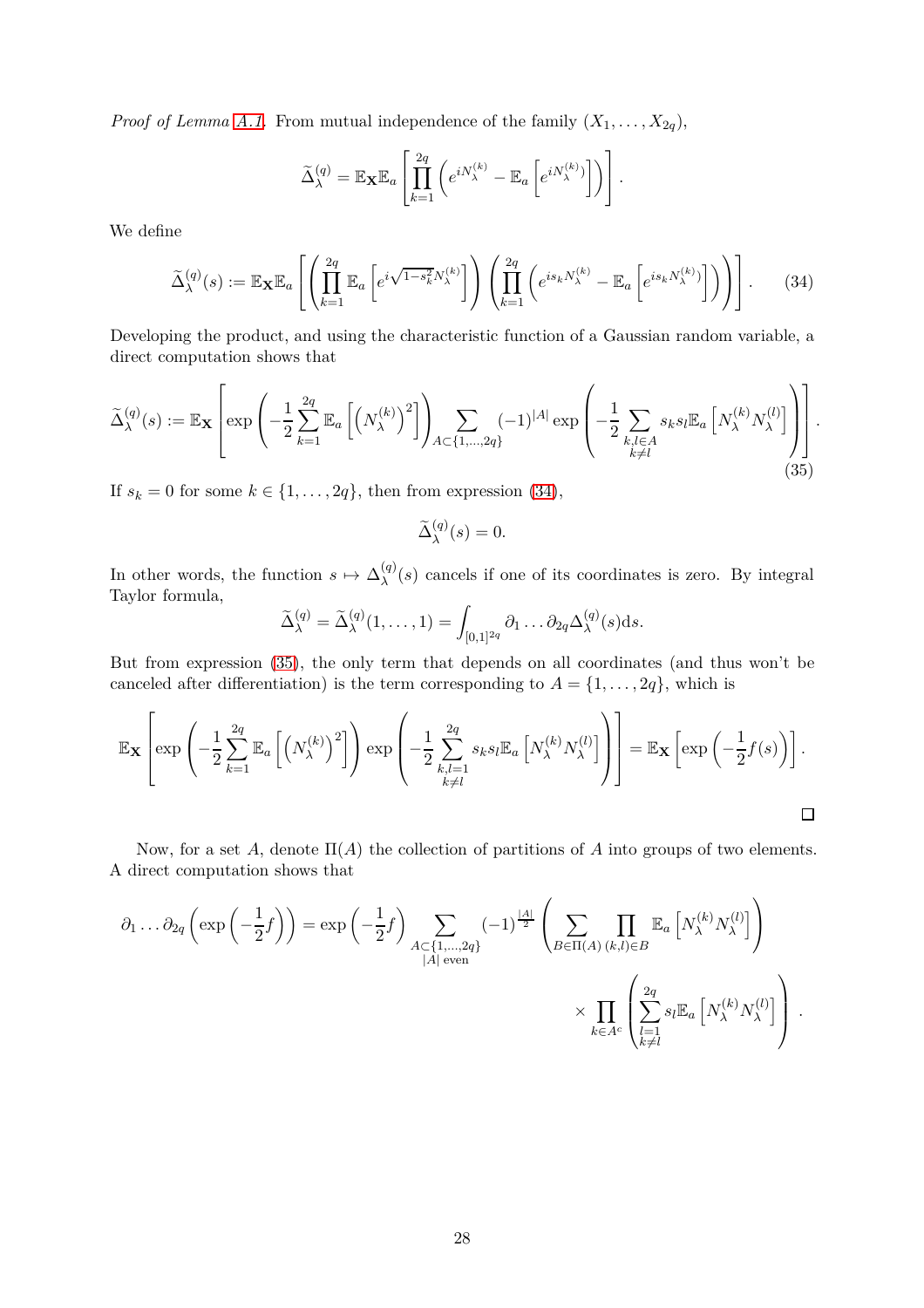*Proof of Lemma [A.1.](#page-26-2)* From mutual independence of the family  $(X_1, \ldots, X_{2q})$ ,

$$
\widetilde{\Delta}_{\lambda}^{(q)} = \mathbb{E}_{\mathbf{X}} \mathbb{E}_{a} \left[ \prod_{k=1}^{2q} \left( e^{i N_{\lambda}^{(k)}} - \mathbb{E}_{a} \left[ e^{i N_{\lambda}^{(k)}} \right] \right) \right].
$$

We define

$$
\widetilde{\Delta}_{\lambda}^{(q)}(s) := \mathbb{E}_{\mathbf{X}} \mathbb{E}_{a} \left[ \left( \prod_{k=1}^{2q} \mathbb{E}_{a} \left[ e^{i \sqrt{1 - s_{k}^{2}} N_{\lambda}^{(k)}} \right] \right) \left( \prod_{k=1}^{2q} \left( e^{i s_{k} N_{\lambda}^{(k)}} - \mathbb{E}_{a} \left[ e^{i s_{k} N_{\lambda}^{(k)}} \right] \right) \right) \right]. \tag{34}
$$

Developing the product, and using the characteristic function of a Gaussian random variable, a direct computation shows that

$$
\widetilde{\Delta}_{\lambda}^{(q)}(s) := \mathbb{E}_{\mathbf{X}} \left[ \exp \left( -\frac{1}{2} \sum_{k=1}^{2q} \mathbb{E}_{a} \left[ \left( N_{\lambda}^{(k)} \right)^{2} \right] \right)_{A \subset \{1, \dots, 2q\}} \sum_{(k,l) \in \mathcal{A}} (-1)^{|A|} \exp \left( -\frac{1}{2} \sum_{\substack{k,l \in A \\ k \neq l}} s_{k} s_{l} \mathbb{E}_{a} \left[ N_{\lambda}^{(k)} N_{\lambda}^{(l)} \right] \right) \right].
$$
\n(35)

If  $s_k = 0$  for some  $k \in \{1, \ldots, 2q\}$ , then from expression [\(34\)](#page-27-0),

<span id="page-27-1"></span><span id="page-27-0"></span>
$$
\widetilde{\Delta}^{(q)}_{\lambda}(s) = 0.
$$

In other words, the function  $s \mapsto \Delta_{\lambda}^{(q)}$  $\lambda^{(q)}(s)$  cancels if one of its coordinates is zero. By integral Taylor formula,

$$
\widetilde{\Delta}_{\lambda}^{(q)} = \widetilde{\Delta}_{\lambda}^{(q)}(1,\ldots,1) = \int_{[0,1]^{2q}} \partial_1 \ldots \partial_{2q} \Delta_{\lambda}^{(q)}(s) \mathrm{d}s.
$$

But from expression [\(35\)](#page-27-1), the only term that depends on all coordinates (and thus won't be canceled after differentiation) is the term corresponding to  $A = \{1, \ldots, 2q\}$ , which is

$$
\mathbb{E}_{\mathbf{X}}\left[\exp\left(-\frac{1}{2}\sum_{k=1}^{2q}\mathbb{E}_{a}\left[\left(N_{\lambda}^{(k)}\right)^{2}\right]\right)\exp\left(-\frac{1}{2}\sum_{\substack{k,l=1\\k\neq l}}^{2q}s_{k}s_{l}\mathbb{E}_{a}\left[N_{\lambda}^{(k)}N_{\lambda}^{(l)}\right]\right)\right]=\mathbb{E}_{\mathbf{X}}\left[\exp\left(-\frac{1}{2}f(s)\right)\right].
$$

Now, for a set A, denote  $\Pi(A)$  the collection of partitions of A into groups of two elements. A direct computation shows that

$$
\partial_1 \dots \partial_{2q} \left( \exp \left( -\frac{1}{2} f \right) \right) = \exp \left( -\frac{1}{2} f \right) \sum_{\substack{A \subset \{1, \dots, 2q\} \\ |A| \text{ even}}} (-1)^{\frac{|A|}{2}} \left( \sum_{B \in \Pi(A)} \prod_{(k,l) \in B} \mathbb{E}_a \left[ N_{\lambda}^{(k)} N_{\lambda}^{(l)} \right] \right) \\ \times \prod_{k \in A^c} \left( \sum_{\substack{l=1 \\ k \neq l}}^{2q} s_l \mathbb{E}_a \left[ N_{\lambda}^{(k)} N_{\lambda}^{(l)} \right] \right) .
$$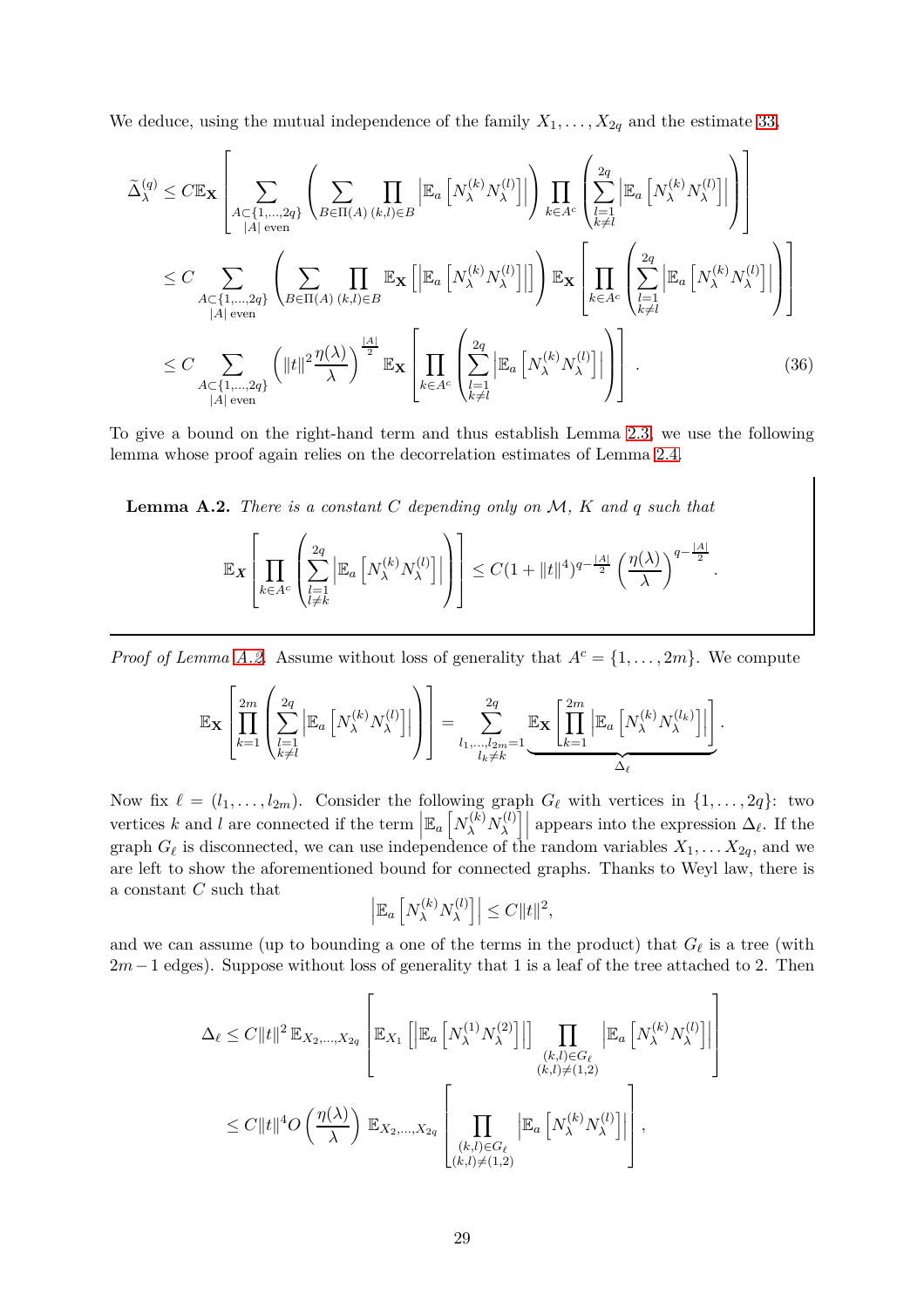We deduce, using the mutual independence of the family  $X_1, \ldots, X_{2q}$  and the estimate [33,](#page-26-3)

$$
\tilde{\Delta}_{\lambda}^{(q)} \leq C \mathbb{E}_{\mathbf{X}} \left[ \sum_{\substack{A \subset \{1, \ldots, 2q\} \\ |A| \text{ even}}} \left( \sum_{B \in \Pi(A)} \prod_{(k,l) \in B} \left| \mathbb{E}_{a} \left[ N_{\lambda}^{(k)} N_{\lambda}^{(l)} \right] \right| \right) \prod_{k \in A^{c}} \left( \sum_{\substack{l=1 \\ k \neq l}} \left| \mathbb{E}_{a} \left[ N_{\lambda}^{(k)} N_{\lambda}^{(l)} \right] \right| \right) \right]
$$
\n
$$
\leq C \sum_{\substack{A \subset \{1, \ldots, 2q\} \\ |A| \text{ even}}} \left( \sum_{B \in \Pi(A)} \prod_{(k,l) \in B} \mathbb{E}_{\mathbf{X}} \left[ \left| \mathbb{E}_{a} \left[ N_{\lambda}^{(k)} N_{\lambda}^{(l)} \right] \right| \right] \right) \mathbb{E}_{\mathbf{X}} \left[ \prod_{k \in A^{c}} \left( \sum_{\substack{l=1 \\ k \neq l}}^{2q} \left| \mathbb{E}_{a} \left[ N_{\lambda}^{(k)} N_{\lambda}^{(l)} \right] \right| \right) \right]
$$
\n
$$
\leq C \sum_{\substack{A \subset \{1, \ldots, 2q\} \\ |A| \text{ even}}} \left( ||t||^{2} \frac{\eta(\lambda)}{\lambda} \right)^{\frac{|A|}{2}} \mathbb{E}_{\mathbf{X}} \left[ \prod_{k \in A^{c}} \left( \sum_{\substack{l=1 \\ k \neq l}}^{2q} \left| \mathbb{E}_{a} \left[ N_{\lambda}^{(k)} N_{\lambda}^{(l)} \right] \right| \right) \right]. \tag{36}
$$

To give a bound on the right-hand term and thus establish Lemma [2.3,](#page-9-0) we use the following lemma whose proof again relies on the decorrelation estimates of Lemma [2.4.](#page-9-1)

<span id="page-28-0"></span>**Lemma A.2.** *There is a constant C depending only on* M*, K and q such that* E*<sup>X</sup>*  $\sqrt{ }$  $\begin{matrix} \phantom{-} \end{matrix}$  $\overline{\mathsf{H}}$ *k*∈*A<sup>c</sup>*  $\sqrt{ }$  $\left(\sum_{l=1}^{2q}\right)$  $l = 1$ <br> $l \neq k$  $\Big|\mathbb{E}_a\left[N_{\lambda}^{(k)}N_{\lambda}^{(l)}\right.$ *λ* i    $\setminus$  $\vert$ 1  $\leq C(1 + ||t||^4)^{q-\frac{|A|}{2}}\left(\frac{\eta(\lambda)}{\lambda}\right)$ *λ*  $\bigg)^{q-\frac{|A|}{2}}$ .

*Proof of Lemma [A.2.](#page-28-0)* Assume without loss of generality that  $A^c = \{1, \ldots, 2m\}$ . We compute

$$
\mathbb{E}_{\mathbf{X}}\left[\prod_{k=1}^{2m}\left(\sum_{\substack{l=1\\k\neq l}}^{2q}\left|\mathbb{E}_{a}\left[N_{\lambda}^{(k)}N_{\lambda}^{(l)}\right]\right|\right)\right]=\sum_{\substack{l_1,\dots,l_{2m}=1\\l_k\neq k}}^{2q}\underbrace{\mathbb{E}_{\mathbf{X}}\left[\prod_{k=1}^{2m}\left|\mathbb{E}_{a}\left[N_{\lambda}^{(k)}N_{\lambda}^{(l_k)}\right]\right|\right]}.
$$

Now fix  $\ell = (l_1, \ldots, l_{2m})$ . Consider the following graph  $G_{\ell}$  with vertices in  $\{1, \ldots, 2q\}$ : two vertices *k* and *l* are connected if the term  $\left| \mathbb{E}_a \left[ N_{\lambda}^{(k)} N_{\lambda}^{(l)} \right] \right|$ *λ*  $\left| \right|$  appears into the expression  $\Delta_{\ell}$ . If the graph  $G_{\ell}$  is disconnected, we can use independence of the random variables  $X_1, \ldots X_{2q}$ , and we are left to show the aforementioned bound for connected graphs. Thanks to Weyl law, there is a constant *C* such that

$$
\left| \mathbb{E}_a \left[ N_{\lambda}^{(k)} N_{\lambda}^{(l)} \right] \right| \leq C \| t \|^2,
$$

and we can assume (up to bounding a one of the terms in the product) that  $G_{\ell}$  is a tree (with 2*m*−1 edges). Suppose without loss of generality that 1 is a leaf of the tree attached to 2. Then

$$
\Delta_{\ell} \leq C \|t\|^2 \mathbb{E}_{X_2, \dots, X_{2q}} \left[ \mathbb{E}_{X_1} \left[ \left| \mathbb{E}_a \left[ N_{\lambda}^{(1)} N_{\lambda}^{(2)} \right] \right| \right] \prod_{\substack{(k,l) \in G_{\ell} \\ (k,l) \neq (1,2)}} \left| \mathbb{E}_a \left[ N_{\lambda}^{(k)} N_{\lambda}^{(l)} \right] \right| \right] \right]
$$
  

$$
\leq C \|t\|^4 O\left(\frac{\eta(\lambda)}{\lambda}\right) \mathbb{E}_{X_2, \dots, X_{2q}} \left[ \prod_{\substack{(k,l) \in G_{\ell} \\ (k,l) \neq (1,2)}} \left| \mathbb{E}_a \left[ N_{\lambda}^{(k)} N_{\lambda}^{(l)} \right] \right| \right],
$$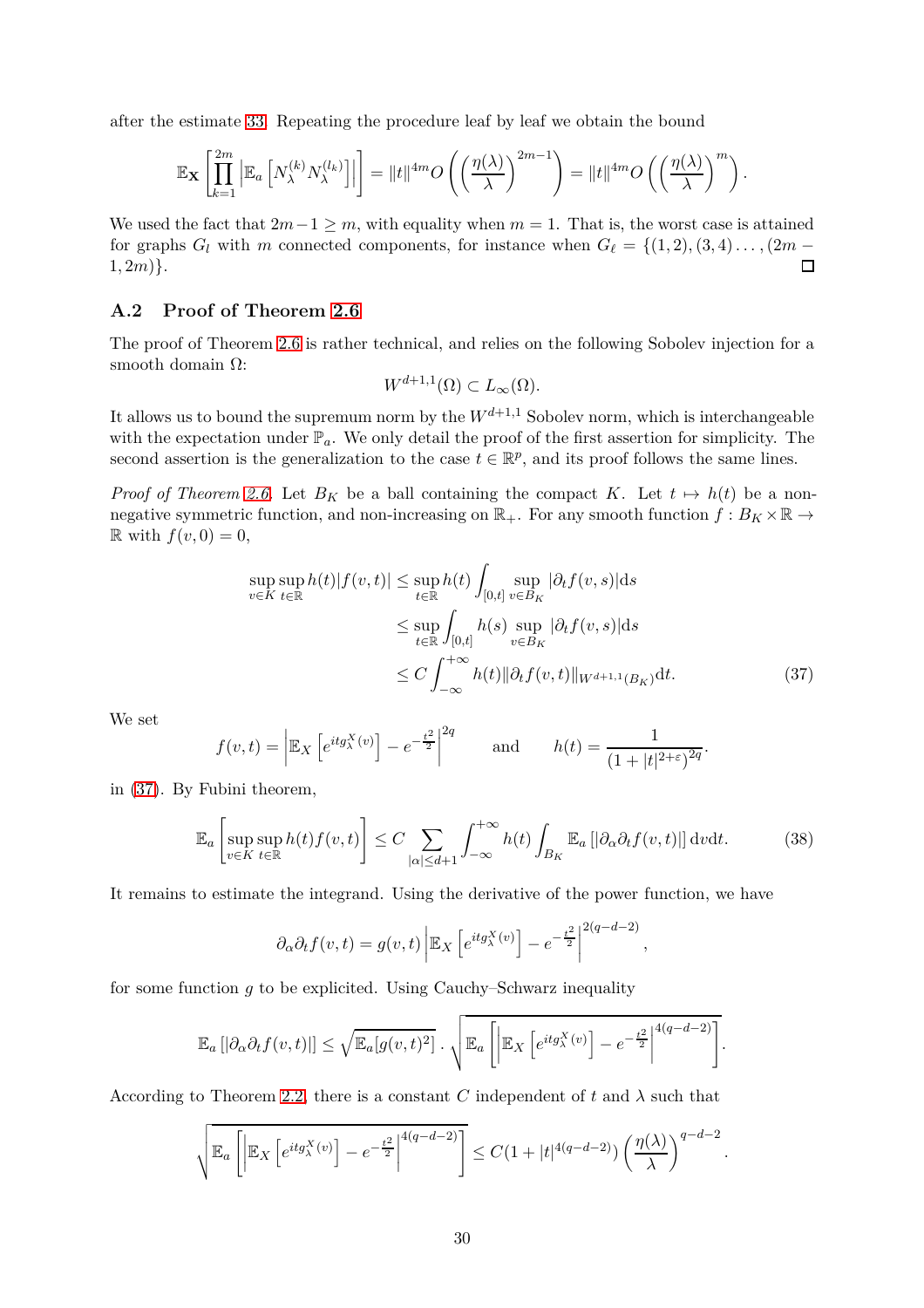after the estimate [33.](#page-26-3) Repeating the procedure leaf by leaf we obtain the bound

$$
\mathbb{E}_{\mathbf{X}}\left[\prod_{k=1}^{2m} \left| \mathbb{E}_a\left[N_{\lambda}^{(k)} N_{\lambda}^{(l_k)}\right] \right|\right] = \|t\|^{4m} O\left(\left(\frac{\eta(\lambda)}{\lambda}\right)^{2m-1}\right) = \|t\|^{4m} O\left(\left(\frac{\eta(\lambda)}{\lambda}\right)^m\right).
$$

We used the fact that  $2m-1 \geq m$ , with equality when  $m = 1$ . That is, the worst case is attained for graphs *G*<sub>*l*</sub> with *m* connected components, for instance when  $G_\ell = \{(1, 2), (3, 4), \ldots, (2m-1, 2m)\}\$ .  $1, 2m)$ .

## <span id="page-29-0"></span>**A.2 Proof of Theorem [2.6](#page-11-1)**

The proof of Theorem [2.6](#page-11-1) is rather technical, and relies on the following Sobolev injection for a smooth domain Ω:

$$
W^{d+1,1}(\Omega) \subset L_{\infty}(\Omega).
$$

It allows us to bound the supremum norm by the  $W^{d+1,1}$  Sobolev norm, which is interchangeable with the expectation under  $\mathbb{P}_a$ . We only detail the proof of the first assertion for simplicity. The second assertion is the generalization to the case  $t \in \mathbb{R}^p$ , and its proof follows the same lines.

*Proof of Theorem [2.6.](#page-11-1)* Let  $B_K$  be a ball containing the compact K. Let  $t \mapsto h(t)$  be a nonnegative symmetric function, and non-increasing on  $\mathbb{R}_+$ . For any smooth function  $f : B_K \times \mathbb{R} \to$  $\mathbb{R}$  with  $f(v, 0) = 0$ ,

$$
\sup_{v \in K} \sup_{t \in \mathbb{R}} h(t)|f(v,t)| \leq \sup_{t \in \mathbb{R}} h(t) \int_{[0,t]} \sup_{v \in B_K} |\partial_t f(v,s)| ds
$$
  

$$
\leq \sup_{t \in \mathbb{R}} \int_{[0,t]} h(s) \sup_{v \in B_K} |\partial_t f(v,s)| ds
$$
  

$$
\leq C \int_{-\infty}^{+\infty} h(t) ||\partial_t f(v,t)||_{W^{d+1,1}(B_K)} dt.
$$
 (37)

We set

$$
f(v,t) = \left| \mathbb{E}_X \left[ e^{itg^{X}_\lambda(v)} \right] - e^{-\frac{t^2}{2}} \right|^{2q} \quad \text{and} \quad h(t) = \frac{1}{(1+|t|^{2+\epsilon})^{2q}}.
$$

in [\(37\)](#page-29-1). By Fubini theorem,

$$
\mathbb{E}_a\left[\sup_{v\in K}\sup_{t\in\mathbb{R}}h(t)f(v,t)\right] \le C\sum_{|\alpha|\le d+1}\int_{-\infty}^{+\infty}h(t)\int_{B_K}\mathbb{E}_a\left[|\partial_\alpha\partial_t f(v,t)|\right]\mathrm{d}v\mathrm{d}t.\tag{38}
$$

<span id="page-29-2"></span><span id="page-29-1"></span>*,*

It remains to estimate the integrand. Using the derivative of the power function, we have

$$
\partial_{\alpha}\partial_{t}f(v,t) = g(v,t)\left|\mathbb{E}_{X}\left[e^{itg_{\lambda}^{X}(v)}\right] - e^{-\frac{t^{2}}{2}}\right|^{2(q-d-2)}
$$

for some function *g* to be explicited. Using Cauchy–Schwarz inequality

$$
\mathbb{E}_a [|\partial_\alpha \partial_t f(v,t)|] \leq \sqrt{\mathbb{E}_a[g(v,t)^2]} \cdot \sqrt{\mathbb{E}_a \left[ \left| \mathbb{E}_X \left[ e^{itg_\lambda^X(v)} \right] - e^{-\frac{t^2}{2}} \right|^{4(q-d-2)} \right]}.
$$

According to Theorem [2.2,](#page-8-0) there is a constant *C* independent of  $t$  and  $\lambda$  such that

$$
\sqrt{\mathbb{E}_a\left[\left|\mathbb{E}_X\left[e^{itg^X_\lambda(v)}\right]-e^{-\frac{t^2}{2}}\right|^{4(q-d-2)}\right]}\leq C(1+|t|^{4(q-d-2)})\left(\frac{\eta(\lambda)}{\lambda}\right)^{q-d-2}.
$$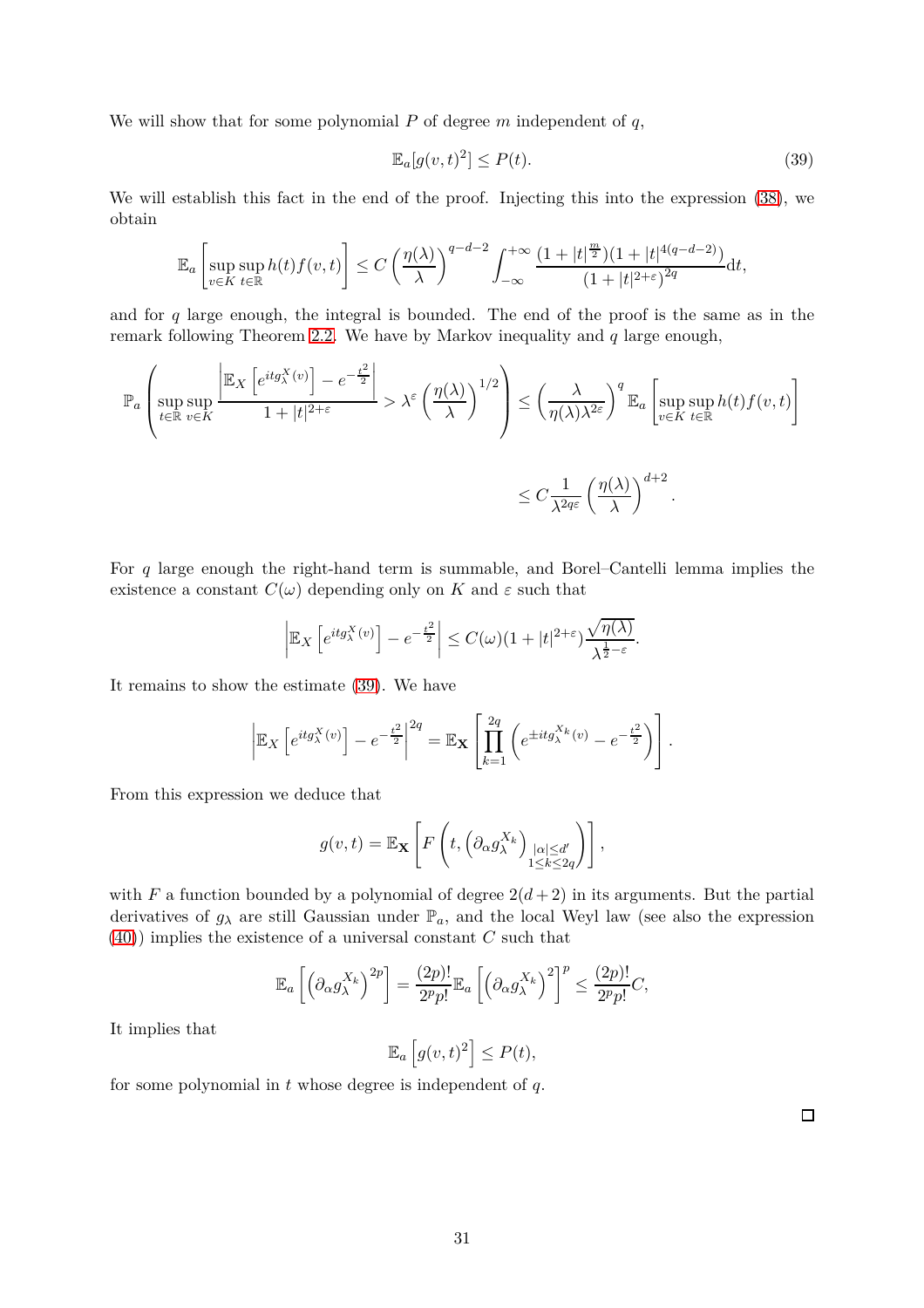We will show that for some polynomial *P* of degree *m* independent of *q*,

<span id="page-30-0"></span>
$$
\mathbb{E}_a[g(v,t)^2] \le P(t). \tag{39}
$$

We will establish this fact in the end of the proof. Injecting this into the expression [\(38\)](#page-29-2), we obtain

$$
\mathbb{E}_a\left[\sup_{v\in K}\sup_{t\in\mathbb{R}}h(t)f(v,t)\right]\leq C\left(\frac{\eta(\lambda)}{\lambda}\right)^{q-d-2}\int_{-\infty}^{+\infty}\frac{(1+|t|^{\frac{m}{2}})(1+|t|^{4(q-d-2)})}{(1+|t|^{2+\varepsilon})^{2q}}\mathrm{d}t,
$$

and for *q* large enough, the integral is bounded. The end of the proof is the same as in the remark following Theorem [2.2.](#page-8-0) We have by Markov inequality and *q* large enough,

$$
\mathbb{P}_{a}\left(\sup_{t\in\mathbb{R}}\sup_{v\in K}\frac{\left|\mathbb{E}_{X}\left[e^{itg_{\lambda}^{X}(v)}\right]-e^{-\frac{t^{2}}{2}}\right|}{1+|t|^{2+\varepsilon}}>\lambda^{\varepsilon}\left(\frac{\eta(\lambda)}{\lambda}\right)^{1/2}\right)\leq\left(\frac{\lambda}{\eta(\lambda)\lambda^{2\varepsilon}}\right)^{q}\mathbb{E}_{a}\left[\sup_{v\in K}\sup_{t\in\mathbb{R}}h(t)f(v,t)\right]
$$

$$
\leq C\frac{1}{\lambda^{2q\varepsilon}}\left(\frac{\eta(\lambda)}{\lambda}\right)^{d+2}.
$$

For *q* large enough the right-hand term is summable, and Borel–Cantelli lemma implies the existence a constant  $C(\omega)$  depending only on *K* and  $\varepsilon$  such that

$$
\left| \mathbb{E}_X \left[ e^{itg_\lambda^X(v)} \right] - e^{-\frac{t^2}{2}} \right| \le C(\omega)(1+|t|^{2+\varepsilon}) \frac{\sqrt{\eta(\lambda)}}{\lambda^{\frac{1}{2}-\varepsilon}}.
$$

It remains to show the estimate [\(39\)](#page-30-0). We have

$$
\left| \mathbb{E}_X \left[ e^{itg^{X}_\lambda(v)} \right] - e^{-\frac{t^2}{2}} \right|^{2q} = \mathbb{E}_\mathbf{X} \left[ \prod_{k=1}^{2q} \left( e^{\pm itg^{X_k}_\lambda(v)} - e^{-\frac{t^2}{2}} \right) \right].
$$

From this expression we deduce that

$$
g(v,t) = \mathbb{E}_{\mathbf{X}}\left[F\left(t, \left(\partial_{\alpha} g_{\lambda}^{X_k}\right)_{\substack{|\alpha| \le d'\\1 \le k \le 2q}}\right)\right],
$$

with *F* a function bounded by a polynomial of degree  $2(d+2)$  in its arguments. But the partial derivatives of  $g_{\lambda}$  are still Gaussian under  $\mathbb{P}_a$ , and the local Weyl law (see also the expression [\(40\)](#page-31-1)) implies the existence of a universal constant *C* such that

$$
\mathbb{E}_a\left[\left(\partial_\alpha g_\lambda^{X_k}\right)^{2p}\right] = \frac{(2p)!}{2^p p!} \mathbb{E}_a\left[\left(\partial_\alpha g_\lambda^{X_k}\right)^2\right]^p \le \frac{(2p)!}{2^p p!} C,
$$

It implies that

$$
\mathbb{E}_a\left[g(v,t)^2\right] \le P(t),
$$

for some polynomial in *t* whose degree is independent of *q*.

 $\Box$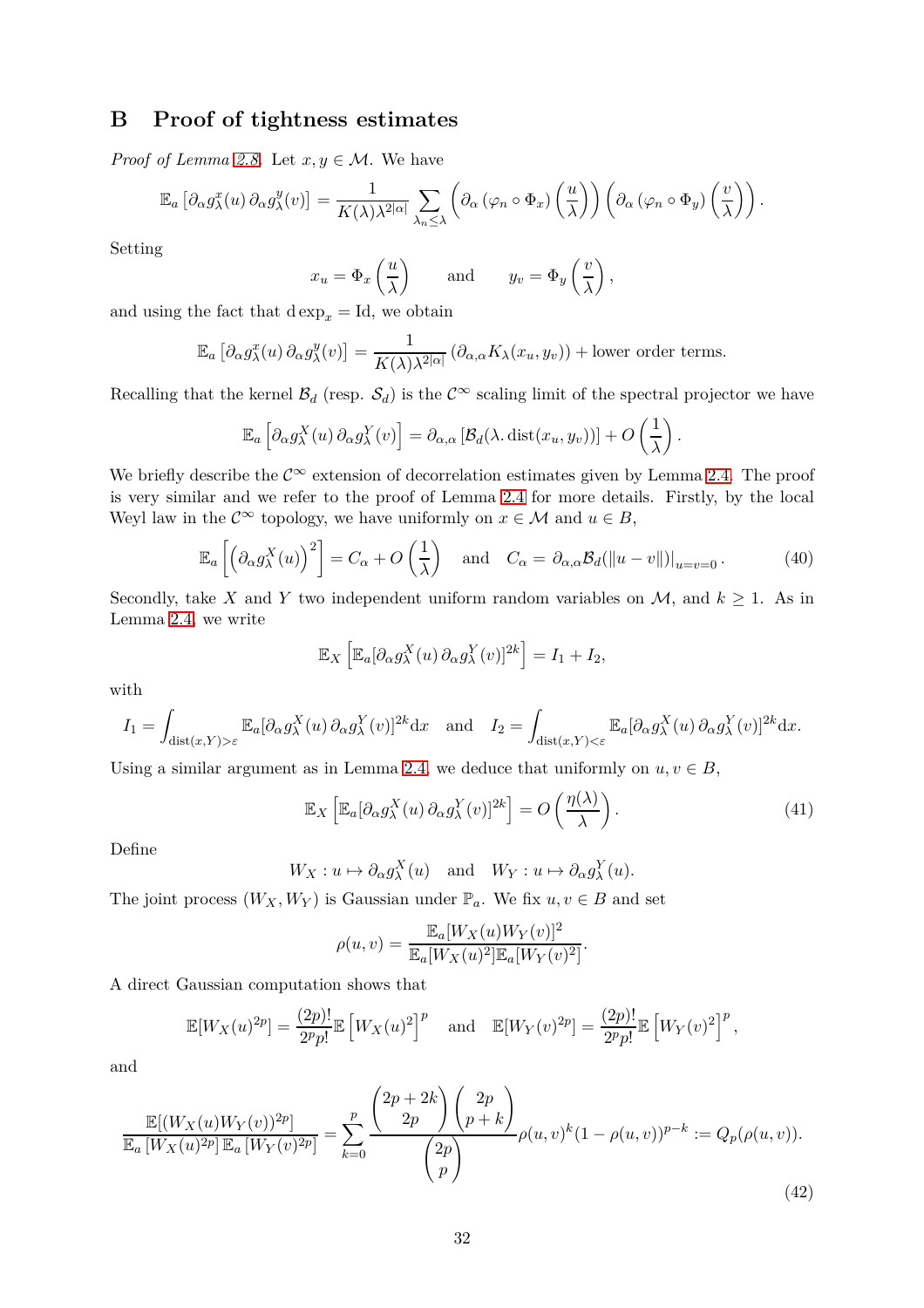# <span id="page-31-0"></span>**B Proof of tightness estimates**

*Proof of Lemma [2.8.](#page-12-2)* Let  $x, y \in \mathcal{M}$ . We have

$$
\mathbb{E}_a \left[ \partial_\alpha g_\lambda^x(u) \, \partial_\alpha g_\lambda^y(v) \right] = \frac{1}{K(\lambda) \lambda^{2|\alpha|}} \sum_{\lambda_n \leq \lambda} \left( \partial_\alpha \left( \varphi_n \circ \Phi_x \right) \left( \frac{u}{\lambda} \right) \right) \left( \partial_\alpha \left( \varphi_n \circ \Phi_y \right) \left( \frac{v}{\lambda} \right) \right).
$$

Setting

$$
x_u = \Phi_x \left(\frac{u}{\lambda}\right)
$$
 and  $y_v = \Phi_y \left(\frac{v}{\lambda}\right)$ ,

and using the fact that  $\text{d} \exp_x = \text{Id}$ , we obtain

$$
\mathbb{E}_a \left[ \partial_\alpha g_\lambda^x(u) \, \partial_\alpha g_\lambda^y(v) \right] = \frac{1}{K(\lambda)\lambda^{2|\alpha|}} \left( \partial_{\alpha,\alpha} K_\lambda(x_u, y_v) \right) + \text{lower order terms.}
$$

Recalling that the kernel  $\mathcal{B}_d$  (resp.  $\mathcal{S}_d$ ) is the  $\mathcal{C}^{\infty}$  scaling limit of the spectral projector we have

$$
\mathbb{E}_a\left[\partial_\alpha g_\lambda^X(u)\,\partial_\alpha g_\lambda^Y(v)\right] = \partial_{\alpha,\alpha}\left[\mathcal{B}_d(\lambda,\mathrm{dist}(x_u,y_v))\right] + O\left(\frac{1}{\lambda}\right).
$$

We briefly describe the  $\mathcal{C}^{\infty}$  extension of decorrelation estimates given by Lemma [2.4.](#page-9-1) The proof is very similar and we refer to the proof of Lemma [2.4](#page-9-1) for more details. Firstly, by the local Weyl law in the  $\mathcal{C}^{\infty}$  topology, we have uniformly on  $x \in \mathcal{M}$  and  $u \in B$ ,

$$
\mathbb{E}_a\left[\left(\partial_\alpha g_\lambda^X(u)\right)^2\right] = C_\alpha + O\left(\frac{1}{\lambda}\right) \quad \text{and} \quad C_\alpha = \partial_{\alpha,\alpha} \mathcal{B}_d(\|u-v\|)\big|_{u=v=0}.
$$
 (40)

Secondly, take *X* and *Y* two independent uniform random variables on *M*, and  $k \ge 1$ . As in Lemma [2.4,](#page-9-1) we write

$$
\mathbb{E}_X\left[\mathbb{E}_a[\partial_\alpha g_\lambda^X(u)\,\partial_\alpha g_\lambda^Y(v)]^{2k}\right] = I_1 + I_2,
$$

with

$$
I_1 = \int_{\text{dist}(x,Y) > \varepsilon} \mathbb{E}_a[\partial_\alpha g_\lambda^X(u) \partial_\alpha g_\lambda^Y(v)]^{2k} dx \text{ and } I_2 = \int_{\text{dist}(x,Y) < \varepsilon} \mathbb{E}_a[\partial_\alpha g_\lambda^X(u) \partial_\alpha g_\lambda^Y(v)]^{2k} dx.
$$

Using a similar argument as in Lemma [2.4,](#page-9-1) we deduce that uniformly on  $u, v \in B$ ,

$$
\mathbb{E}_X \left[ \mathbb{E}_a [\partial_\alpha g_\lambda^X(u) \, \partial_\alpha g_\lambda^Y(v)]^{2k} \right] = O\left(\frac{\eta(\lambda)}{\lambda}\right). \tag{41}
$$

<span id="page-31-3"></span><span id="page-31-2"></span><span id="page-31-1"></span>*.*

Define

$$
W_X: u \mapsto \partial_{\alpha} g_{\lambda}^X(u)
$$
 and  $W_Y: u \mapsto \partial_{\alpha} g_{\lambda}^Y(u)$ .

The joint process  $(W_X, W_Y)$  is Gaussian under  $\mathbb{P}_a$ . We fix  $u, v \in B$  and set

$$
\rho(u,v) = \frac{\mathbb{E}_a[W_X(u)W_Y(v)]^2}{\mathbb{E}_a[W_X(u)^2]\mathbb{E}_a[W_Y(v)^2]}
$$

A direct Gaussian computation shows that

$$
\mathbb{E}[W_X(u)^{2p}] = \frac{(2p)!}{2^p p!} \mathbb{E}\left[W_X(u)^2\right]^p \quad \text{and} \quad \mathbb{E}[W_Y(v)^{2p}] = \frac{(2p)!}{2^p p!} \mathbb{E}\left[W_Y(v)^2\right]^p,
$$

and

$$
\frac{\mathbb{E}[(W_X(u)W_Y(v))^{2p}]}{\mathbb{E}_a[W_X(u)^{2p}]\mathbb{E}_a[W_Y(v)^{2p}]} = \sum_{k=0}^p \frac{\binom{2p+2k}{2p}\binom{2p}{p+k}}{\binom{2p}{p}} \rho(u,v)^k (1-\rho(u,v))^{p-k} := Q_p(\rho(u,v)).
$$
\n(42)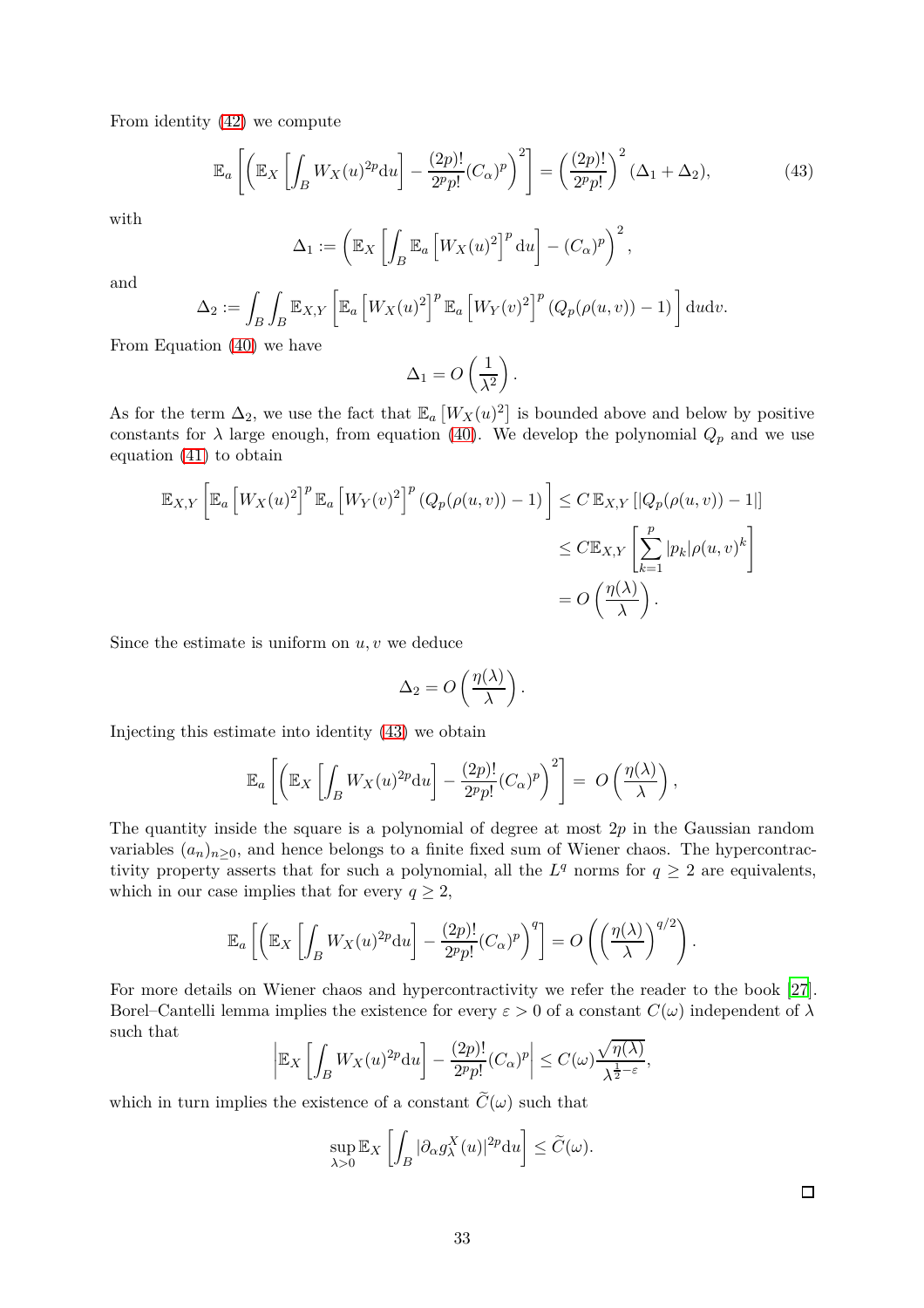From identity [\(42\)](#page-31-2) we compute

$$
\mathbb{E}_a\left[\left(\mathbb{E}_X\left[\int_B W_X(u)^{2p} \mathrm{d}u\right] - \frac{(2p)!}{2^p p!} (C_\alpha)^p\right)^2\right] = \left(\frac{(2p)!}{2^p p!}\right)^2 (\Delta_1 + \Delta_2),\tag{43}
$$

with

$$
\Delta_1 := \left(\mathbb{E}_X \left[ \int_B \mathbb{E}_a \left[ W_X(u)^2 \right]^p \mathrm{d}u \right] - (C_\alpha)^p \right)^2,
$$

and

$$
\Delta_2 := \int_B \int_B \mathbb{E}_{X,Y} \left[ \mathbb{E}_a \left[ W_X(u)^2 \right]^p \mathbb{E}_a \left[ W_Y(v)^2 \right]^p (Q_p(\rho(u,v)) - 1) \right] du dv.
$$

From Equation [\(40\)](#page-31-1) we have

<span id="page-32-0"></span>
$$
\Delta_1 = O\left(\frac{1}{\lambda^2}\right).
$$

As for the term  $\Delta_2$ , we use the fact that  $\mathbb{E}_a \left[ W_X(u)^2 \right]$  is bounded above and below by positive constants for  $\lambda$  large enough, from equation [\(40\)](#page-31-1). We develop the polynomial  $Q_p$  and we use equation [\(41\)](#page-31-3) to obtain

$$
\mathbb{E}_{X,Y}\left[\mathbb{E}_a \left[W_X(u)^2\right]^p \mathbb{E}_a \left[W_Y(v)^2\right]^p (Q_p(\rho(u,v)) - 1)\right] \le C \mathbb{E}_{X,Y}\left[|Q_p(\rho(u,v)) - 1|\right] \le C \mathbb{E}_{X,Y}\left[\sum_{k=1}^p |p_k|\rho(u,v)^k\right] \le C \mathbb{E}_{X,Y}\left[\sum_{k=1}^p |p_k|\rho(u,v)^k\right] \le C \mathbb{E}_{X,Y}\left[\sum_{k=1}^p |p_k|\rho(u,v)^k\right] \le C \mathbb{E}_{X,Y}\left[\sum_{k=1}^p |p_k|\rho(u,v)^k\right].
$$

Since the estimate is uniform on *u, v* we deduce

$$
\Delta_2 = O\left(\frac{\eta(\lambda)}{\lambda}\right).
$$

Injecting this estimate into identity [\(43\)](#page-32-0) we obtain

$$
\mathbb{E}_a\left[\left(\mathbb{E}_X\left[\int_B W_X(u)^{2p} \mathrm{d}u\right] - \frac{(2p)!}{2^p p!} (C_\alpha)^p\right)^2\right] = O\left(\frac{\eta(\lambda)}{\lambda}\right),\,
$$

The quantity inside the square is a polynomial of degree at most 2*p* in the Gaussian random variables  $(a_n)_{n\geq 0}$ , and hence belongs to a finite fixed sum of Wiener chaos. The hypercontractivity property asserts that for such a polynomial, all the  $L^q$  norms for  $q \geq 2$  are equivalents, which in our case implies that for every  $q \geq 2$ ,

$$
\mathbb{E}_a\left[\left(\mathbb{E}_X\left[\int_B W_X(u)^{2p} \mathrm{d}u\right] - \frac{(2p)!}{2^p p!} (C_\alpha)^p\right)^q\right] = O\left(\left(\frac{\eta(\lambda)}{\lambda}\right)^{q/2}\right).
$$

For more details on Wiener chaos and hypercontractivity we refer the reader to the book [\[27](#page-34-15)]. Borel–Cantelli lemma implies the existence for every  $\varepsilon > 0$  of a constant  $C(\omega)$  independent of  $\lambda$ such that

$$
\left| \mathbb{E}_X \left[ \int_B W_X(u)^{2p} \mathrm{d}u \right] - \frac{(2p)!}{2^p p!} (C_\alpha)^p \right| \le C(\omega) \frac{\sqrt{\eta(\lambda)}}{\lambda^{\frac{1}{2} - \varepsilon}},
$$

which in turn implies the existence of a constant  $\hat{C}(\omega)$  such that

$$
\sup_{\lambda>0} \mathbb{E}_X \left[ \int_B |\partial_\alpha g_\lambda^X(u)|^{2p} \mathrm{d}u \right] \le \widetilde{C}(\omega).
$$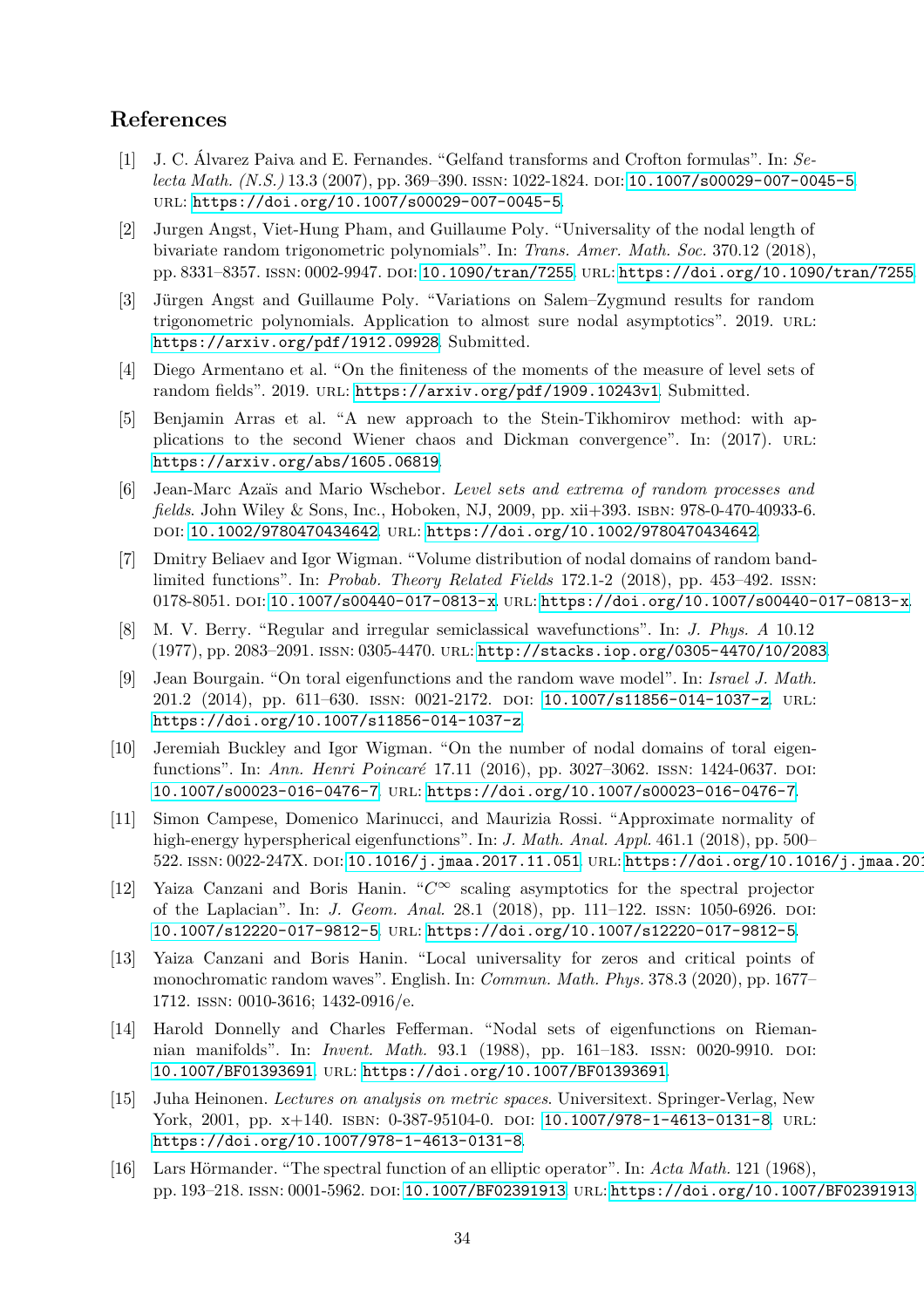# <span id="page-33-13"></span>**References**

- [1] J. C. Álvarez Paiva and E. Fernandes. "Gelfand transforms and Crofton formulas". In: *Selecta Math. (N.S.)* 13.3 (2007), pp. 369-390. ISSN: 1022-1824. DOI: [10.1007/s00029-007-0045-5](https://doi.org/10.1007/s00029-007-0045-5). url: <https://doi.org/10.1007/s00029-007-0045-5>.
- <span id="page-33-11"></span>[2] Jurgen Angst, Viet-Hung Pham, and Guillaume Poly. "Universality of the nodal length of bivariate random trigonometric polynomials". In: *Trans. Amer. Math. Soc.* 370.12 (2018), pp. 8331–8357. ISSN: 0002-9947. DOI: [10.1090/tran/7255](https://doi.org/10.1090/tran/7255). URL: <https://doi.org/10.1090/tran/7255>.
- <span id="page-33-0"></span>[3] Jürgen Angst and Guillaume Poly. "Variations on Salem–Zygmund results for random trigonometric polynomials. Application to almost sure nodal asymptotics". 2019. url: <https://arxiv.org/pdf/1912.09928>. Submitted.
- <span id="page-33-15"></span>[4] Diego Armentano et al. "On the finiteness of the moments of the measure of level sets of random fields". 2019. URL: <https://arxiv.org/pdf/1909.10243v1>. Submitted.
- <span id="page-33-10"></span>[5] Benjamin Arras et al. "A new approach to the Stein-Tikhomirov method: with applications to the second Wiener chaos and Dickman convergence". In: (2017). URL: <https://arxiv.org/abs/1605.06819>.
- <span id="page-33-12"></span>[6] Jean-Marc Azaïs and Mario Wschebor. *Level sets and extrema of random processes and fields*. John Wiley & Sons, Inc., Hoboken, NJ, 2009, pp. xii+393. isbn: 978-0-470-40933-6. doi: [10.1002/9780470434642](https://doi.org/10.1002/9780470434642). url: <https://doi.org/10.1002/9780470434642>.
- <span id="page-33-9"></span>[7] Dmitry Beliaev and Igor Wigman. "Volume distribution of nodal domains of random bandlimited functions". In: *Probab. Theory Related Fields* 172.1-2 (2018), pp. 453–492. issn: 0178-8051. DOI: [10.1007/s00440-017-0813-x](https://doi.org/10.1007/s00440-017-0813-x). URL: <https://doi.org/10.1007/s00440-017-0813-x>.
- <span id="page-33-2"></span>[8] M. V. Berry. "Regular and irregular semiclassical wavefunctions". In: *J. Phys. A* 10.12 (1977), pp. 2083–2091. issn: 0305-4470. url: <http://stacks.iop.org/0305-4470/10/2083>.
- <span id="page-33-5"></span>[9] Jean Bourgain. "On toral eigenfunctions and the random wave model". In: *Israel J. Math.* 201.2 (2014), pp. 611–630. ISSN: 0021-2172. DOI: [10.1007/s11856-014-1037-z](https://doi.org/10.1007/s11856-014-1037-z). URL: <https://doi.org/10.1007/s11856-014-1037-z>.
- <span id="page-33-6"></span>[10] Jeremiah Buckley and Igor Wigman. "On the number of nodal domains of toral eigenfunctions". In: *Ann. Henri Poincaré* 17.11 (2016), pp. 3027-3062. ISSN: 1424-0637. DOI: [10.1007/s00023-016-0476-7](https://doi.org/10.1007/s00023-016-0476-7). url: <https://doi.org/10.1007/s00023-016-0476-7>.
- <span id="page-33-4"></span>[11] Simon Campese, Domenico Marinucci, and Maurizia Rossi. "Approximate normality of high-energy hyperspherical eigenfunctions". In: *J. Math. Anal. Appl.* 461.1 (2018), pp. 500– 522. ISSN: 0022-247X. DOI: [10.1016/j.jmaa.2017.11.051](https://doi.org/10.1016/j.jmaa.2017.11.051). URL: https://doi.org/10.1016/j.jmaa.201
- <span id="page-33-8"></span>[12] Yaiza Canzani and Boris Hanin. "*C*∞ scaling asymptotics for the spectral projector of the Laplacian". In: *J. Geom. Anal.* 28.1 (2018), pp. 111–122. issn: 1050-6926. doi: [10.1007/s12220-017-9812-5](https://doi.org/10.1007/s12220-017-9812-5). url: <https://doi.org/10.1007/s12220-017-9812-5>.
- <span id="page-33-3"></span>[13] Yaiza Canzani and Boris Hanin. "Local universality for zeros and critical points of monochromatic random waves". English. In: *Commun. Math. Phys.* 378.3 (2020), pp. 1677– 1712. issn: 0010-3616; 1432-0916/e.
- <span id="page-33-1"></span>[14] Harold Donnelly and Charles Fefferman. "Nodal sets of eigenfunctions on Riemannian manifolds". In: *Invent. Math.* 93.1 (1988), pp. 161–183. ISSN: 0020-9910. DOI: [10.1007/BF01393691](https://doi.org/10.1007/BF01393691). url: <https://doi.org/10.1007/BF01393691>.
- <span id="page-33-14"></span>[15] Juha Heinonen. *Lectures on analysis on metric spaces*. Universitext. Springer-Verlag, New York, 2001, pp. x+140. ISBN: 0-387-95104-0. DOI: [10.1007/978-1-4613-0131-8](https://doi.org/10.1007/978-1-4613-0131-8). URL: <https://doi.org/10.1007/978-1-4613-0131-8>.
- <span id="page-33-7"></span>[16] Lars Hörmander. "The spectral function of an elliptic operator". In: *Acta Math.* 121 (1968), pp. 193–218. issn: 0001-5962. doi: [10.1007/BF02391913](https://doi.org/10.1007/BF02391913). url: <https://doi.org/10.1007/BF02391913>.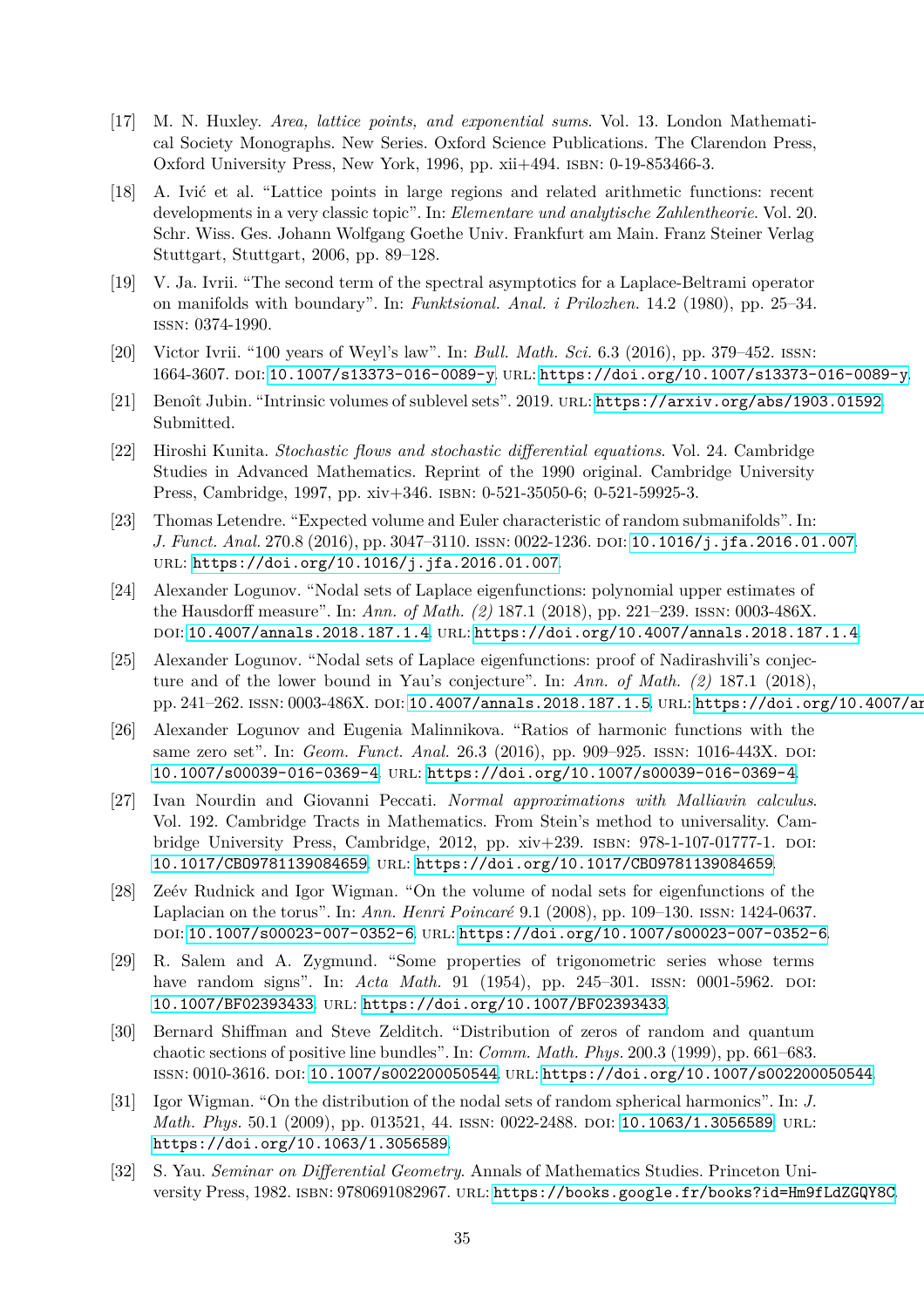- <span id="page-34-10"></span>[17] M. N. Huxley. *Area, lattice points, and exponential sums*. Vol. 13. London Mathematical Society Monographs. New Series. Oxford Science Publications. The Clarendon Press, Oxford University Press, New York, 1996, pp. xii+494. isbn: 0-19-853466-3.
- <span id="page-34-11"></span>[18] A. Ivić et al. "Lattice points in large regions and related arithmetic functions: recent developments in a very classic topic". In: *Elementare und analytische Zahlentheorie*. Vol. 20. Schr. Wiss. Ges. Johann Wolfgang Goethe Univ. Frankfurt am Main. Franz Steiner Verlag Stuttgart, Stuttgart, 2006, pp. 89–128.
- <span id="page-34-12"></span>[19] V. Ja. Ivrii. "The second term of the spectral asymptotics for a Laplace-Beltrami operator on manifolds with boundary". In: *Funktsional. Anal. i Prilozhen.* 14.2 (1980), pp. 25–34. issn: 0374-1990.
- <span id="page-34-9"></span>[20] Victor Ivrii. "100 years of Weyl's law". In: *Bull. Math. Sci.* 6.3 (2016), pp. 379–452. issn: 1664-3607. doi: [10.1007/s13373-016-0089-y](https://doi.org/10.1007/s13373-016-0089-y). url: <https://doi.org/10.1007/s13373-016-0089-y>.
- <span id="page-34-14"></span><span id="page-34-13"></span>[21] Benoît Jubin. "Intrinsic volumes of sublevel sets". 2019. url: <https://arxiv.org/abs/1903.01592>. Submitted.
- [22] Hiroshi Kunita. *Stochastic flows and stochastic differential equations*. Vol. 24. Cambridge Studies in Advanced Mathematics. Reprint of the 1990 original. Cambridge University Press, Cambridge, 1997, pp. xiv+346. isbn: 0-521-35050-6; 0-521-59925-3.
- <span id="page-34-8"></span>[23] Thomas Letendre. "Expected volume and Euler characteristic of random submanifolds". In: *J. Funct. Anal.* 270.8 (2016), pp. 3047–3110. issn: 0022-1236. doi: [10.1016/j.jfa.2016.01.007](https://doi.org/10.1016/j.jfa.2016.01.007). url: <https://doi.org/10.1016/j.jfa.2016.01.007>.
- <span id="page-34-3"></span>[24] Alexander Logunov. "Nodal sets of Laplace eigenfunctions: polynomial upper estimates of the Hausdorff measure". In: *Ann. of Math. (2)* 187.1 (2018), pp. 221–239. issn: 0003-486X. doi: [10.4007/annals.2018.187.1.4](https://doi.org/10.4007/annals.2018.187.1.4). url: <https://doi.org/10.4007/annals.2018.187.1.4>.
- <span id="page-34-4"></span>[25] Alexander Logunov. "Nodal sets of Laplace eigenfunctions: proof of Nadirashvili's conjecture and of the lower bound in Yau's conjecture". In: *Ann. of Math. (2)* 187.1 (2018), pp. 241-262. ISSN: 0003-486X. DOI: [10.4007/annals.2018.187.1.5](https://doi.org/10.4007/annals.2018.187.1.5). URL: https://doi.org/10.4007/an
- <span id="page-34-2"></span>[26] Alexander Logunov and Eugenia Malinnikova. "Ratios of harmonic functions with the same zero set". In: *Geom. Funct. Anal.* 26.3 (2016), pp. 909–925. ISSN: 1016-443X. DOI: [10.1007/s00039-016-0369-4](https://doi.org/10.1007/s00039-016-0369-4). url: <https://doi.org/10.1007/s00039-016-0369-4>.
- <span id="page-34-15"></span>[27] Ivan Nourdin and Giovanni Peccati. *Normal approximations with Malliavin calculus*. Vol. 192. Cambridge Tracts in Mathematics. From Stein's method to universality. Cambridge University Press, Cambridge, 2012, pp. xiv+239. isbn: 978-1-107-01777-1. doi: [10.1017/CBO9781139084659](https://doi.org/10.1017/CBO9781139084659). url: <https://doi.org/10.1017/CBO9781139084659>.
- <span id="page-34-5"></span>[28] Zeév Rudnick and Igor Wigman. "On the volume of nodal sets for eigenfunctions of the Laplacian on the torus". In: *Ann. Henri Poincaré* 9.1 (2008), pp. 109–130. issn: 1424-0637. doi: [10.1007/s00023-007-0352-6](https://doi.org/10.1007/s00023-007-0352-6). url: <https://doi.org/10.1007/s00023-007-0352-6>.
- <span id="page-34-0"></span>[29] R. Salem and A. Zygmund. "Some properties of trigonometric series whose terms have random signs". In: *Acta Math.* 91 (1954), pp. 245–301. ISSN: 0001-5962. DOI: [10.1007/BF02393433](https://doi.org/10.1007/BF02393433). url: <https://doi.org/10.1007/BF02393433>.
- <span id="page-34-7"></span>[30] Bernard Shiffman and Steve Zelditch. "Distribution of zeros of random and quantum chaotic sections of positive line bundles". In: *Comm. Math. Phys.* 200.3 (1999), pp. 661–683. issn: 0010-3616. doi: [10.1007/s002200050544](https://doi.org/10.1007/s002200050544). url: <https://doi.org/10.1007/s002200050544>.
- <span id="page-34-6"></span>[31] Igor Wigman. "On the distribution of the nodal sets of random spherical harmonics". In: *J. Math. Phys.* 50.1 (2009), pp. 013521, 44. ISSN: 0022-2488. DOI: [10.1063/1.3056589](https://doi.org/10.1063/1.3056589). URL: <https://doi.org/10.1063/1.3056589>.
- <span id="page-34-1"></span>[32] S. Yau. *Seminar on Differential Geometry*. Annals of Mathematics Studies. Princeton University Press, 1982. ISBN: 9780691082967. URL: <https://books.google.fr/books?id=Hm9fLdZGQY8C>.